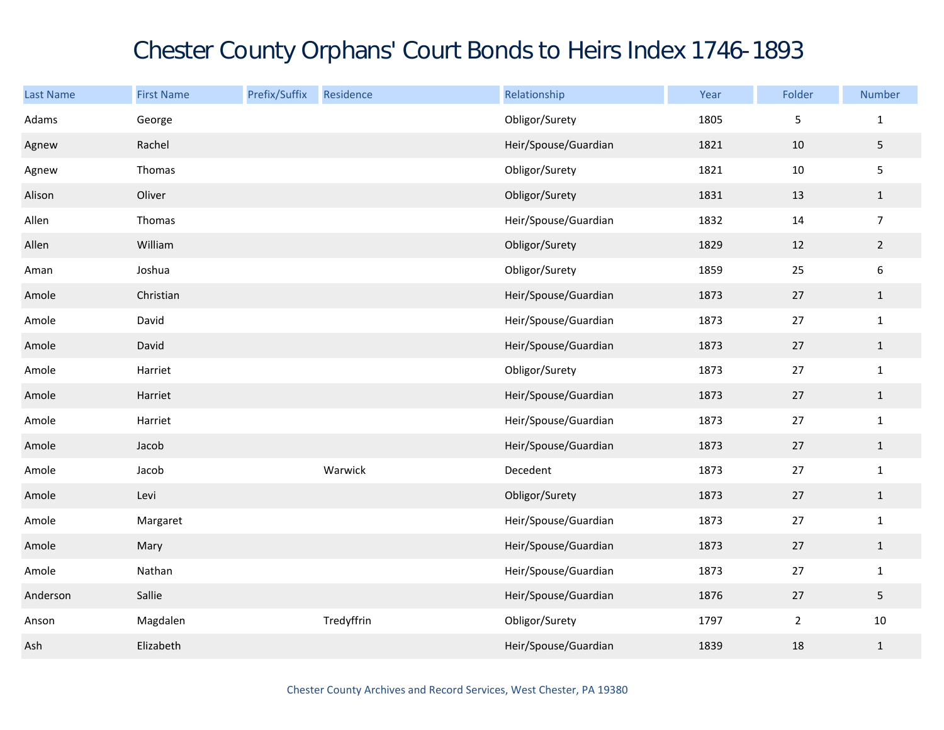## Chester County Orphans' Court Bonds to Heirs Index 1746-1893

| <b>Last Name</b> | <b>First Name</b> | Prefix/Suffix | Residence  | Relationship         | Year | Folder         | Number           |
|------------------|-------------------|---------------|------------|----------------------|------|----------------|------------------|
| Adams            | George            |               |            | Obligor/Surety       | 1805 | 5              | $\mathbf{1}$     |
| Agnew            | Rachel            |               |            | Heir/Spouse/Guardian | 1821 | 10             | 5                |
| Agnew            | Thomas            |               |            | Obligor/Surety       | 1821 | 10             | 5                |
| Alison           | Oliver            |               |            | Obligor/Surety       | 1831 | 13             | $\mathbf{1}$     |
| Allen            | Thomas            |               |            | Heir/Spouse/Guardian | 1832 | 14             | $\overline{7}$   |
| Allen            | William           |               |            | Obligor/Surety       | 1829 | 12             | $\overline{2}$   |
| Aman             | Joshua            |               |            | Obligor/Surety       | 1859 | 25             | $\boldsymbol{6}$ |
| Amole            | Christian         |               |            | Heir/Spouse/Guardian | 1873 | 27             | $\mathbf{1}$     |
| Amole            | David             |               |            | Heir/Spouse/Guardian | 1873 | 27             | $\mathbf{1}$     |
| Amole            | David             |               |            | Heir/Spouse/Guardian | 1873 | 27             | $\mathbf{1}$     |
| Amole            | Harriet           |               |            | Obligor/Surety       | 1873 | 27             | $\mathbf{1}$     |
| Amole            | Harriet           |               |            | Heir/Spouse/Guardian | 1873 | 27             | $\mathbf{1}$     |
| Amole            | Harriet           |               |            | Heir/Spouse/Guardian | 1873 | 27             | $\mathbf{1}$     |
| Amole            | Jacob             |               |            | Heir/Spouse/Guardian | 1873 | 27             | $\mathbf{1}$     |
| Amole            | Jacob             |               | Warwick    | Decedent             | 1873 | 27             | $\mathbf{1}$     |
| Amole            | Levi              |               |            | Obligor/Surety       | 1873 | 27             | $\mathbf{1}$     |
| Amole            | Margaret          |               |            | Heir/Spouse/Guardian | 1873 | 27             | $\mathbf{1}$     |
| Amole            | Mary              |               |            | Heir/Spouse/Guardian | 1873 | 27             | $\mathbf{1}$     |
| Amole            | Nathan            |               |            | Heir/Spouse/Guardian | 1873 | 27             | $\mathbf{1}$     |
| Anderson         | Sallie            |               |            | Heir/Spouse/Guardian | 1876 | 27             | 5                |
| Anson            | Magdalen          |               | Tredyffrin | Obligor/Surety       | 1797 | $\overline{2}$ | $10\,$           |
| Ash              | Elizabeth         |               |            | Heir/Spouse/Guardian | 1839 | 18             | $\mathbf{1}$     |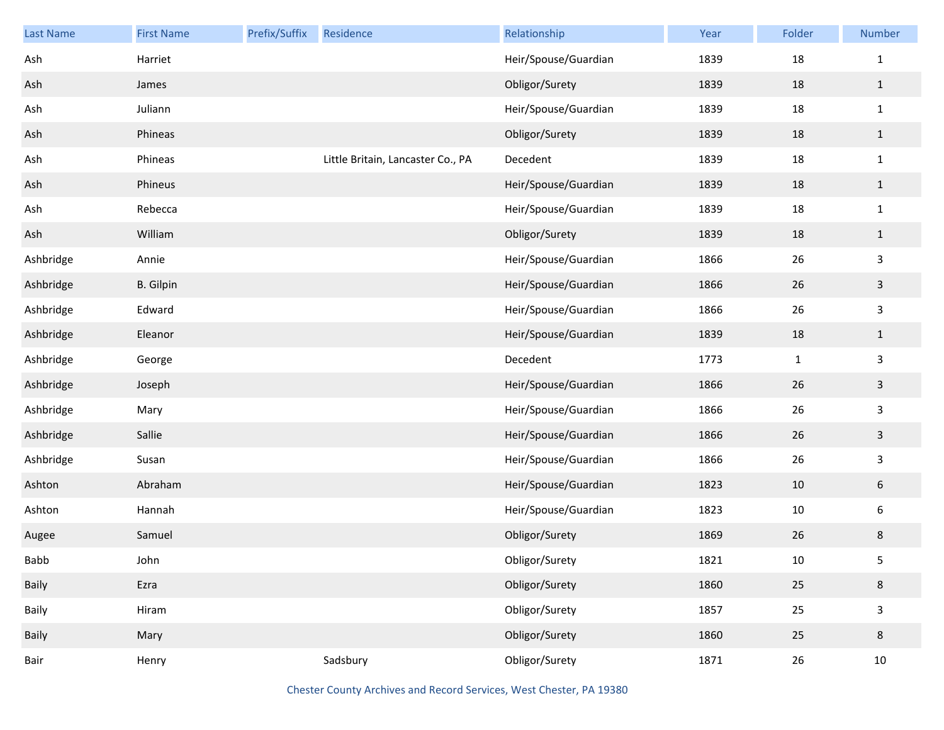| Last Name | <b>First Name</b> | Prefix/Suffix | Residence                         | Relationship         | Year | Folder       | Number                  |
|-----------|-------------------|---------------|-----------------------------------|----------------------|------|--------------|-------------------------|
| Ash       | Harriet           |               |                                   | Heir/Spouse/Guardian | 1839 | 18           | $1\,$                   |
| Ash       | James             |               |                                   | Obligor/Surety       | 1839 | 18           | $\mathbf{1}$            |
| Ash       | Juliann           |               |                                   | Heir/Spouse/Guardian | 1839 | 18           | $\mathbf{1}$            |
| Ash       | Phineas           |               |                                   | Obligor/Surety       | 1839 | 18           | $\mathbf{1}$            |
| Ash       | Phineas           |               | Little Britain, Lancaster Co., PA | Decedent             | 1839 | 18           | $\mathbf{1}$            |
| Ash       | Phineus           |               |                                   | Heir/Spouse/Guardian | 1839 | 18           | $\mathbf{1}$            |
| Ash       | Rebecca           |               |                                   | Heir/Spouse/Guardian | 1839 | 18           | $\mathbf{1}$            |
| Ash       | William           |               |                                   | Obligor/Surety       | 1839 | 18           | $\mathbf{1}$            |
| Ashbridge | Annie             |               |                                   | Heir/Spouse/Guardian | 1866 | 26           | $\mathsf{3}$            |
| Ashbridge | <b>B.</b> Gilpin  |               |                                   | Heir/Spouse/Guardian | 1866 | 26           | $\mathbf{3}$            |
| Ashbridge | Edward            |               |                                   | Heir/Spouse/Guardian | 1866 | 26           | $\mathsf{3}$            |
| Ashbridge | Eleanor           |               |                                   | Heir/Spouse/Guardian | 1839 | 18           | $\mathbf{1}$            |
| Ashbridge | George            |               |                                   | Decedent             | 1773 | $\mathbf{1}$ | $\overline{\mathbf{3}}$ |
| Ashbridge | Joseph            |               |                                   | Heir/Spouse/Guardian | 1866 | 26           | $\mathbf{3}$            |
| Ashbridge | Mary              |               |                                   | Heir/Spouse/Guardian | 1866 | 26           | $\mathsf{3}$            |
| Ashbridge | Sallie            |               |                                   | Heir/Spouse/Guardian | 1866 | 26           | $\mathbf{3}$            |
| Ashbridge | Susan             |               |                                   | Heir/Spouse/Guardian | 1866 | 26           | $\mathsf{3}$            |
| Ashton    | Abraham           |               |                                   | Heir/Spouse/Guardian | 1823 | $10\,$       | $\sqrt{6}$              |
| Ashton    | Hannah            |               |                                   | Heir/Spouse/Guardian | 1823 | $10\,$       | $\boldsymbol{6}$        |
| Augee     | Samuel            |               |                                   | Obligor/Surety       | 1869 | 26           | $\,8\,$                 |
| Babb      | John              |               |                                   | Obligor/Surety       | 1821 | 10           | 5                       |
| Baily     | Ezra              |               |                                   | Obligor/Surety       | 1860 | 25           | $\bf 8$                 |
| Baily     | Hiram             |               |                                   | Obligor/Surety       | 1857 | 25           | $\mathsf{3}$            |
| Baily     | Mary              |               |                                   | Obligor/Surety       | 1860 | 25           | $\bf 8$                 |
| Bair      | Henry             |               | Sadsbury                          | Obligor/Surety       | 1871 | $26\,$       | $10\,$                  |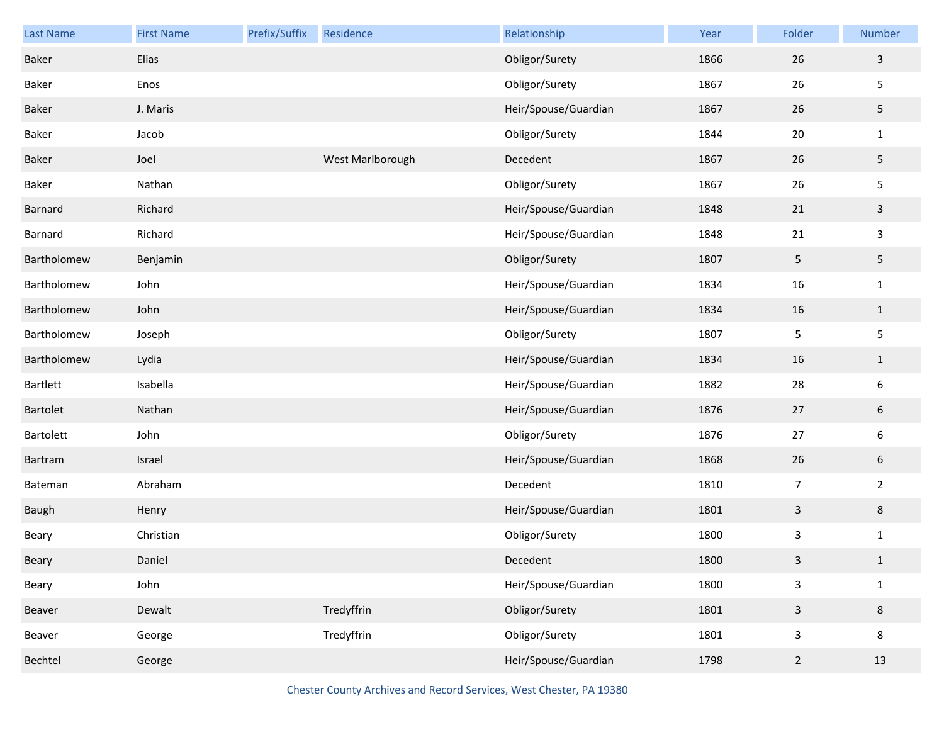| <b>Last Name</b> | <b>First Name</b> | Prefix/Suffix | Residence        | Relationship         | Year | Folder         | Number         |
|------------------|-------------------|---------------|------------------|----------------------|------|----------------|----------------|
| <b>Baker</b>     | Elias             |               |                  | Obligor/Surety       | 1866 | 26             | $\mathbf{3}$   |
| Baker            | Enos              |               |                  | Obligor/Surety       | 1867 | 26             | 5              |
| Baker            | J. Maris          |               |                  | Heir/Spouse/Guardian | 1867 | 26             | 5              |
| Baker            | Jacob             |               |                  | Obligor/Surety       | 1844 | 20             | $\mathbf{1}$   |
| Baker            | Joel              |               | West Marlborough | Decedent             | 1867 | 26             | 5              |
| Baker            | Nathan            |               |                  | Obligor/Surety       | 1867 | 26             | 5              |
| Barnard          | Richard           |               |                  | Heir/Spouse/Guardian | 1848 | 21             | $\mathbf{3}$   |
| Barnard          | Richard           |               |                  | Heir/Spouse/Guardian | 1848 | 21             | 3              |
| Bartholomew      | Benjamin          |               |                  | Obligor/Surety       | 1807 | $\overline{5}$ | 5              |
| Bartholomew      | John              |               |                  | Heir/Spouse/Guardian | 1834 | 16             | $\mathbf{1}$   |
| Bartholomew      | John              |               |                  | Heir/Spouse/Guardian | 1834 | 16             | $\mathbf{1}$   |
| Bartholomew      | Joseph            |               |                  | Obligor/Surety       | 1807 | 5              | 5              |
| Bartholomew      | Lydia             |               |                  | Heir/Spouse/Guardian | 1834 | 16             | $\mathbf{1}$   |
| Bartlett         | Isabella          |               |                  | Heir/Spouse/Guardian | 1882 | 28             | 6              |
| Bartolet         | Nathan            |               |                  | Heir/Spouse/Guardian | 1876 | $27$           | 6              |
| Bartolett        | John              |               |                  | Obligor/Surety       | 1876 | 27             | 6              |
| Bartram          | Israel            |               |                  | Heir/Spouse/Guardian | 1868 | 26             | $6\,$          |
| Bateman          | Abraham           |               |                  | Decedent             | 1810 | $\overline{7}$ | $\overline{2}$ |
| Baugh            | Henry             |               |                  | Heir/Spouse/Guardian | 1801 | $\overline{3}$ | 8              |
| Beary            | Christian         |               |                  | Obligor/Surety       | 1800 | $\mathsf{3}$   | $\mathbf{1}$   |
| Beary            | Daniel            |               |                  | Decedent             | 1800 | 3              | $\mathbf{1}$   |
| Beary            | John              |               |                  | Heir/Spouse/Guardian | 1800 | $\mathsf{3}$   | $\mathbf{1}$   |
| Beaver           | Dewalt            |               | Tredyffrin       | Obligor/Surety       | 1801 | $\mathbf{3}$   | 8              |
| Beaver           | George            |               | Tredyffrin       | Obligor/Surety       | 1801 | $\mathsf{3}$   | 8              |
| Bechtel          | George            |               |                  | Heir/Spouse/Guardian | 1798 | $\overline{2}$ | 13             |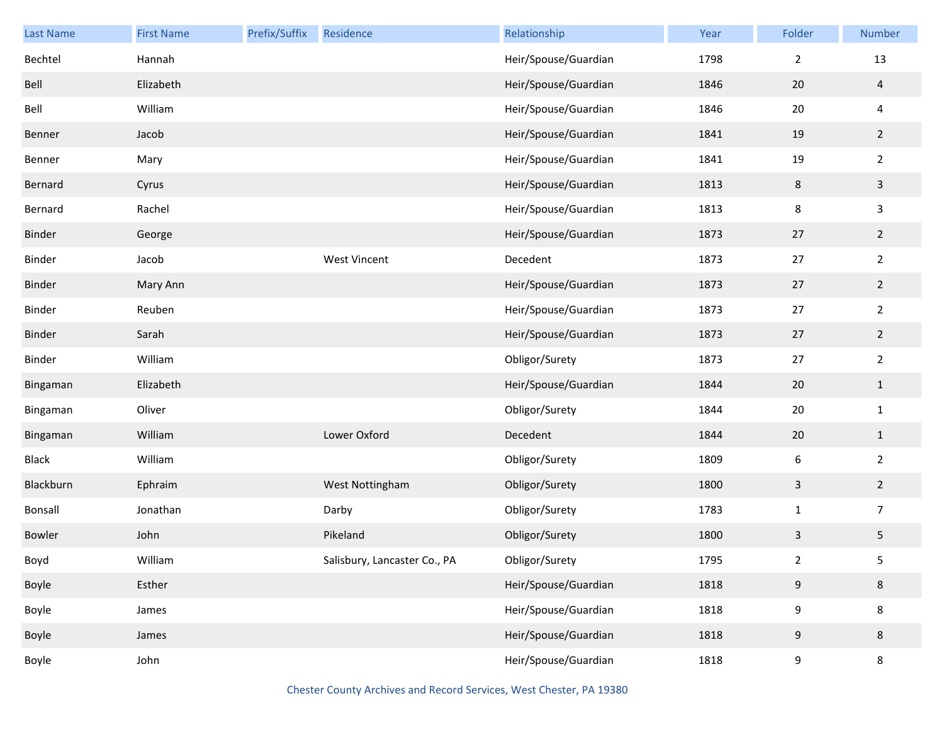| Last Name     | <b>First Name</b> | Prefix/Suffix | Residence                    | Relationship         | Year | Folder           | Number         |
|---------------|-------------------|---------------|------------------------------|----------------------|------|------------------|----------------|
| Bechtel       | Hannah            |               |                              | Heir/Spouse/Guardian | 1798 | $\overline{2}$   | 13             |
| Bell          | Elizabeth         |               |                              | Heir/Spouse/Guardian | 1846 | 20               | $\overline{a}$ |
| Bell          | William           |               |                              | Heir/Spouse/Guardian | 1846 | 20               | 4              |
| Benner        | Jacob             |               |                              | Heir/Spouse/Guardian | 1841 | 19               | $\overline{2}$ |
| Benner        | Mary              |               |                              | Heir/Spouse/Guardian | 1841 | 19               | $\overline{2}$ |
| Bernard       | Cyrus             |               |                              | Heir/Spouse/Guardian | 1813 | $\,8\,$          | $\mathbf{3}$   |
| Bernard       | Rachel            |               |                              | Heir/Spouse/Guardian | 1813 | 8                | $\mathbf{3}$   |
| <b>Binder</b> | George            |               |                              | Heir/Spouse/Guardian | 1873 | 27               | $\overline{2}$ |
| Binder        | Jacob             |               | <b>West Vincent</b>          | Decedent             | 1873 | 27               | $\overline{2}$ |
| <b>Binder</b> | Mary Ann          |               |                              | Heir/Spouse/Guardian | 1873 | 27               | $\overline{2}$ |
| Binder        | Reuben            |               |                              | Heir/Spouse/Guardian | 1873 | 27               | $\overline{2}$ |
| <b>Binder</b> | Sarah             |               |                              | Heir/Spouse/Guardian | 1873 | 27               | $\overline{2}$ |
| Binder        | William           |               |                              | Obligor/Surety       | 1873 | 27               | $\overline{2}$ |
| Bingaman      | Elizabeth         |               |                              | Heir/Spouse/Guardian | 1844 | 20               | $\mathbf{1}$   |
| Bingaman      | Oliver            |               |                              | Obligor/Surety       | 1844 | 20               | $\mathbf{1}$   |
| Bingaman      | William           |               | Lower Oxford                 | Decedent             | 1844 | 20               | $\mathbf{1}$   |
| <b>Black</b>  | William           |               |                              | Obligor/Surety       | 1809 | $\boldsymbol{6}$ | $\overline{2}$ |
| Blackburn     | Ephraim           |               | West Nottingham              | Obligor/Surety       | 1800 | $\mathsf{3}$     | $\overline{2}$ |
| Bonsall       | Jonathan          |               | Darby                        | Obligor/Surety       | 1783 | $\mathbf 1$      | $\overline{7}$ |
| <b>Bowler</b> | John              |               | Pikeland                     | Obligor/Surety       | 1800 | 3                | $\sqrt{5}$     |
| Boyd          | William           |               | Salisbury, Lancaster Co., PA | Obligor/Surety       | 1795 | $\overline{2}$   | 5              |
| Boyle         | Esther            |               |                              | Heir/Spouse/Guardian | 1818 | 9                | $\bf 8$        |
| Boyle         | James             |               |                              | Heir/Spouse/Guardian | 1818 | 9                | $\bf 8$        |
| Boyle         | James             |               |                              | Heir/Spouse/Guardian | 1818 | 9                | $\,8\,$        |
| Boyle         | John              |               |                              | Heir/Spouse/Guardian | 1818 | 9                | $\bf 8$        |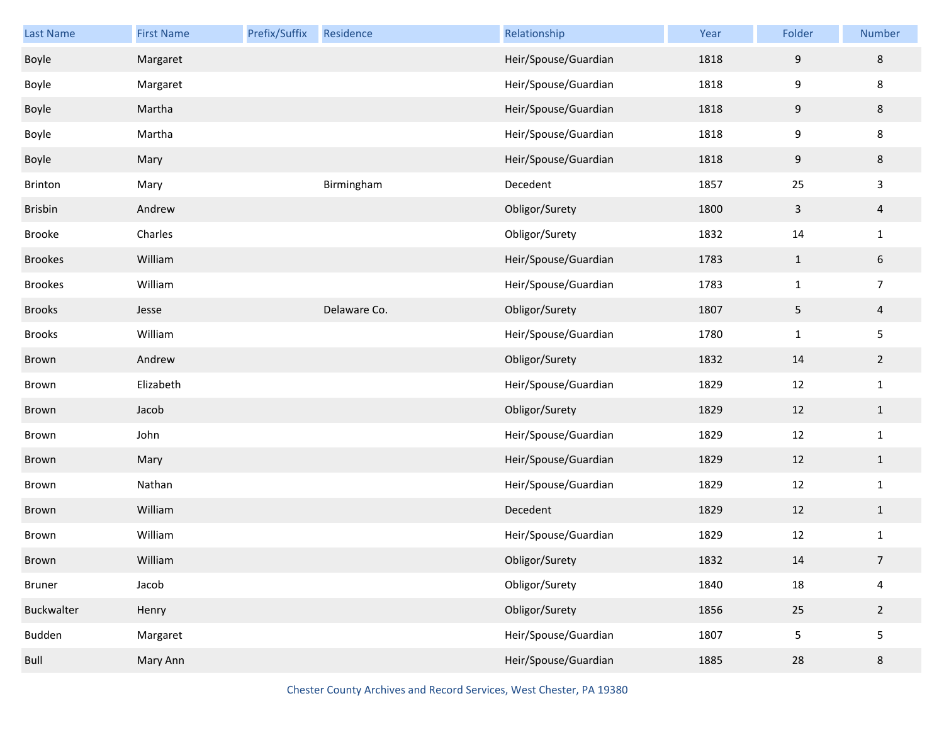| Last Name         | <b>First Name</b> | Prefix/Suffix | Residence    | Relationship         | Year | Folder       | <b>Number</b>   |
|-------------------|-------------------|---------------|--------------|----------------------|------|--------------|-----------------|
| Boyle             | Margaret          |               |              | Heir/Spouse/Guardian | 1818 | 9            | 8               |
| Boyle             | Margaret          |               |              | Heir/Spouse/Guardian | 1818 | 9            | 8               |
| Boyle             | Martha            |               |              | Heir/Spouse/Guardian | 1818 | $9\,$        | 8               |
| Boyle             | Martha            |               |              | Heir/Spouse/Guardian | 1818 | 9            | 8               |
| Boyle             | Mary              |               |              | Heir/Spouse/Guardian | 1818 | $9\,$        | 8               |
| Brinton           | Mary              |               | Birmingham   | Decedent             | 1857 | 25           | 3               |
| <b>Brisbin</b>    | Andrew            |               |              | Obligor/Surety       | 1800 | $\mathbf{3}$ | $\overline{4}$  |
| Brooke            | Charles           |               |              | Obligor/Surety       | 1832 | 14           | $\mathbf{1}$    |
| <b>Brookes</b>    | William           |               |              | Heir/Spouse/Guardian | 1783 | $\mathbf{1}$ | $6\phantom{.0}$ |
| <b>Brookes</b>    | William           |               |              | Heir/Spouse/Guardian | 1783 | $\mathbf 1$  | $\overline{7}$  |
| <b>Brooks</b>     | Jesse             |               | Delaware Co. | Obligor/Surety       | 1807 | $\sqrt{5}$   | $\overline{4}$  |
| Brooks            | William           |               |              | Heir/Spouse/Guardian | 1780 | $\mathbf 1$  | 5               |
| Brown             | Andrew            |               |              | Obligor/Surety       | 1832 | 14           | $2\overline{ }$ |
| Brown             | Elizabeth         |               |              | Heir/Spouse/Guardian | 1829 | 12           | $\mathbf{1}$    |
| Brown             | Jacob             |               |              | Obligor/Surety       | 1829 | 12           | $\mathbf{1}$    |
| Brown             | John              |               |              | Heir/Spouse/Guardian | 1829 | 12           | $\mathbf{1}$    |
| Brown             | Mary              |               |              | Heir/Spouse/Guardian | 1829 | 12           | $\mathbf{1}$    |
| Brown             | Nathan            |               |              | Heir/Spouse/Guardian | 1829 | 12           | $\mathbf{1}$    |
| Brown             | William           |               |              | Decedent             | 1829 | 12           | $\mathbf{1}$    |
| Brown             | William           |               |              | Heir/Spouse/Guardian | 1829 | 12           | $\mathbf{1}$    |
| Brown             | William           |               |              | Obligor/Surety       | 1832 | 14           | $\overline{7}$  |
| <b>Bruner</b>     | Jacob             |               |              | Obligor/Surety       | 1840 | 18           | $\overline{4}$  |
| <b>Buckwalter</b> | Henry             |               |              | Obligor/Surety       | 1856 | 25           | $2^{\circ}$     |
| Budden            | Margaret          |               |              | Heir/Spouse/Guardian | 1807 | 5            | 5               |
| Bull              | Mary Ann          |               |              | Heir/Spouse/Guardian | 1885 | 28           | $\bf 8$         |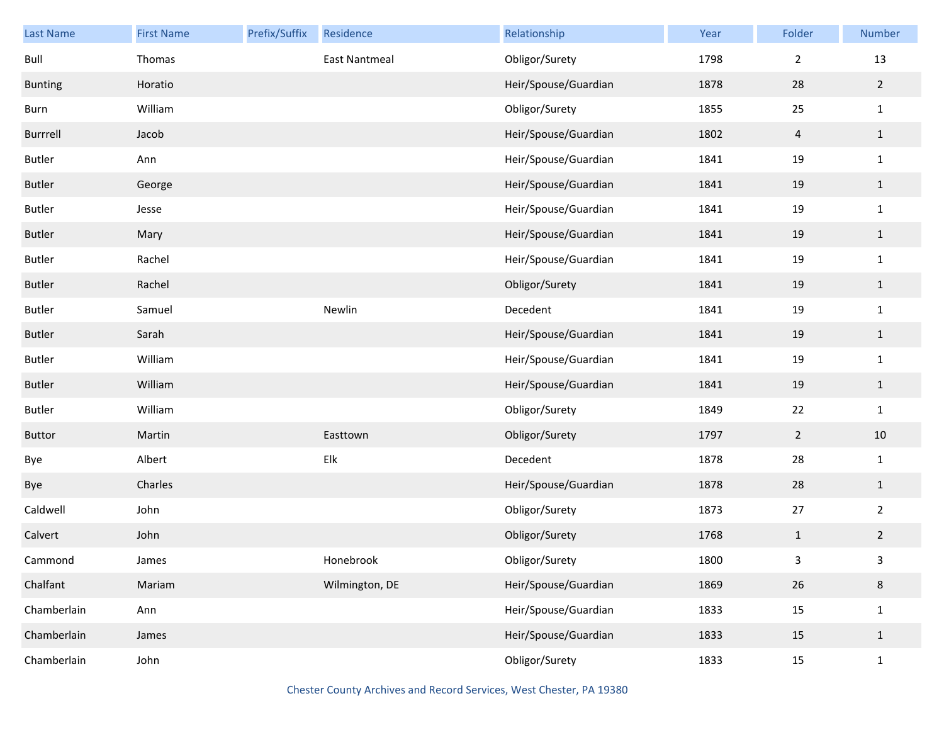| Last Name      | <b>First Name</b> | Prefix/Suffix | Residence      | Relationship         | Year | Folder         | Number         |
|----------------|-------------------|---------------|----------------|----------------------|------|----------------|----------------|
| Bull           | Thomas            |               | East Nantmeal  | Obligor/Surety       | 1798 | $\overline{2}$ | 13             |
| <b>Bunting</b> | Horatio           |               |                | Heir/Spouse/Guardian | 1878 | 28             | $\overline{2}$ |
| <b>Burn</b>    | William           |               |                | Obligor/Surety       | 1855 | 25             | $\mathbf{1}$   |
| Burrrell       | Jacob             |               |                | Heir/Spouse/Guardian | 1802 | $\overline{4}$ | $\mathbf{1}$   |
| <b>Butler</b>  | Ann               |               |                | Heir/Spouse/Guardian | 1841 | 19             | $\mathbf{1}$   |
| <b>Butler</b>  | George            |               |                | Heir/Spouse/Guardian | 1841 | 19             | $\mathbf{1}$   |
| <b>Butler</b>  | Jesse             |               |                | Heir/Spouse/Guardian | 1841 | 19             | $\mathbf{1}$   |
| <b>Butler</b>  | Mary              |               |                | Heir/Spouse/Guardian | 1841 | 19             | $\mathbf{1}$   |
| <b>Butler</b>  | Rachel            |               |                | Heir/Spouse/Guardian | 1841 | 19             | $\mathbf{1}$   |
| <b>Butler</b>  | Rachel            |               |                | Obligor/Surety       | 1841 | 19             | $\mathbf{1}$   |
| <b>Butler</b>  | Samuel            |               | Newlin         | Decedent             | 1841 | 19             | $\mathbf{1}$   |
| <b>Butler</b>  | Sarah             |               |                | Heir/Spouse/Guardian | 1841 | 19             | $\mathbf{1}$   |
| <b>Butler</b>  | William           |               |                | Heir/Spouse/Guardian | 1841 | 19             | $\mathbf{1}$   |
| <b>Butler</b>  | William           |               |                | Heir/Spouse/Guardian | 1841 | 19             | $\mathbf{1}$   |
| <b>Butler</b>  | William           |               |                | Obligor/Surety       | 1849 | 22             | $\mathbf 1$    |
| <b>Buttor</b>  | Martin            |               | Easttown       | Obligor/Surety       | 1797 | $\overline{2}$ | $10\,$         |
| Bye            | Albert            |               | Elk            | Decedent             | 1878 | 28             | $\mathbf{1}$   |
| Bye            | Charles           |               |                | Heir/Spouse/Guardian | 1878 | 28             | $\mathbf{1}$   |
| Caldwell       | John              |               |                | Obligor/Surety       | 1873 | 27             | $\overline{2}$ |
| Calvert        | John              |               |                | Obligor/Surety       | 1768 | $\mathbf{1}$   | $\overline{2}$ |
| Cammond        | James             |               | Honebrook      | Obligor/Surety       | 1800 | $\mathbf{3}$   | 3              |
| Chalfant       | Mariam            |               | Wilmington, DE | Heir/Spouse/Guardian | 1869 | 26             | $\,8\,$        |
| Chamberlain    | Ann               |               |                | Heir/Spouse/Guardian | 1833 | 15             | $\mathbf 1$    |
| Chamberlain    | James             |               |                | Heir/Spouse/Guardian | 1833 | 15             | $\mathbf{1}$   |
| Chamberlain    | John              |               |                | Obligor/Surety       | 1833 | $15\,$         | $\mathbf{1}$   |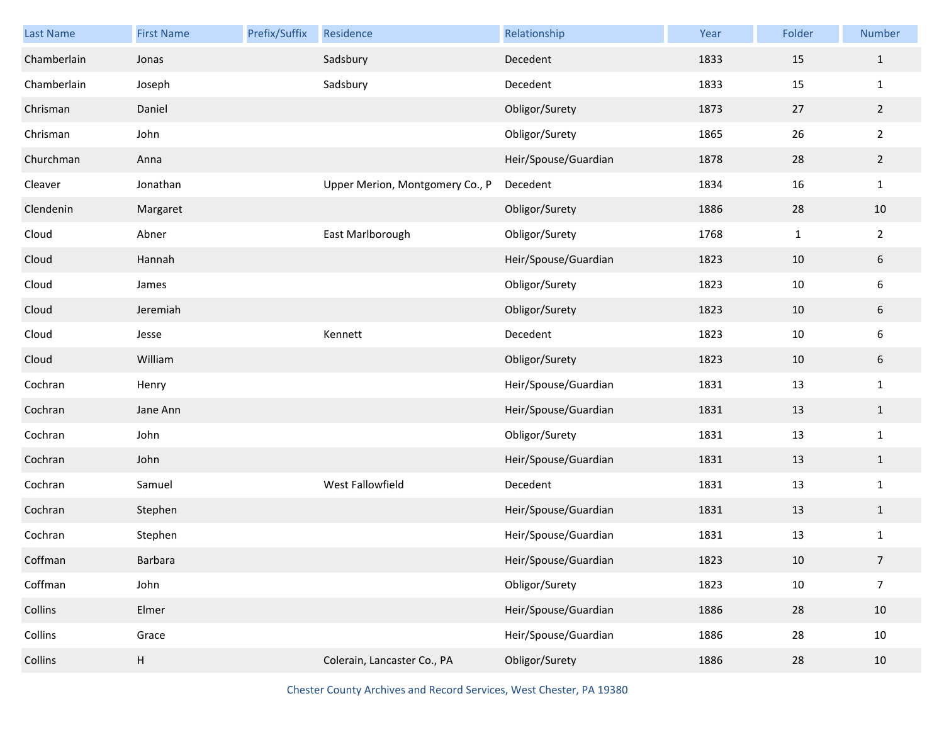| <b>Last Name</b> | <b>First Name</b> | Prefix/Suffix | Residence                       | Relationship         | Year | Folder       | Number           |
|------------------|-------------------|---------------|---------------------------------|----------------------|------|--------------|------------------|
| Chamberlain      | Jonas             |               | Sadsbury                        | Decedent             | 1833 | 15           | $\mathbf{1}$     |
| Chamberlain      | Joseph            |               | Sadsbury                        | Decedent             | 1833 | 15           | $\mathbf{1}$     |
| Chrisman         | Daniel            |               |                                 | Obligor/Surety       | 1873 | 27           | $\overline{2}$   |
| Chrisman         | John              |               |                                 | Obligor/Surety       | 1865 | 26           | $\overline{2}$   |
| Churchman        | Anna              |               |                                 | Heir/Spouse/Guardian | 1878 | 28           | $\overline{2}$   |
| Cleaver          | Jonathan          |               | Upper Merion, Montgomery Co., P | Decedent             | 1834 | 16           | $\mathbf{1}$     |
| Clendenin        | Margaret          |               |                                 | Obligor/Surety       | 1886 | 28           | $10\,$           |
| Cloud            | Abner             |               | East Marlborough                | Obligor/Surety       | 1768 | $\mathbf{1}$ | $\overline{2}$   |
| Cloud            | Hannah            |               |                                 | Heir/Spouse/Guardian | 1823 | $10\,$       | $\boldsymbol{6}$ |
| Cloud            | James             |               |                                 | Obligor/Surety       | 1823 | $10\,$       | $\boldsymbol{6}$ |
| Cloud            | Jeremiah          |               |                                 | Obligor/Surety       | 1823 | 10           | $\boldsymbol{6}$ |
| Cloud            | Jesse             |               | Kennett                         | Decedent             | 1823 | 10           | 6                |
| Cloud            | William           |               |                                 | Obligor/Surety       | 1823 | 10           | $\boldsymbol{6}$ |
| Cochran          | Henry             |               |                                 | Heir/Spouse/Guardian | 1831 | 13           | $\mathbf{1}$     |
| Cochran          | Jane Ann          |               |                                 | Heir/Spouse/Guardian | 1831 | 13           | $\mathbf{1}$     |
| Cochran          | John              |               |                                 | Obligor/Surety       | 1831 | 13           | $\mathbf{1}$     |
| Cochran          | John              |               |                                 | Heir/Spouse/Guardian | 1831 | 13           | $\mathbf{1}$     |
| Cochran          | Samuel            |               | West Fallowfield                | Decedent             | 1831 | 13           | $\mathbf{1}$     |
| Cochran          | Stephen           |               |                                 | Heir/Spouse/Guardian | 1831 | 13           | $\mathbf{1}$     |
| Cochran          | Stephen           |               |                                 | Heir/Spouse/Guardian | 1831 | 13           | $\mathbf{1}$     |
| Coffman          | Barbara           |               |                                 | Heir/Spouse/Guardian | 1823 | 10           | $\overline{7}$   |
| Coffman          | John              |               |                                 | Obligor/Surety       | 1823 | 10           | $\overline{7}$   |
| Collins          | Elmer             |               |                                 | Heir/Spouse/Guardian | 1886 | 28           | 10               |
| Collins          | Grace             |               |                                 | Heir/Spouse/Guardian | 1886 | 28           | $10\,$           |
| Collins          | H                 |               | Colerain, Lancaster Co., PA     | Obligor/Surety       | 1886 | 28           | $10\,$           |

Chester County Archives and Record Services, West Chester, PA 19380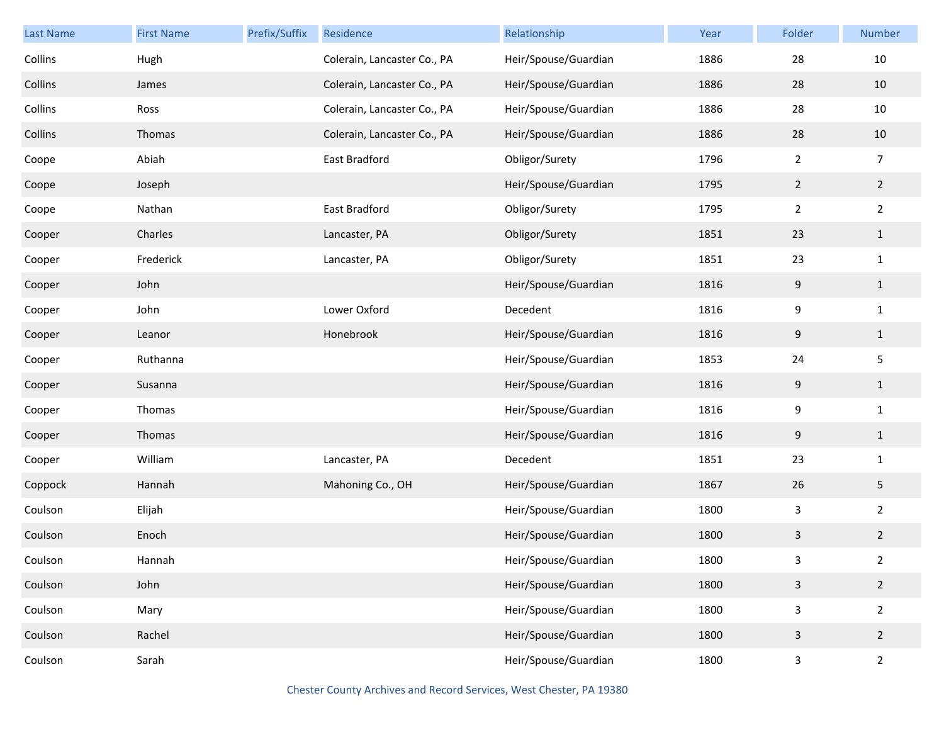| Last Name | <b>First Name</b> | Prefix/Suffix | Residence                   | Relationship         | Year | Folder         | Number          |
|-----------|-------------------|---------------|-----------------------------|----------------------|------|----------------|-----------------|
| Collins   | Hugh              |               | Colerain, Lancaster Co., PA | Heir/Spouse/Guardian | 1886 | 28             | 10              |
| Collins   | James             |               | Colerain, Lancaster Co., PA | Heir/Spouse/Guardian | 1886 | 28             | 10              |
| Collins   | Ross              |               | Colerain, Lancaster Co., PA | Heir/Spouse/Guardian | 1886 | 28             | $10\,$          |
| Collins   | Thomas            |               | Colerain, Lancaster Co., PA | Heir/Spouse/Guardian | 1886 | 28             | $10\,$          |
| Coope     | Abiah             |               | East Bradford               | Obligor/Surety       | 1796 | $\overline{2}$ | $\overline{7}$  |
| Coope     | Joseph            |               |                             | Heir/Spouse/Guardian | 1795 | $\overline{2}$ | $\overline{2}$  |
| Coope     | Nathan            |               | East Bradford               | Obligor/Surety       | 1795 | $\overline{2}$ | $\overline{2}$  |
| Cooper    | Charles           |               | Lancaster, PA               | Obligor/Surety       | 1851 | 23             | $\mathbf{1}$    |
| Cooper    | Frederick         |               | Lancaster, PA               | Obligor/Surety       | 1851 | 23             | $\mathbf{1}$    |
| Cooper    | John              |               |                             | Heir/Spouse/Guardian | 1816 | 9              | $\mathbf{1}$    |
| Cooper    | John              |               | Lower Oxford                | Decedent             | 1816 | 9              | $\mathbf{1}$    |
| Cooper    | Leanor            |               | Honebrook                   | Heir/Spouse/Guardian | 1816 | 9              | $\mathbf{1}$    |
| Cooper    | Ruthanna          |               |                             | Heir/Spouse/Guardian | 1853 | 24             | $\sqrt{5}$      |
| Cooper    | Susanna           |               |                             | Heir/Spouse/Guardian | 1816 | 9              | $\mathbf{1}$    |
| Cooper    | Thomas            |               |                             | Heir/Spouse/Guardian | 1816 | 9              | $\mathbf{1}$    |
| Cooper    | Thomas            |               |                             | Heir/Spouse/Guardian | 1816 | 9              | $\mathbf{1}$    |
| Cooper    | William           |               | Lancaster, PA               | Decedent             | 1851 | 23             | $\mathbf{1}$    |
| Coppock   | Hannah            |               | Mahoning Co., OH            | Heir/Spouse/Guardian | 1867 | 26             | $5\phantom{.0}$ |
| Coulson   | Elijah            |               |                             | Heir/Spouse/Guardian | 1800 | 3              | $\overline{2}$  |
| Coulson   | Enoch             |               |                             | Heir/Spouse/Guardian | 1800 | 3              | $\overline{2}$  |
| Coulson   | Hannah            |               |                             | Heir/Spouse/Guardian | 1800 | 3              | $\overline{a}$  |
| Coulson   | John              |               |                             | Heir/Spouse/Guardian | 1800 | $\mathsf{3}$   | $\overline{2}$  |
| Coulson   | Mary              |               |                             | Heir/Spouse/Guardian | 1800 | $\mathsf 3$    | $\overline{2}$  |
| Coulson   | Rachel            |               |                             | Heir/Spouse/Guardian | 1800 | $\mathsf{3}$   | $\overline{2}$  |
| Coulson   | Sarah             |               |                             | Heir/Spouse/Guardian | 1800 | 3              | $\overline{2}$  |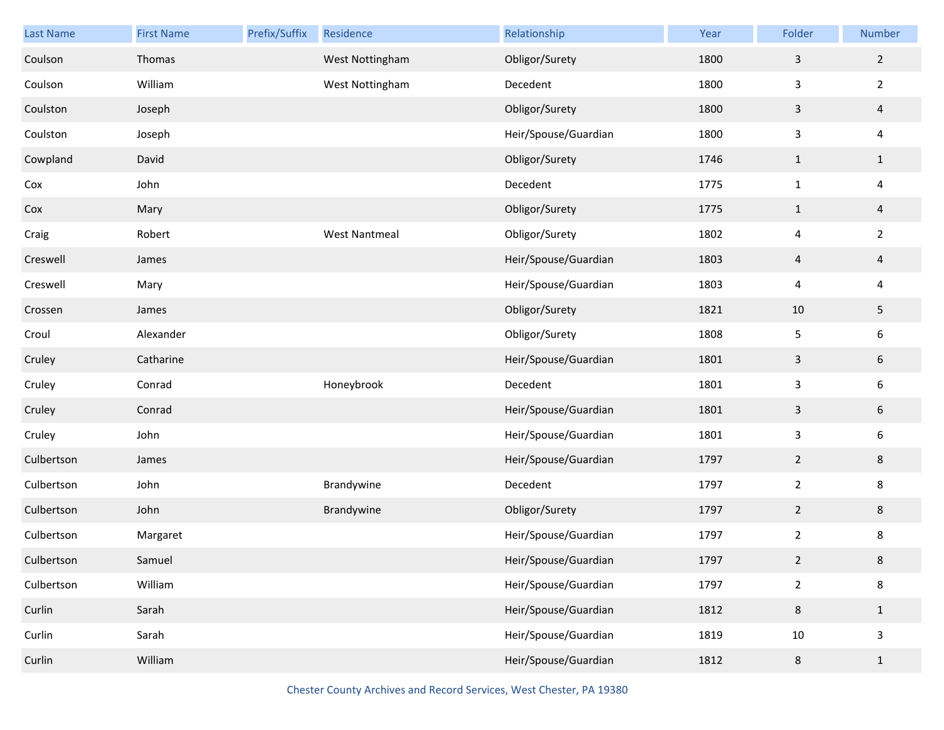| Last Name  | <b>First Name</b> | Prefix/Suffix | Residence            | Relationship         | Year | Folder                   | Number         |
|------------|-------------------|---------------|----------------------|----------------------|------|--------------------------|----------------|
| Coulson    | Thomas            |               | West Nottingham      | Obligor/Surety       | 1800 | $\mathsf{3}$             | $\overline{2}$ |
| Coulson    | William           |               | West Nottingham      | Decedent             | 1800 | $\mathbf{3}$             | $\overline{2}$ |
| Coulston   | Joseph            |               |                      | Obligor/Surety       | 1800 | $\mathsf{3}$             | $\overline{a}$ |
| Coulston   | Joseph            |               |                      | Heir/Spouse/Guardian | 1800 | $\mathbf{3}$             | 4              |
| Cowpland   | David             |               |                      | Obligor/Surety       | 1746 | $\mathbf{1}$             | $\mathbf{1}$   |
| Cox        | John              |               |                      | Decedent             | 1775 | $\mathbf{1}$             | $\overline{4}$ |
| Cox        | Mary              |               |                      | Obligor/Surety       | 1775 | $\mathbf{1}$             | $\overline{a}$ |
| Craig      | Robert            |               | <b>West Nantmeal</b> | Obligor/Surety       | 1802 | $\overline{\mathcal{A}}$ | $\overline{2}$ |
| Creswell   | James             |               |                      | Heir/Spouse/Guardian | 1803 | $\overline{a}$           | $\overline{4}$ |
| Creswell   | Mary              |               |                      | Heir/Spouse/Guardian | 1803 | $\overline{\mathcal{A}}$ | 4              |
| Crossen    | James             |               |                      | Obligor/Surety       | 1821 | 10                       | 5              |
| Croul      | Alexander         |               |                      | Obligor/Surety       | 1808 | 5                        | 6              |
| Cruley     | Catharine         |               |                      | Heir/Spouse/Guardian | 1801 | $\mathbf{3}$             | $\sqrt{6}$     |
| Cruley     | Conrad            |               | Honeybrook           | Decedent             | 1801 | $\mathbf{3}$             | 6              |
| Cruley     | Conrad            |               |                      | Heir/Spouse/Guardian | 1801 | $\mathsf{3}$             | 6              |
| Cruley     | John              |               |                      | Heir/Spouse/Guardian | 1801 | $\mathbf{3}$             | 6              |
| Culbertson | James             |               |                      | Heir/Spouse/Guardian | 1797 | $\overline{2}$           | $\bf 8$        |
| Culbertson | John              |               | Brandywine           | Decedent             | 1797 | $\overline{2}$           | 8              |
| Culbertson | John              |               | Brandywine           | Obligor/Surety       | 1797 | $\overline{2}$           | $\bf 8$        |
| Culbertson | Margaret          |               |                      | Heir/Spouse/Guardian | 1797 | $\overline{2}$           | 8              |
| Culbertson | Samuel            |               |                      | Heir/Spouse/Guardian | 1797 | $\overline{2}$           | 8              |
| Culbertson | William           |               |                      | Heir/Spouse/Guardian | 1797 | $\overline{2}$           | 8              |
| Curlin     | Sarah             |               |                      | Heir/Spouse/Guardian | 1812 | $\,8\,$                  | $1\,$          |
| Curlin     | Sarah             |               |                      | Heir/Spouse/Guardian | 1819 | 10                       | 3              |
| Curlin     | William           |               |                      | Heir/Spouse/Guardian | 1812 | $\,8$                    | $\mathbf{1}$   |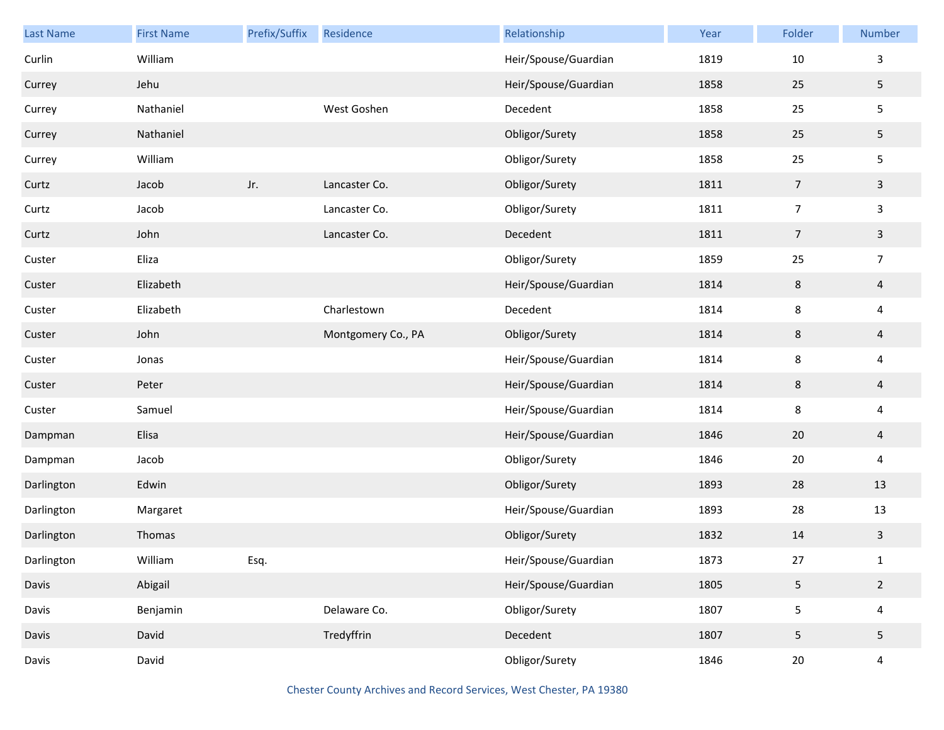| Last Name  | <b>First Name</b> | Prefix/Suffix | Residence          | Relationship         | Year | Folder         | Number                  |
|------------|-------------------|---------------|--------------------|----------------------|------|----------------|-------------------------|
| Curlin     | William           |               |                    | Heir/Spouse/Guardian | 1819 | 10             | 3                       |
| Currey     | Jehu              |               |                    | Heir/Spouse/Guardian | 1858 | 25             | 5                       |
| Currey     | Nathaniel         |               | West Goshen        | Decedent             | 1858 | 25             | 5                       |
| Currey     | Nathaniel         |               |                    | Obligor/Surety       | 1858 | 25             | 5                       |
| Currey     | William           |               |                    | Obligor/Surety       | 1858 | 25             | $\mathsf S$             |
| Curtz      | Jacob             | Jr.           | Lancaster Co.      | Obligor/Surety       | 1811 | 7              | $\mathbf{3}$            |
| Curtz      | Jacob             |               | Lancaster Co.      | Obligor/Surety       | 1811 | $\overline{7}$ | $\overline{\mathbf{3}}$ |
| Curtz      | John              |               | Lancaster Co.      | Decedent             | 1811 | 7              | $\mathbf{3}$            |
| Custer     | Eliza             |               |                    | Obligor/Surety       | 1859 | 25             | $\overline{7}$          |
| Custer     | Elizabeth         |               |                    | Heir/Spouse/Guardian | 1814 | $\,8\,$        | $\overline{a}$          |
| Custer     | Elizabeth         |               | Charlestown        | Decedent             | 1814 | 8              | $\overline{\mathbf{4}}$ |
| Custer     | John              |               | Montgomery Co., PA | Obligor/Surety       | 1814 | 8              | $\overline{a}$          |
| Custer     | Jonas             |               |                    | Heir/Spouse/Guardian | 1814 | 8              | $\overline{\mathbf{4}}$ |
| Custer     | Peter             |               |                    | Heir/Spouse/Guardian | 1814 | 8              | $\overline{4}$          |
| Custer     | Samuel            |               |                    | Heir/Spouse/Guardian | 1814 | 8              | $\overline{\mathbf{4}}$ |
| Dampman    | Elisa             |               |                    | Heir/Spouse/Guardian | 1846 | 20             | $\overline{a}$          |
| Dampman    | Jacob             |               |                    | Obligor/Surety       | 1846 | $20\,$         | $\overline{\mathbf{4}}$ |
| Darlington | Edwin             |               |                    | Obligor/Surety       | 1893 | 28             | 13                      |
| Darlington | Margaret          |               |                    | Heir/Spouse/Guardian | 1893 | 28             | 13                      |
| Darlington | Thomas            |               |                    | Obligor/Surety       | 1832 | 14             | $\mathbf{3}$            |
| Darlington | William           | Esq.          |                    | Heir/Spouse/Guardian | 1873 | 27             | $\mathbf{1}$            |
| Davis      | Abigail           |               |                    | Heir/Spouse/Guardian | 1805 | 5              | $\overline{2}$          |
| Davis      | Benjamin          |               | Delaware Co.       | Obligor/Surety       | 1807 | 5              | $\overline{4}$          |
| Davis      | David             |               | Tredyffrin         | Decedent             | 1807 | 5              | 5                       |
| Davis      | David             |               |                    | Obligor/Surety       | 1846 | $20\,$         | $\overline{4}$          |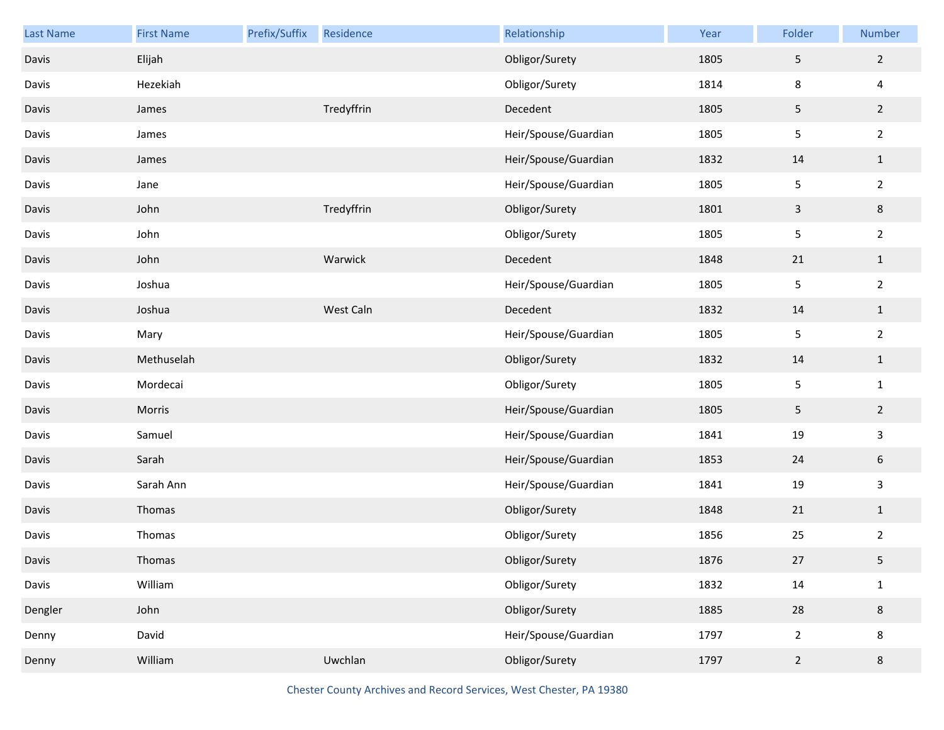| Last Name | <b>First Name</b> | Prefix/Suffix | Residence  | Relationship         | Year | Folder         | Number          |
|-----------|-------------------|---------------|------------|----------------------|------|----------------|-----------------|
| Davis     | Elijah            |               |            | Obligor/Surety       | 1805 | $\sqrt{5}$     | $\overline{2}$  |
| Davis     | Hezekiah          |               |            | Obligor/Surety       | 1814 | 8              | 4               |
| Davis     | James             |               | Tredyffrin | Decedent             | 1805 | $\sqrt{5}$     | $\overline{2}$  |
| Davis     | James             |               |            | Heir/Spouse/Guardian | 1805 | 5              | $\overline{2}$  |
| Davis     | James             |               |            | Heir/Spouse/Guardian | 1832 | 14             | $1\,$           |
| Davis     | Jane              |               |            | Heir/Spouse/Guardian | 1805 | 5              | $\overline{2}$  |
| Davis     | John              |               | Tredyffrin | Obligor/Surety       | 1801 | $\mathbf{3}$   | 8               |
| Davis     | John              |               |            | Obligor/Surety       | 1805 | 5              | $\overline{2}$  |
| Davis     | John              |               | Warwick    | Decedent             | 1848 | 21             | $\mathbf{1}$    |
| Davis     | Joshua            |               |            | Heir/Spouse/Guardian | 1805 | 5              | $\overline{2}$  |
| Davis     | Joshua            |               | West Caln  | Decedent             | 1832 | 14             | $\mathbf{1}$    |
| Davis     | Mary              |               |            | Heir/Spouse/Guardian | 1805 | 5              | $\overline{2}$  |
| Davis     | Methuselah        |               |            | Obligor/Surety       | 1832 | 14             | $1\,$           |
| Davis     | Mordecai          |               |            | Obligor/Surety       | 1805 | 5              | $\mathbf{1}$    |
| Davis     | Morris            |               |            | Heir/Spouse/Guardian | 1805 | $\sqrt{5}$     | $\overline{2}$  |
| Davis     | Samuel            |               |            | Heir/Spouse/Guardian | 1841 | 19             | 3               |
| Davis     | Sarah             |               |            | Heir/Spouse/Guardian | 1853 | 24             | $6\phantom{.0}$ |
| Davis     | Sarah Ann         |               |            | Heir/Spouse/Guardian | 1841 | 19             | 3               |
| Davis     | Thomas            |               |            | Obligor/Surety       | 1848 | 21             | $1\,$           |
| Davis     | Thomas            |               |            | Obligor/Surety       | 1856 | 25             | $\overline{2}$  |
| Davis     | Thomas            |               |            | Obligor/Surety       | 1876 | 27             | 5               |
| Davis     | William           |               |            | Obligor/Surety       | 1832 | 14             | $\mathbf{1}$    |
| Dengler   | John              |               |            | Obligor/Surety       | 1885 | 28             | 8               |
| Denny     | David             |               |            | Heir/Spouse/Guardian | 1797 | $\overline{2}$ | 8               |
| Denny     | William           |               | Uwchlan    | Obligor/Surety       | 1797 | $\overline{2}$ | 8               |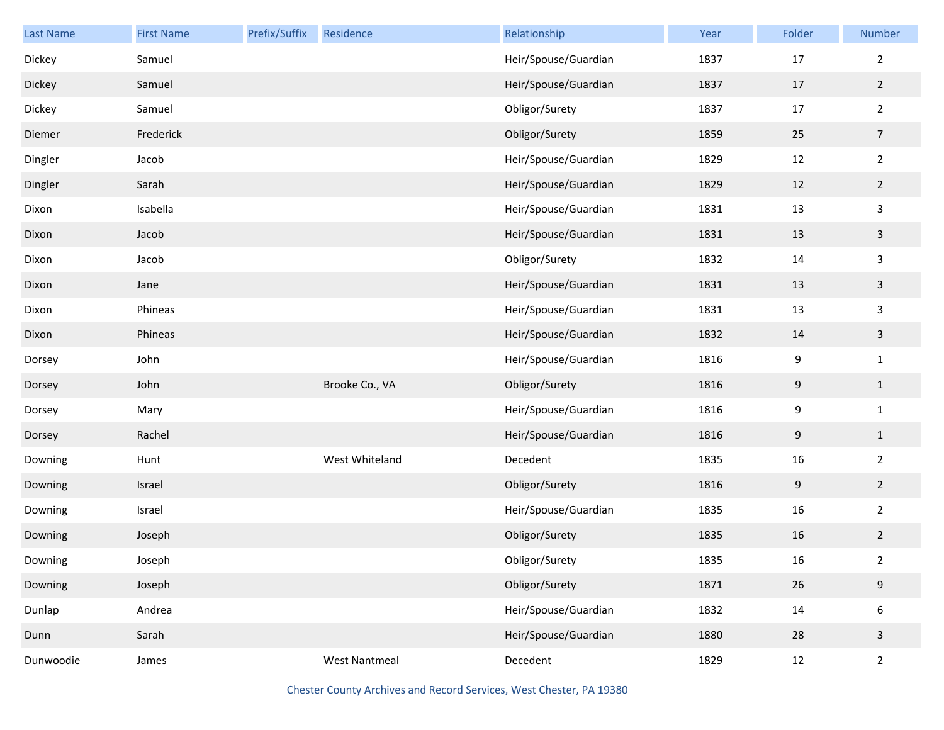| Last Name | <b>First Name</b> | Prefix/Suffix | Residence            | Relationship         | Year | Folder           | Number           |
|-----------|-------------------|---------------|----------------------|----------------------|------|------------------|------------------|
| Dickey    | Samuel            |               |                      | Heir/Spouse/Guardian | 1837 | 17               | $\overline{2}$   |
| Dickey    | Samuel            |               |                      | Heir/Spouse/Guardian | 1837 | 17               | $\overline{2}$   |
| Dickey    | Samuel            |               |                      | Obligor/Surety       | 1837 | $17\,$           | $\overline{2}$   |
| Diemer    | Frederick         |               |                      | Obligor/Surety       | 1859 | 25               | $\overline{7}$   |
| Dingler   | Jacob             |               |                      | Heir/Spouse/Guardian | 1829 | 12               | $\sqrt{2}$       |
| Dingler   | Sarah             |               |                      | Heir/Spouse/Guardian | 1829 | 12               | $\overline{2}$   |
| Dixon     | Isabella          |               |                      | Heir/Spouse/Guardian | 1831 | 13               | $\mathbf{3}$     |
| Dixon     | Jacob             |               |                      | Heir/Spouse/Guardian | 1831 | 13               | $\overline{3}$   |
| Dixon     | Jacob             |               |                      | Obligor/Surety       | 1832 | 14               | $\mathbf{3}$     |
| Dixon     | Jane              |               |                      | Heir/Spouse/Guardian | 1831 | 13               | $\overline{3}$   |
| Dixon     | Phineas           |               |                      | Heir/Spouse/Guardian | 1831 | 13               | $\mathsf{3}$     |
| Dixon     | Phineas           |               |                      | Heir/Spouse/Guardian | 1832 | 14               | $\overline{3}$   |
| Dorsey    | John              |               |                      | Heir/Spouse/Guardian | 1816 | $\boldsymbol{9}$ | $\mathbf{1}$     |
| Dorsey    | John              |               | Brooke Co., VA       | Obligor/Surety       | 1816 | $\boldsymbol{9}$ | $\mathbf{1}$     |
| Dorsey    | Mary              |               |                      | Heir/Spouse/Guardian | 1816 | $\boldsymbol{9}$ | $\mathbf{1}$     |
| Dorsey    | Rachel            |               |                      | Heir/Spouse/Guardian | 1816 | $\boldsymbol{9}$ | $\mathbf{1}$     |
| Downing   | Hunt              |               | West Whiteland       | Decedent             | 1835 | 16               | $\sqrt{2}$       |
| Downing   | Israel            |               |                      | Obligor/Surety       | 1816 | $9\,$            | $\overline{2}$   |
| Downing   | Israel            |               |                      | Heir/Spouse/Guardian | 1835 | 16               | $\overline{2}$   |
| Downing   | Joseph            |               |                      | Obligor/Surety       | 1835 | 16               | $\overline{2}$   |
| Downing   | Joseph            |               |                      | Obligor/Surety       | 1835 | 16               | $\overline{2}$   |
| Downing   | Joseph            |               |                      | Obligor/Surety       | 1871 | 26               | $9\,$            |
| Dunlap    | Andrea            |               |                      | Heir/Spouse/Guardian | 1832 | $14\,$           | $\boldsymbol{6}$ |
| Dunn      | Sarah             |               |                      | Heir/Spouse/Guardian | 1880 | 28               | $\mathsf{3}$     |
| Dunwoodie | James             |               | <b>West Nantmeal</b> | Decedent             | 1829 | 12               | $\overline{2}$   |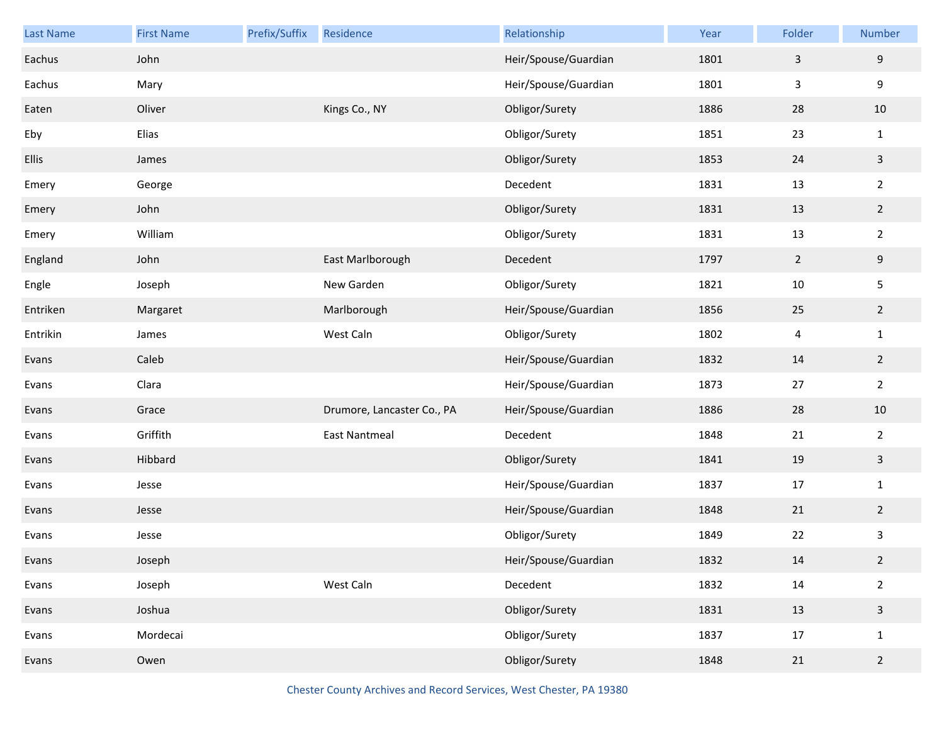| <b>Last Name</b> | <b>First Name</b> | Prefix/Suffix | Residence                  | Relationship         | Year | Folder         | Number         |
|------------------|-------------------|---------------|----------------------------|----------------------|------|----------------|----------------|
| Eachus           | John              |               |                            | Heir/Spouse/Guardian | 1801 | $\overline{3}$ | 9              |
| Eachus           | Mary              |               |                            | Heir/Spouse/Guardian | 1801 | $\mathsf{3}$   | 9              |
| Eaten            | Oliver            |               | Kings Co., NY              | Obligor/Surety       | 1886 | 28             | 10             |
| Eby              | Elias             |               |                            | Obligor/Surety       | 1851 | 23             | $\mathbf{1}$   |
| <b>Ellis</b>     | James             |               |                            | Obligor/Surety       | 1853 | 24             | $\mathbf{3}$   |
| Emery            | George            |               |                            | Decedent             | 1831 | 13             | $\overline{2}$ |
| Emery            | John              |               |                            | Obligor/Surety       | 1831 | 13             | $\overline{2}$ |
| Emery            | William           |               |                            | Obligor/Surety       | 1831 | 13             | $\overline{2}$ |
| England          | John              |               | East Marlborough           | Decedent             | 1797 | $\overline{2}$ | $9\,$          |
| Engle            | Joseph            |               | New Garden                 | Obligor/Surety       | 1821 | 10             | 5              |
| Entriken         | Margaret          |               | Marlborough                | Heir/Spouse/Guardian | 1856 | 25             | $\overline{2}$ |
| Entrikin         | James             |               | West Caln                  | Obligor/Surety       | 1802 | 4              | $\mathbf{1}$   |
| Evans            | Caleb             |               |                            | Heir/Spouse/Guardian | 1832 | 14             | $\overline{2}$ |
| Evans            | Clara             |               |                            | Heir/Spouse/Guardian | 1873 | 27             | $\overline{2}$ |
| Evans            | Grace             |               | Drumore, Lancaster Co., PA | Heir/Spouse/Guardian | 1886 | 28             | $10\,$         |
| Evans            | Griffith          |               | <b>East Nantmeal</b>       | Decedent             | 1848 | 21             | $\overline{2}$ |
| Evans            | Hibbard           |               |                            | Obligor/Surety       | 1841 | 19             | $\mathbf{3}$   |
| Evans            | Jesse             |               |                            | Heir/Spouse/Guardian | 1837 | 17             | $\mathbf{1}$   |
| Evans            | Jesse             |               |                            | Heir/Spouse/Guardian | 1848 | 21             | $\overline{2}$ |
| Evans            | Jesse             |               |                            | Obligor/Surety       | 1849 | 22             | 3              |
| Evans            | Joseph            |               |                            | Heir/Spouse/Guardian | 1832 | $14\,$         | $\overline{2}$ |
| Evans            | Joseph            |               | West Caln                  | Decedent             | 1832 | 14             | $\overline{2}$ |
| Evans            | Joshua            |               |                            | Obligor/Surety       | 1831 | 13             | $\mathsf{3}$   |
| Evans            | Mordecai          |               |                            | Obligor/Surety       | 1837 | 17             | $\mathbf{1}$   |
| Evans            | Owen              |               |                            | Obligor/Surety       | 1848 | 21             | $\overline{2}$ |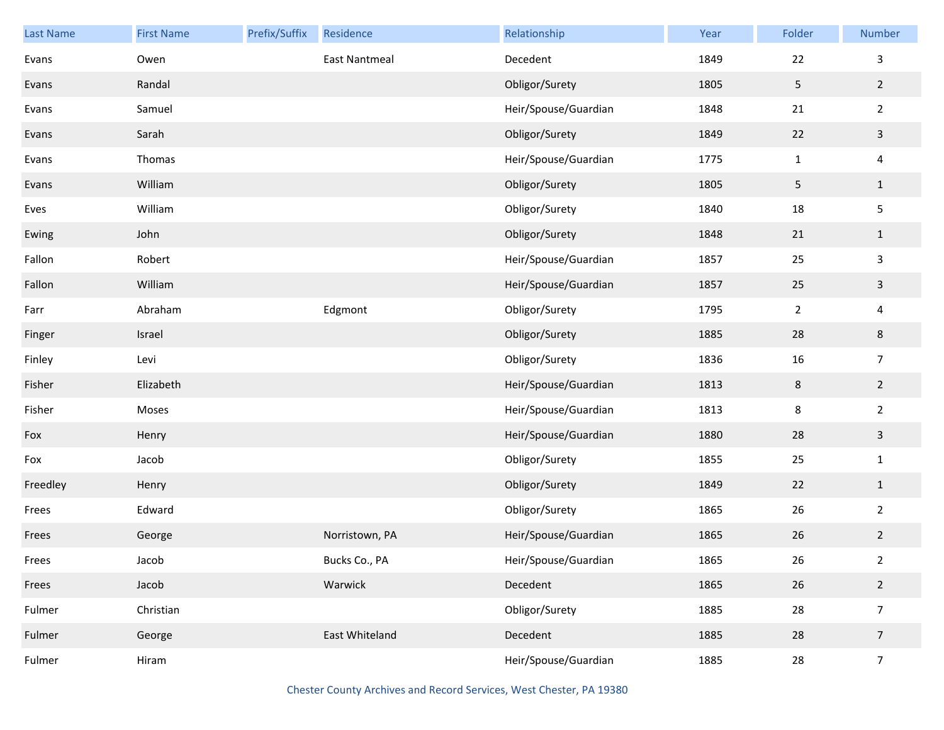| Last Name | <b>First Name</b> | Prefix/Suffix | Residence            | Relationship         | Year | Folder         | Number                  |
|-----------|-------------------|---------------|----------------------|----------------------|------|----------------|-------------------------|
| Evans     | Owen              |               | <b>East Nantmeal</b> | Decedent             | 1849 | 22             | $\mathbf{3}$            |
| Evans     | Randal            |               |                      | Obligor/Surety       | 1805 | 5              | $\overline{2}$          |
| Evans     | Samuel            |               |                      | Heir/Spouse/Guardian | 1848 | 21             | $\overline{2}$          |
| Evans     | Sarah             |               |                      | Obligor/Surety       | 1849 | 22             | $\mathbf{3}$            |
| Evans     | Thomas            |               |                      | Heir/Spouse/Guardian | 1775 | $\mathbf{1}$   | $\overline{\mathbf{4}}$ |
| Evans     | William           |               |                      | Obligor/Surety       | 1805 | 5              | $\mathbf{1}$            |
| Eves      | William           |               |                      | Obligor/Surety       | 1840 | 18             | $\mathsf S$             |
| Ewing     | John              |               |                      | Obligor/Surety       | 1848 | 21             | $\mathbf{1}$            |
| Fallon    | Robert            |               |                      | Heir/Spouse/Guardian | 1857 | 25             | $\mathsf{3}$            |
| Fallon    | William           |               |                      | Heir/Spouse/Guardian | 1857 | 25             | $\mathbf{3}$            |
| Farr      | Abraham           |               | Edgmont              | Obligor/Surety       | 1795 | $\overline{2}$ | $\overline{\mathbf{4}}$ |
| Finger    | Israel            |               |                      | Obligor/Surety       | 1885 | 28             | $\bf 8$                 |
| Finley    | Levi              |               |                      | Obligor/Surety       | 1836 | 16             | $\overline{7}$          |
| Fisher    | Elizabeth         |               |                      | Heir/Spouse/Guardian | 1813 | $\,8\,$        | $\overline{2}$          |
| Fisher    | Moses             |               |                      | Heir/Spouse/Guardian | 1813 | 8              | $\overline{2}$          |
| Fox       | Henry             |               |                      | Heir/Spouse/Guardian | 1880 | 28             | $\mathbf{3}$            |
| Fox       | Jacob             |               |                      | Obligor/Surety       | 1855 | 25             | $\mathbf 1$             |
| Freedley  | Henry             |               |                      | Obligor/Surety       | 1849 | 22             | $\mathbf{1}$            |
| Frees     | Edward            |               |                      | Obligor/Surety       | 1865 | 26             | $\overline{2}$          |
| Frees     | George            |               | Norristown, PA       | Heir/Spouse/Guardian | 1865 | 26             | $\overline{2}$          |
| Frees     | Jacob             |               | Bucks Co., PA        | Heir/Spouse/Guardian | 1865 | 26             | $\overline{2}$          |
| Frees     | Jacob             |               | Warwick              | Decedent             | 1865 | 26             | $\overline{2}$          |
| Fulmer    | Christian         |               |                      | Obligor/Surety       | 1885 | 28             | $\boldsymbol{7}$        |
| Fulmer    | George            |               | East Whiteland       | Decedent             | 1885 | 28             | $\overline{7}$          |
| Fulmer    | Hiram             |               |                      | Heir/Spouse/Guardian | 1885 | ${\bf 28}$     | $\overline{7}$          |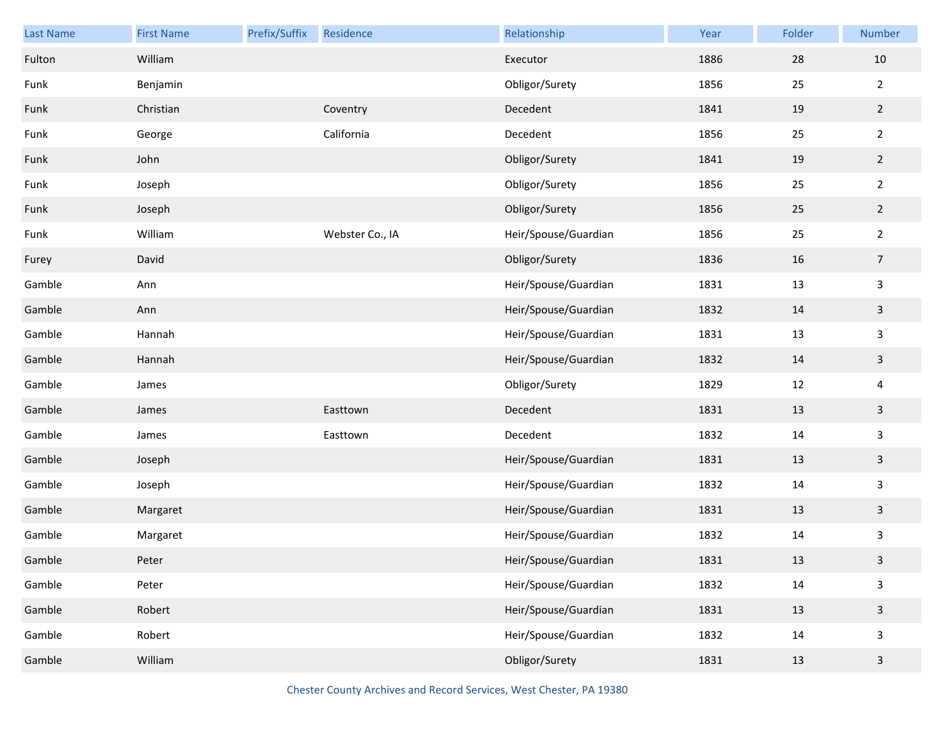| Last Name | <b>First Name</b> | Prefix/Suffix | Residence       | Relationship         | Year | Folder | Number         |
|-----------|-------------------|---------------|-----------------|----------------------|------|--------|----------------|
| Fulton    | William           |               |                 | Executor             | 1886 | 28     | $10\,$         |
| Funk      | Benjamin          |               |                 | Obligor/Surety       | 1856 | 25     | $\overline{2}$ |
| Funk      | Christian         |               | Coventry        | Decedent             | 1841 | 19     | $2^{\circ}$    |
| Funk      | George            |               | California      | Decedent             | 1856 | 25     | $\overline{2}$ |
| Funk      | John              |               |                 | Obligor/Surety       | 1841 | 19     | $\overline{2}$ |
| Funk      | Joseph            |               |                 | Obligor/Surety       | 1856 | 25     | $\overline{2}$ |
| Funk      | Joseph            |               |                 | Obligor/Surety       | 1856 | 25     | $2^{\circ}$    |
| Funk      | William           |               | Webster Co., IA | Heir/Spouse/Guardian | 1856 | 25     | $\overline{2}$ |
| Furey     | David             |               |                 | Obligor/Surety       | 1836 | 16     | $\overline{7}$ |
| Gamble    | Ann               |               |                 | Heir/Spouse/Guardian | 1831 | 13     | 3              |
| Gamble    | Ann               |               |                 | Heir/Spouse/Guardian | 1832 | 14     | $\mathbf{3}$   |
| Gamble    | Hannah            |               |                 | Heir/Spouse/Guardian | 1831 | 13     | 3              |
| Gamble    | Hannah            |               |                 | Heir/Spouse/Guardian | 1832 | 14     | $\mathbf{3}$   |
| Gamble    | James             |               |                 | Obligor/Surety       | 1829 | 12     | 4              |
| Gamble    | James             |               | Easttown        | Decedent             | 1831 | 13     | $\mathbf{3}$   |
| Gamble    | James             |               | Easttown        | Decedent             | 1832 | 14     | 3              |
| Gamble    | Joseph            |               |                 | Heir/Spouse/Guardian | 1831 | 13     | $\mathbf{3}$   |
| Gamble    | Joseph            |               |                 | Heir/Spouse/Guardian | 1832 | 14     | 3              |
| Gamble    | Margaret          |               |                 | Heir/Spouse/Guardian | 1831 | 13     | $\mathbf{3}$   |
| Gamble    | Margaret          |               |                 | Heir/Spouse/Guardian | 1832 | 14     | 3              |
| Gamble    | Peter             |               |                 | Heir/Spouse/Guardian | 1831 | $13\,$ | $\mathbf{3}$   |
| Gamble    | Peter             |               |                 | Heir/Spouse/Guardian | 1832 | 14     | $\mathbf{3}$   |
| Gamble    | Robert            |               |                 | Heir/Spouse/Guardian | 1831 | 13     | $\mathbf{3}$   |
| Gamble    | Robert            |               |                 | Heir/Spouse/Guardian | 1832 | 14     | 3              |
| Gamble    | William           |               |                 | Obligor/Surety       | 1831 | 13     | $\mathbf{3}$   |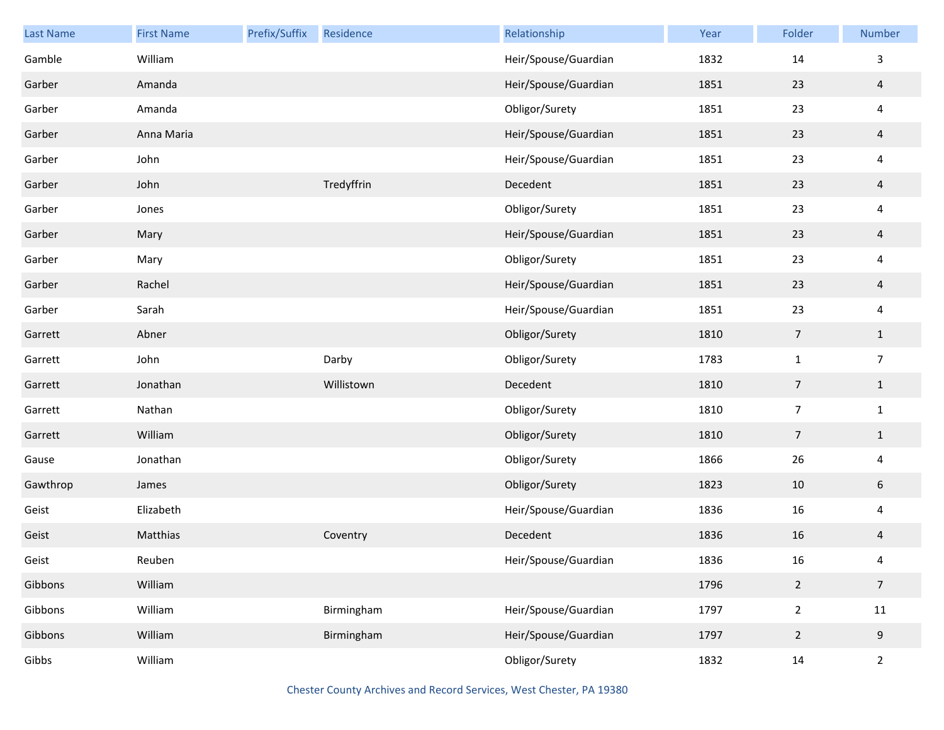| Last Name | <b>First Name</b> | Prefix/Suffix | Residence  | Relationship         | Year | Folder                   | Number          |
|-----------|-------------------|---------------|------------|----------------------|------|--------------------------|-----------------|
| Gamble    | William           |               |            | Heir/Spouse/Guardian | 1832 | 14                       | 3               |
| Garber    | Amanda            |               |            | Heir/Spouse/Guardian | 1851 | 23                       | $\overline{4}$  |
| Garber    | Amanda            |               |            | Obligor/Surety       | 1851 | 23                       | $\overline{4}$  |
| Garber    | Anna Maria        |               |            | Heir/Spouse/Guardian | 1851 | 23                       | $\overline{4}$  |
| Garber    | John              |               |            | Heir/Spouse/Guardian | 1851 | 23                       | $\overline{4}$  |
| Garber    | John              |               | Tredyffrin | Decedent             | 1851 | 23                       | $\overline{a}$  |
| Garber    | Jones             |               |            | Obligor/Surety       | 1851 | 23                       | $\overline{4}$  |
| Garber    | Mary              |               |            | Heir/Spouse/Guardian | 1851 | 23                       | $\overline{4}$  |
| Garber    | Mary              |               |            | Obligor/Surety       | 1851 | 23                       | $\overline{4}$  |
| Garber    | Rachel            |               |            | Heir/Spouse/Guardian | 1851 | 23                       | $\overline{a}$  |
| Garber    | Sarah             |               |            | Heir/Spouse/Guardian | 1851 | 23                       | $\overline{4}$  |
| Garrett   | Abner             |               |            | Obligor/Surety       | 1810 | 7                        | $\mathbf{1}$    |
| Garrett   | John              |               | Darby      | Obligor/Surety       | 1783 | $\mathbf{1}$             | $\overline{7}$  |
| Garrett   | Jonathan          |               | Willistown | Decedent             | 1810 | $\overline{7}$           | $\mathbf{1}$    |
| Garrett   | Nathan            |               |            | Obligor/Surety       | 1810 | $\overline{\phantom{a}}$ | $\mathbf 1$     |
| Garrett   | William           |               |            | Obligor/Surety       | 1810 | 7                        | $\mathbf{1}$    |
| Gause     | Jonathan          |               |            | Obligor/Surety       | 1866 | 26                       | $\overline{4}$  |
| Gawthrop  | James             |               |            | Obligor/Surety       | 1823 | $10\,$                   | $6\phantom{.}6$ |
| Geist     | Elizabeth         |               |            | Heir/Spouse/Guardian | 1836 | 16                       | $\overline{4}$  |
| Geist     | Matthias          |               | Coventry   | Decedent             | 1836 | 16                       | $\overline{4}$  |
| Geist     | Reuben            |               |            | Heir/Spouse/Guardian | 1836 | 16                       | 4               |
| Gibbons   | William           |               |            |                      | 1796 | $\overline{2}$           | $\overline{7}$  |
| Gibbons   | William           |               | Birmingham | Heir/Spouse/Guardian | 1797 | $\overline{2}$           | 11              |
| Gibbons   | William           |               | Birmingham | Heir/Spouse/Guardian | 1797 | $\overline{2}$           | $9\,$           |
| Gibbs     | William           |               |            | Obligor/Surety       | 1832 | 14                       | $\overline{2}$  |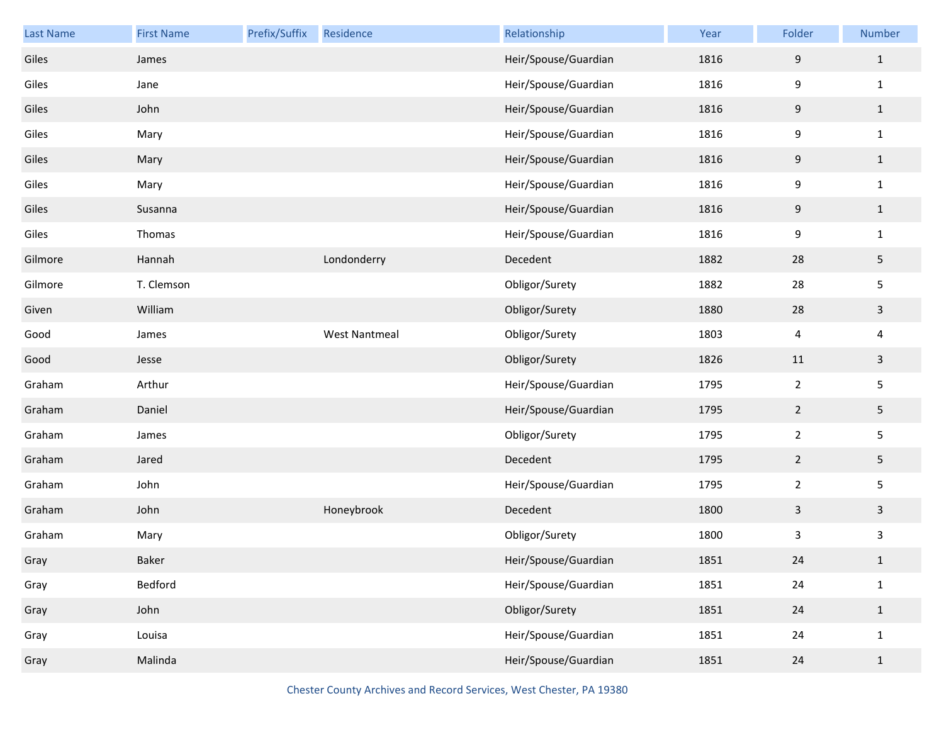| Last Name | <b>First Name</b> | Prefix/Suffix | Residence            | Relationship         | Year | Folder         | Number       |
|-----------|-------------------|---------------|----------------------|----------------------|------|----------------|--------------|
| Giles     | James             |               |                      | Heir/Spouse/Guardian | 1816 | $9\,$          | $1\,$        |
| Giles     | Jane              |               |                      | Heir/Spouse/Guardian | 1816 | 9              | $1\,$        |
| Giles     | John              |               |                      | Heir/Spouse/Guardian | 1816 | $9\,$          | $\mathbf{1}$ |
| Giles     | Mary              |               |                      | Heir/Spouse/Guardian | 1816 | 9              | $\mathbf{1}$ |
| Giles     | Mary              |               |                      | Heir/Spouse/Guardian | 1816 | $9\,$          | $\mathbf{1}$ |
| Giles     | Mary              |               |                      | Heir/Spouse/Guardian | 1816 | 9              | $\mathbf{1}$ |
| Giles     | Susanna           |               |                      | Heir/Spouse/Guardian | 1816 | $9\,$          | $\mathbf{1}$ |
| Giles     | Thomas            |               |                      | Heir/Spouse/Guardian | 1816 | 9              | $\mathbf{1}$ |
| Gilmore   | Hannah            |               | Londonderry          | Decedent             | 1882 | 28             | 5            |
| Gilmore   | T. Clemson        |               |                      | Obligor/Surety       | 1882 | 28             | 5            |
| Given     | William           |               |                      | Obligor/Surety       | 1880 | 28             | $\mathbf{3}$ |
| Good      | James             |               | <b>West Nantmeal</b> | Obligor/Surety       | 1803 | 4              | 4            |
| Good      | Jesse             |               |                      | Obligor/Surety       | 1826 | 11             | $\mathbf{3}$ |
| Graham    | Arthur            |               |                      | Heir/Spouse/Guardian | 1795 | $\overline{2}$ | 5            |
| Graham    | Daniel            |               |                      | Heir/Spouse/Guardian | 1795 | $\overline{2}$ | 5            |
| Graham    | James             |               |                      | Obligor/Surety       | 1795 | $\overline{2}$ | 5            |
| Graham    | Jared             |               |                      | Decedent             | 1795 | $\overline{2}$ | 5            |
| Graham    | John              |               |                      | Heir/Spouse/Guardian | 1795 | $\overline{2}$ | 5            |
| Graham    | John              |               | Honeybrook           | Decedent             | 1800 | $\mathbf{3}$   | $\mathbf{3}$ |
| Graham    | Mary              |               |                      | Obligor/Surety       | 1800 | $\mathsf{3}$   | 3            |
| Gray      | Baker             |               |                      | Heir/Spouse/Guardian | 1851 | 24             | $\mathbf{1}$ |
| Gray      | Bedford           |               |                      | Heir/Spouse/Guardian | 1851 | 24             | $\mathbf{1}$ |
| Gray      | John              |               |                      | Obligor/Surety       | 1851 | 24             | $\mathbf{1}$ |
| Gray      | Louisa            |               |                      | Heir/Spouse/Guardian | 1851 | 24             | $\mathbf{1}$ |
| Gray      | Malinda           |               |                      | Heir/Spouse/Guardian | 1851 | 24             | $1\,$        |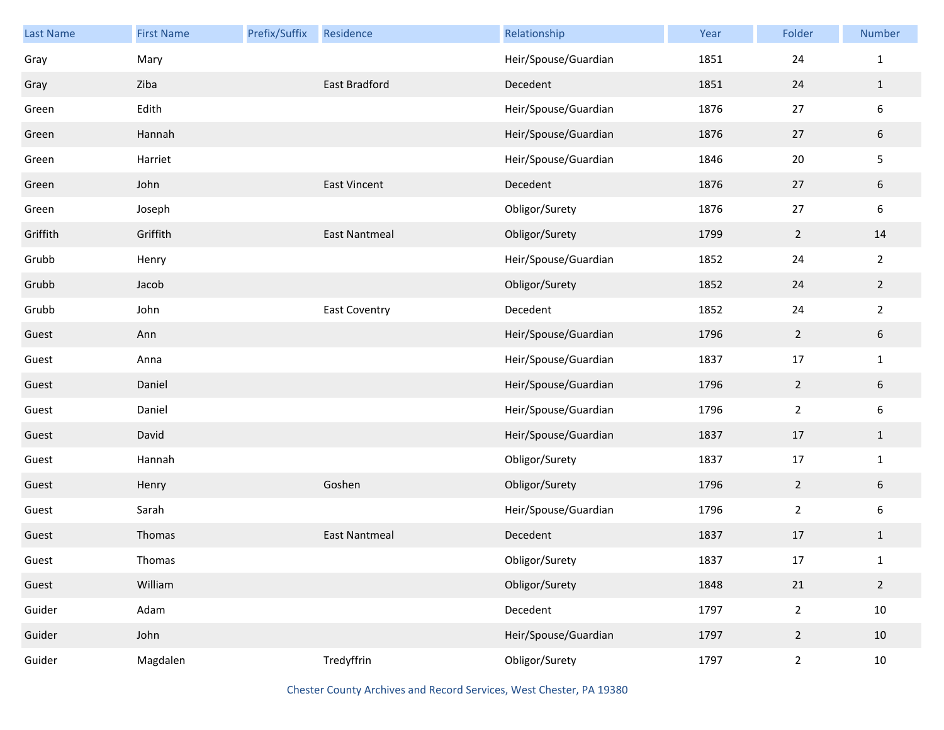| <b>Last Name</b> | <b>First Name</b> | Prefix/Suffix | Residence            | Relationship         | Year | Folder         | Number           |
|------------------|-------------------|---------------|----------------------|----------------------|------|----------------|------------------|
| Gray             | Mary              |               |                      | Heir/Spouse/Guardian | 1851 | 24             | $\mathbf{1}$     |
| Gray             | Ziba              |               | <b>East Bradford</b> | Decedent             | 1851 | 24             | $\mathbf{1}$     |
| Green            | Edith             |               |                      | Heir/Spouse/Guardian | 1876 | $27\,$         | $\boldsymbol{6}$ |
| Green            | Hannah            |               |                      | Heir/Spouse/Guardian | 1876 | 27             | $\sqrt{6}$       |
| Green            | Harriet           |               |                      | Heir/Spouse/Guardian | 1846 | 20             | $\mathsf S$      |
| Green            | John              |               | <b>East Vincent</b>  | Decedent             | 1876 | 27             | $\sqrt{6}$       |
| Green            | Joseph            |               |                      | Obligor/Surety       | 1876 | $27\,$         | $\boldsymbol{6}$ |
| Griffith         | Griffith          |               | <b>East Nantmeal</b> | Obligor/Surety       | 1799 | $\overline{2}$ | 14               |
| Grubb            | Henry             |               |                      | Heir/Spouse/Guardian | 1852 | 24             | $\overline{2}$   |
| Grubb            | Jacob             |               |                      | Obligor/Surety       | 1852 | 24             | $\overline{2}$   |
| Grubb            | John              |               | <b>East Coventry</b> | Decedent             | 1852 | 24             | $\overline{2}$   |
| Guest            | Ann               |               |                      | Heir/Spouse/Guardian | 1796 | $\overline{2}$ | $6\phantom{.}6$  |
| Guest            | Anna              |               |                      | Heir/Spouse/Guardian | 1837 | $17\,$         | $\mathbf{1}$     |
| Guest            | Daniel            |               |                      | Heir/Spouse/Guardian | 1796 | $\overline{2}$ | $\sqrt{6}$       |
| Guest            | Daniel            |               |                      | Heir/Spouse/Guardian | 1796 | $\overline{2}$ | $\boldsymbol{6}$ |
| Guest            | David             |               |                      | Heir/Spouse/Guardian | 1837 | 17             | $\mathbf{1}$     |
| Guest            | Hannah            |               |                      | Obligor/Surety       | 1837 | $17\,$         | $\mathbf{1}$     |
| Guest            | Henry             |               | Goshen               | Obligor/Surety       | 1796 | $\overline{2}$ | $\sqrt{6}$       |
| Guest            | Sarah             |               |                      | Heir/Spouse/Guardian | 1796 | $\overline{2}$ | $\boldsymbol{6}$ |
| Guest            | Thomas            |               | <b>East Nantmeal</b> | Decedent             | 1837 | 17             | $\mathbf{1}$     |
| Guest            | Thomas            |               |                      | Obligor/Surety       | 1837 | $17\,$         | $\mathbf{1}$     |
| Guest            | William           |               |                      | Obligor/Surety       | 1848 | 21             | $\overline{2}$   |
| Guider           | Adam              |               |                      | Decedent             | 1797 | $\mathbf 2$    | $10\,$           |
| Guider           | John              |               |                      | Heir/Spouse/Guardian | 1797 | $\overline{2}$ | 10               |
| Guider           | Magdalen          |               | Tredyffrin           | Obligor/Surety       | 1797 | $\overline{2}$ | $10\,$           |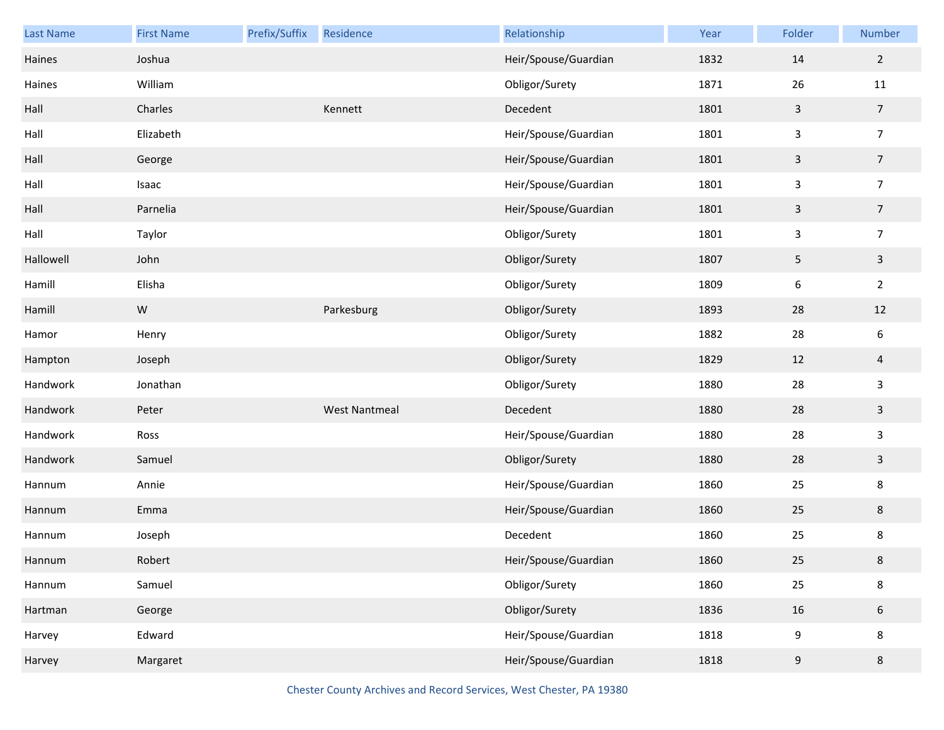| <b>Last Name</b> | <b>First Name</b> | Prefix/Suffix | Residence            | Relationship         | Year | Folder           | Number         |
|------------------|-------------------|---------------|----------------------|----------------------|------|------------------|----------------|
| Haines           | Joshua            |               |                      | Heir/Spouse/Guardian | 1832 | 14               | $\overline{2}$ |
| Haines           | William           |               |                      | Obligor/Surety       | 1871 | 26               | 11             |
| Hall             | Charles           |               | Kennett              | Decedent             | 1801 | $\mathsf{3}$     | $\overline{7}$ |
| Hall             | Elizabeth         |               |                      | Heir/Spouse/Guardian | 1801 | 3                | $\overline{7}$ |
| Hall             | George            |               |                      | Heir/Spouse/Guardian | 1801 | $\mathsf{3}$     | $\overline{7}$ |
| Hall             | Isaac             |               |                      | Heir/Spouse/Guardian | 1801 | 3                | $\overline{7}$ |
| Hall             | Parnelia          |               |                      | Heir/Spouse/Guardian | 1801 | $\mathsf{3}$     | $\overline{7}$ |
| Hall             | Taylor            |               |                      | Obligor/Surety       | 1801 | 3                | $\overline{7}$ |
| Hallowell        | John              |               |                      | Obligor/Surety       | 1807 | $\sqrt{5}$       | $\mathsf{3}$   |
| Hamill           | Elisha            |               |                      | Obligor/Surety       | 1809 | $\boldsymbol{6}$ | $\overline{2}$ |
| Hamill           | ${\sf W}$         |               | Parkesburg           | Obligor/Surety       | 1893 | 28               | 12             |
| Hamor            | Henry             |               |                      | Obligor/Surety       | 1882 | 28               | 6              |
| Hampton          | Joseph            |               |                      | Obligor/Surety       | 1829 | 12               | $\overline{4}$ |
| Handwork         | Jonathan          |               |                      | Obligor/Surety       | 1880 | 28               | 3              |
| Handwork         | Peter             |               | <b>West Nantmeal</b> | Decedent             | 1880 | 28               | $\mathbf{3}$   |
| Handwork         | Ross              |               |                      | Heir/Spouse/Guardian | 1880 | 28               | 3              |
| Handwork         | Samuel            |               |                      | Obligor/Surety       | 1880 | 28               | $\overline{3}$ |
| Hannum           | Annie             |               |                      | Heir/Spouse/Guardian | 1860 | 25               | 8              |
| Hannum           | Emma              |               |                      | Heir/Spouse/Guardian | 1860 | 25               | $\bf 8$        |
| Hannum           | Joseph            |               |                      | Decedent             | 1860 | 25               | 8              |
| Hannum           | Robert            |               |                      | Heir/Spouse/Guardian | 1860 | $25\,$           | 8              |
| Hannum           | Samuel            |               |                      | Obligor/Surety       | 1860 | 25               | 8              |
| Hartman          | George            |               |                      | Obligor/Surety       | 1836 | 16               | $6\,$          |
| Harvey           | Edward            |               |                      | Heir/Spouse/Guardian | 1818 | 9                | 8              |
| Harvey           | Margaret          |               |                      | Heir/Spouse/Guardian | 1818 | 9                | $\bf 8$        |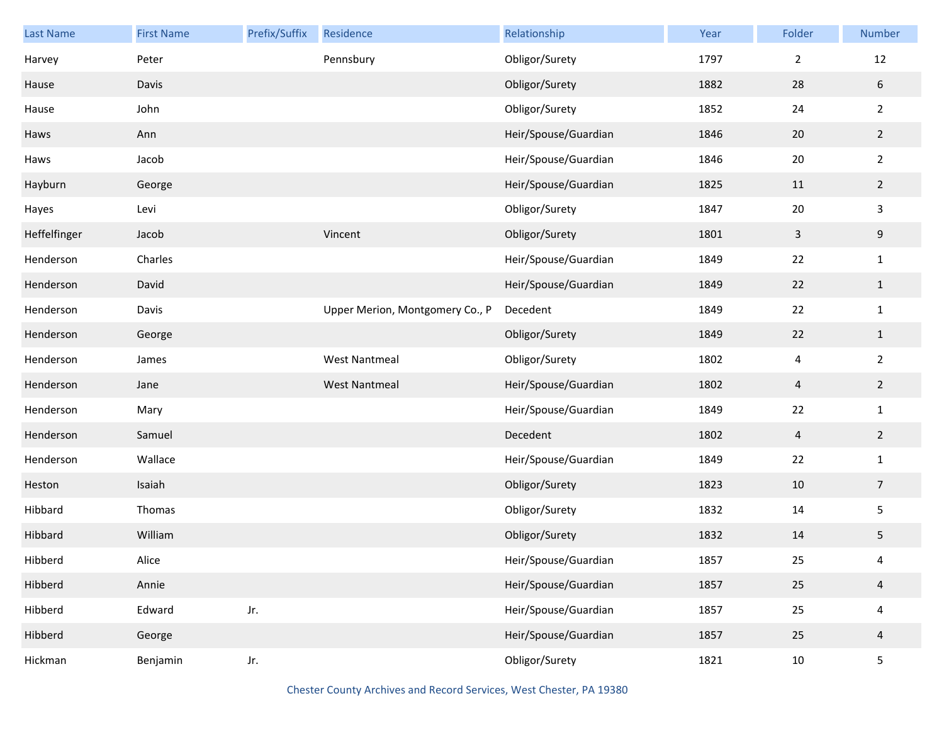| <b>Last Name</b> | <b>First Name</b> | Prefix/Suffix | Residence                       | Relationship         | Year | Folder                  | Number                  |
|------------------|-------------------|---------------|---------------------------------|----------------------|------|-------------------------|-------------------------|
| Harvey           | Peter             |               | Pennsbury                       | Obligor/Surety       | 1797 | $\overline{2}$          | 12                      |
| Hause            | Davis             |               |                                 | Obligor/Surety       | 1882 | 28                      | $\sqrt{6}$              |
| Hause            | John              |               |                                 | Obligor/Surety       | 1852 | 24                      | $\overline{2}$          |
| Haws             | Ann               |               |                                 | Heir/Spouse/Guardian | 1846 | 20                      | $\overline{2}$          |
| Haws             | Jacob             |               |                                 | Heir/Spouse/Guardian | 1846 | $20\,$                  | $\overline{2}$          |
| Hayburn          | George            |               |                                 | Heir/Spouse/Guardian | 1825 | 11                      | $\overline{2}$          |
| Hayes            | Levi              |               |                                 | Obligor/Surety       | 1847 | $20\,$                  | $\mathsf{3}$            |
| Heffelfinger     | Jacob             |               | Vincent                         | Obligor/Surety       | 1801 | 3                       | $9\,$                   |
| Henderson        | Charles           |               |                                 | Heir/Spouse/Guardian | 1849 | 22                      | $\mathbf 1$             |
| Henderson        | David             |               |                                 | Heir/Spouse/Guardian | 1849 | 22                      | $\mathbf{1}$            |
| Henderson        | Davis             |               | Upper Merion, Montgomery Co., P | Decedent             | 1849 | 22                      | $\mathbf 1$             |
| Henderson        | George            |               |                                 | Obligor/Surety       | 1849 | 22                      | $\mathbf{1}$            |
| Henderson        | James             |               | <b>West Nantmeal</b>            | Obligor/Surety       | 1802 | 4                       | $\overline{2}$          |
| Henderson        | Jane              |               | <b>West Nantmeal</b>            | Heir/Spouse/Guardian | 1802 | $\overline{\mathbf{4}}$ | $\overline{2}$          |
| Henderson        | Mary              |               |                                 | Heir/Spouse/Guardian | 1849 | 22                      | $\mathbf 1$             |
| Henderson        | Samuel            |               |                                 | Decedent             | 1802 | 4                       | $\overline{2}$          |
| Henderson        | Wallace           |               |                                 | Heir/Spouse/Guardian | 1849 | 22                      | $\mathbf{1}$            |
| Heston           | Isaiah            |               |                                 | Obligor/Surety       | 1823 | 10                      | $\overline{7}$          |
| Hibbard          | Thomas            |               |                                 | Obligor/Surety       | 1832 | 14                      | $\mathsf S$             |
| Hibbard          | William           |               |                                 | Obligor/Surety       | 1832 | 14                      | 5                       |
| Hibberd          | Alice             |               |                                 | Heir/Spouse/Guardian | 1857 | 25                      | 4                       |
| Hibberd          | Annie             |               |                                 | Heir/Spouse/Guardian | 1857 | 25                      | $\overline{4}$          |
| Hibberd          | Edward            | Jr.           |                                 | Heir/Spouse/Guardian | 1857 | 25                      | $\overline{\mathbf{4}}$ |
| Hibberd          | George            |               |                                 | Heir/Spouse/Guardian | 1857 | 25                      | $\overline{4}$          |
| Hickman          | Benjamin          | Jr.           |                                 | Obligor/Surety       | 1821 | 10                      | $\overline{5}$          |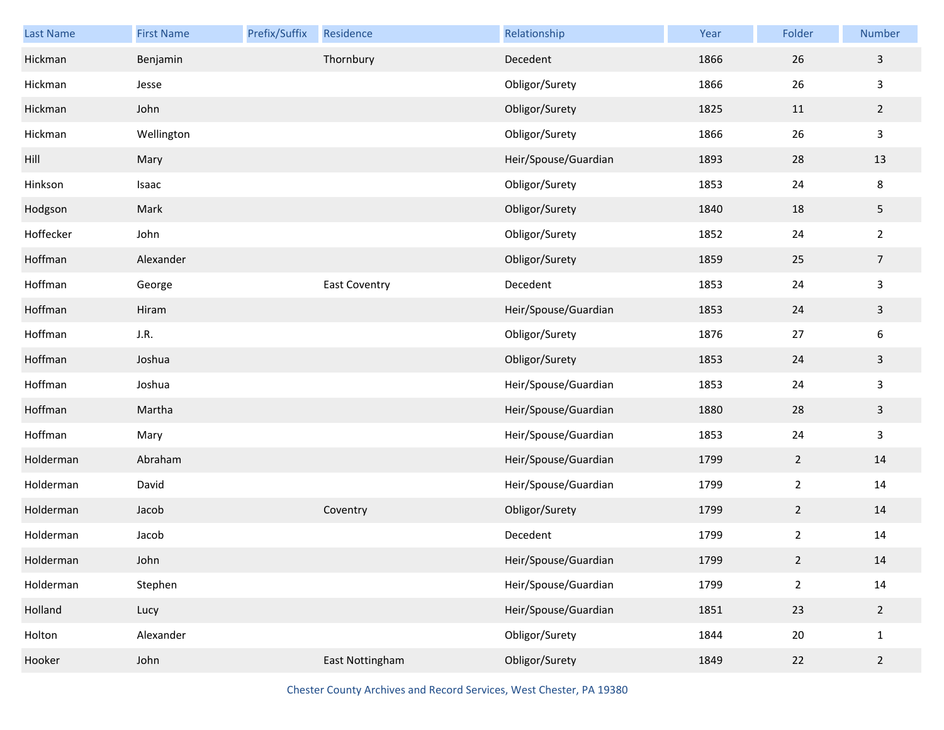| <b>Last Name</b> | <b>First Name</b> | Prefix/Suffix | Residence       | Relationship         | Year | Folder         | Number         |
|------------------|-------------------|---------------|-----------------|----------------------|------|----------------|----------------|
| Hickman          | Benjamin          |               | Thornbury       | Decedent             | 1866 | 26             | $\mathbf{3}$   |
| Hickman          | Jesse             |               |                 | Obligor/Surety       | 1866 | 26             | $\mathbf{3}$   |
| Hickman          | John              |               |                 | Obligor/Surety       | 1825 | 11             | $2^{\circ}$    |
| Hickman          | Wellington        |               |                 | Obligor/Surety       | 1866 | 26             | $\mathbf{3}$   |
| Hill             | Mary              |               |                 | Heir/Spouse/Guardian | 1893 | 28             | 13             |
| Hinkson          | Isaac             |               |                 | Obligor/Surety       | 1853 | 24             | 8              |
| Hodgson          | Mark              |               |                 | Obligor/Surety       | 1840 | 18             | 5              |
| Hoffecker        | John              |               |                 | Obligor/Surety       | 1852 | 24             | $\overline{2}$ |
| Hoffman          | Alexander         |               |                 | Obligor/Surety       | 1859 | 25             | $\overline{7}$ |
| Hoffman          | George            |               | East Coventry   | Decedent             | 1853 | 24             | $\mathbf{3}$   |
| Hoffman          | Hiram             |               |                 | Heir/Spouse/Guardian | 1853 | 24             | $\mathbf{3}$   |
| Hoffman          | J.R.              |               |                 | Obligor/Surety       | 1876 | 27             | 6              |
| Hoffman          | Joshua            |               |                 | Obligor/Surety       | 1853 | 24             | $\mathbf{3}$   |
| Hoffman          | Joshua            |               |                 | Heir/Spouse/Guardian | 1853 | 24             | $\mathbf{3}$   |
| Hoffman          | Martha            |               |                 | Heir/Spouse/Guardian | 1880 | 28             | $\mathbf{3}$   |
| Hoffman          | Mary              |               |                 | Heir/Spouse/Guardian | 1853 | 24             | $\mathbf{3}$   |
| Holderman        | Abraham           |               |                 | Heir/Spouse/Guardian | 1799 | $\overline{2}$ | $14\,$         |
| Holderman        | David             |               |                 | Heir/Spouse/Guardian | 1799 | $\overline{2}$ | 14             |
| Holderman        | Jacob             |               | Coventry        | Obligor/Surety       | 1799 | $\overline{2}$ | 14             |
| Holderman        | Jacob             |               |                 | Decedent             | 1799 | $\overline{2}$ | 14             |
| Holderman        | John              |               |                 | Heir/Spouse/Guardian | 1799 | 2 <sup>1</sup> | 14             |
| Holderman        | Stephen           |               |                 | Heir/Spouse/Guardian | 1799 | $\overline{2}$ | $14\,$         |
| Holland          | Lucy              |               |                 | Heir/Spouse/Guardian | 1851 | 23             | $2^{\circ}$    |
| Holton           | Alexander         |               |                 | Obligor/Surety       | 1844 | 20             | $\mathbf{1}$   |
| Hooker           | John              |               | East Nottingham | Obligor/Surety       | 1849 | 22             | $\overline{2}$ |

Chester County Archives and Record Services, West Chester, PA 19380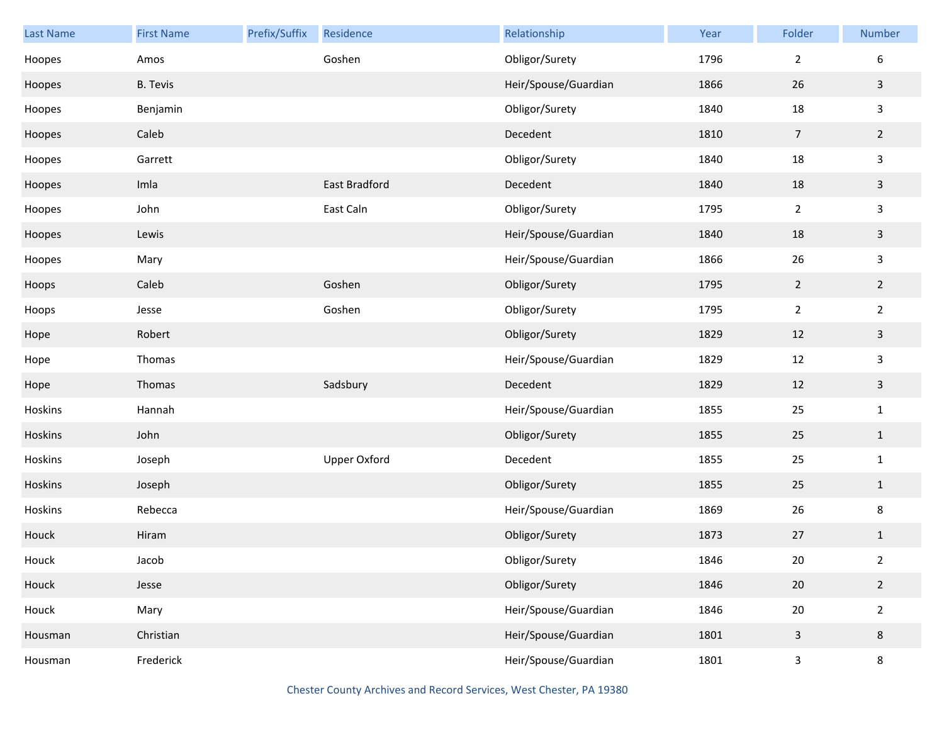| <b>Last Name</b> | <b>First Name</b> | Prefix/Suffix | Residence     | Relationship         | Year | Folder         | Number         |
|------------------|-------------------|---------------|---------------|----------------------|------|----------------|----------------|
| Hoopes           | Amos              |               | Goshen        | Obligor/Surety       | 1796 | $\overline{2}$ | 6              |
| Hoopes           | <b>B.</b> Tevis   |               |               | Heir/Spouse/Guardian | 1866 | 26             | $\mathbf{3}$   |
| Hoopes           | Benjamin          |               |               | Obligor/Surety       | 1840 | 18             | $\mathbf{3}$   |
| Hoopes           | Caleb             |               |               | Decedent             | 1810 | $\overline{7}$ | $\overline{2}$ |
| Hoopes           | Garrett           |               |               | Obligor/Surety       | 1840 | 18             | $\mathsf{3}$   |
| Hoopes           | Imla              |               | East Bradford | Decedent             | 1840 | 18             | $\mathbf{3}$   |
| Hoopes           | John              |               | East Caln     | Obligor/Surety       | 1795 | $\overline{2}$ | $\mathbf{3}$   |
| Hoopes           | Lewis             |               |               | Heir/Spouse/Guardian | 1840 | 18             | $\mathbf{3}$   |
| Hoopes           | Mary              |               |               | Heir/Spouse/Guardian | 1866 | 26             | $\mathbf{3}$   |
| Hoops            | Caleb             |               | Goshen        | Obligor/Surety       | 1795 | $\overline{2}$ | $\overline{2}$ |
| Hoops            | Jesse             |               | Goshen        | Obligor/Surety       | 1795 | $\overline{2}$ | $\overline{2}$ |
| Hope             | Robert            |               |               | Obligor/Surety       | 1829 | 12             | $\mathbf{3}$   |
| Hope             | Thomas            |               |               | Heir/Spouse/Guardian | 1829 | $12\,$         | $\mathbf{3}$   |
| Hope             | Thomas            |               | Sadsbury      | Decedent             | 1829 | 12             | $\mathbf{3}$   |
| Hoskins          | Hannah            |               |               | Heir/Spouse/Guardian | 1855 | 25             | $\mathbf{1}$   |
| Hoskins          | John              |               |               | Obligor/Surety       | 1855 | 25             | $\mathbf{1}$   |
| Hoskins          | Joseph            |               | Upper Oxford  | Decedent             | 1855 | 25             | $\mathbf{1}$   |
| Hoskins          | Joseph            |               |               | Obligor/Surety       | 1855 | 25             | $\mathbf{1}$   |
| Hoskins          | Rebecca           |               |               | Heir/Spouse/Guardian | 1869 | 26             | $\bf 8$        |
| Houck            | Hiram             |               |               | Obligor/Surety       | 1873 | 27             | $\mathbf{1}$   |
| Houck            | Jacob             |               |               | Obligor/Surety       | 1846 | 20             | $\overline{2}$ |
| Houck            | Jesse             |               |               | Obligor/Surety       | 1846 | 20             | $\overline{2}$ |
| Houck            | Mary              |               |               | Heir/Spouse/Guardian | 1846 | $20\,$         | $\overline{2}$ |
| Housman          | Christian         |               |               | Heir/Spouse/Guardian | 1801 | 3              | $\bf 8$        |
| Housman          | Frederick         |               |               | Heir/Spouse/Guardian | 1801 | 3              | 8              |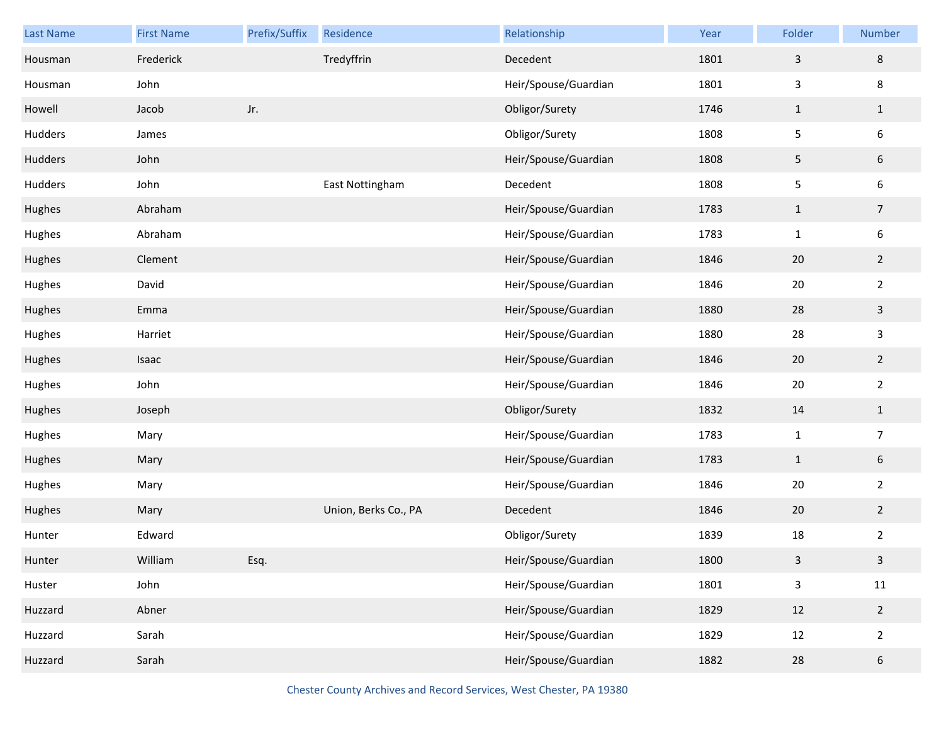| Last Name | <b>First Name</b> | Prefix/Suffix | Residence            | Relationship         | Year | Folder                  | Number                  |
|-----------|-------------------|---------------|----------------------|----------------------|------|-------------------------|-------------------------|
| Housman   | Frederick         |               | Tredyffrin           | Decedent             | 1801 | $\mathsf{3}$            | 8                       |
| Housman   | John              |               |                      | Heir/Spouse/Guardian | 1801 | $\mathbf{3}$            | 8                       |
| Howell    | Jacob             | Jr.           |                      | Obligor/Surety       | 1746 | $\mathbf{1}$            | $\mathbf{1}$            |
| Hudders   | James             |               |                      | Obligor/Surety       | 1808 | 5                       | 6                       |
| Hudders   | John              |               |                      | Heir/Spouse/Guardian | 1808 | $\sqrt{5}$              | $6\phantom{.}6$         |
| Hudders   | John              |               | East Nottingham      | Decedent             | 1808 | 5                       | 6                       |
| Hughes    | Abraham           |               |                      | Heir/Spouse/Guardian | 1783 | $\mathbf{1}$            | $\overline{7}$          |
| Hughes    | Abraham           |               |                      | Heir/Spouse/Guardian | 1783 | $\mathbf{1}$            | 6                       |
| Hughes    | Clement           |               |                      | Heir/Spouse/Guardian | 1846 | 20                      | $\overline{2}$          |
| Hughes    | David             |               |                      | Heir/Spouse/Guardian | 1846 | $20\,$                  | $\overline{2}$          |
| Hughes    | Emma              |               |                      | Heir/Spouse/Guardian | 1880 | 28                      | $\mathbf{3}$            |
| Hughes    | Harriet           |               |                      | Heir/Spouse/Guardian | 1880 | 28                      | 3                       |
| Hughes    | Isaac             |               |                      | Heir/Spouse/Guardian | 1846 | 20                      | $\overline{2}$          |
| Hughes    | John              |               |                      | Heir/Spouse/Guardian | 1846 | $20\,$                  | $\overline{2}$          |
| Hughes    | Joseph            |               |                      | Obligor/Surety       | 1832 | 14                      | $\mathbf{1}$            |
| Hughes    | Mary              |               |                      | Heir/Spouse/Guardian | 1783 | $\mathbf{1}$            | $\overline{7}$          |
| Hughes    | Mary              |               |                      | Heir/Spouse/Guardian | 1783 | $\mathbf{1}$            | $\sqrt{6}$              |
| Hughes    | Mary              |               |                      | Heir/Spouse/Guardian | 1846 | 20                      | $\overline{2}$          |
| Hughes    | Mary              |               | Union, Berks Co., PA | Decedent             | 1846 | 20                      | $\overline{2}$          |
| Hunter    | Edward            |               |                      | Obligor/Surety       | 1839 | 18                      | $\overline{2}$          |
| Hunter    | William           | Esq.          |                      | Heir/Spouse/Guardian | 1800 | $\overline{\mathbf{3}}$ | $\overline{\mathbf{3}}$ |
| Huster    | John              |               |                      | Heir/Spouse/Guardian | 1801 | $\mathsf 3$             | $11\,$                  |
| Huzzard   | Abner             |               |                      | Heir/Spouse/Guardian | 1829 | 12                      | $\overline{2}$          |
| Huzzard   | Sarah             |               |                      | Heir/Spouse/Guardian | 1829 | 12                      | $\overline{2}$          |
| Huzzard   | Sarah             |               |                      | Heir/Spouse/Guardian | 1882 | 28                      | $\sqrt{6}$              |

Chester County Archives and Record Services, West Chester, PA 19380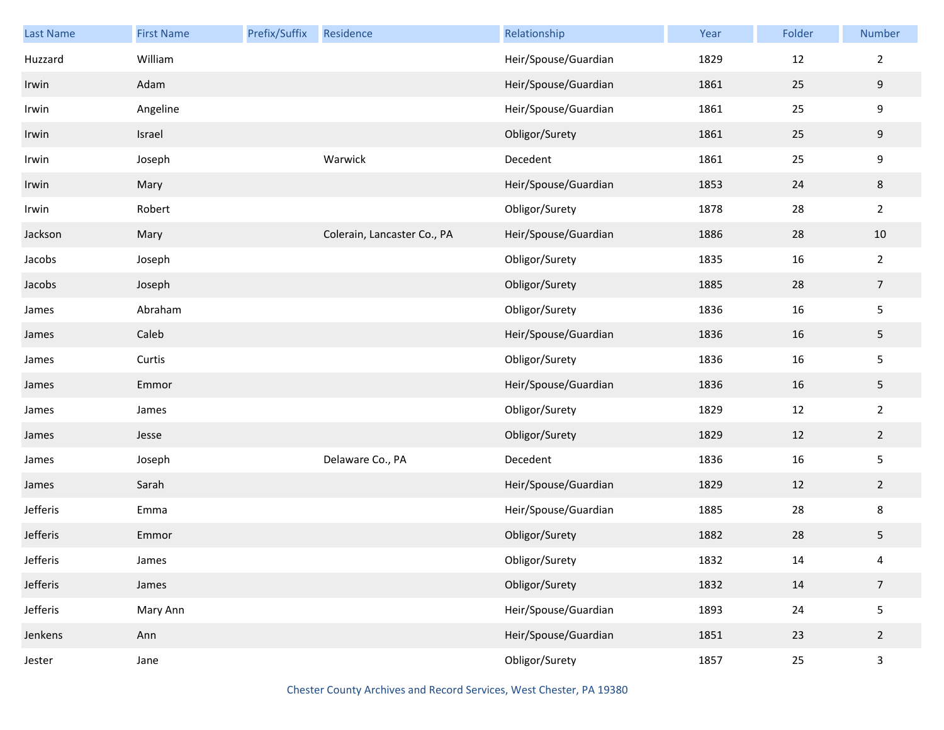| Last Name | <b>First Name</b> | Prefix/Suffix | Residence                   | Relationship         | Year | Folder | Number           |
|-----------|-------------------|---------------|-----------------------------|----------------------|------|--------|------------------|
| Huzzard   | William           |               |                             | Heir/Spouse/Guardian | 1829 | 12     | $\overline{2}$   |
| Irwin     | Adam              |               |                             | Heir/Spouse/Guardian | 1861 | 25     | 9                |
| Irwin     | Angeline          |               |                             | Heir/Spouse/Guardian | 1861 | 25     | $\boldsymbol{9}$ |
| Irwin     | Israel            |               |                             | Obligor/Surety       | 1861 | 25     | 9                |
| Irwin     | Joseph            |               | Warwick                     | Decedent             | 1861 | 25     | $\boldsymbol{9}$ |
| Irwin     | Mary              |               |                             | Heir/Spouse/Guardian | 1853 | 24     | $\,8\,$          |
| Irwin     | Robert            |               |                             | Obligor/Surety       | 1878 | 28     | $\overline{2}$   |
| Jackson   | Mary              |               | Colerain, Lancaster Co., PA | Heir/Spouse/Guardian | 1886 | 28     | 10               |
| Jacobs    | Joseph            |               |                             | Obligor/Surety       | 1835 | 16     | $\overline{2}$   |
| Jacobs    | Joseph            |               |                             | Obligor/Surety       | 1885 | 28     | $\overline{7}$   |
| James     | Abraham           |               |                             | Obligor/Surety       | 1836 | 16     | $\mathsf S$      |
| James     | Caleb             |               |                             | Heir/Spouse/Guardian | 1836 | 16     | 5                |
| James     | Curtis            |               |                             | Obligor/Surety       | 1836 | 16     | $\mathsf S$      |
| James     | Emmor             |               |                             | Heir/Spouse/Guardian | 1836 | 16     | 5                |
| James     | James             |               |                             | Obligor/Surety       | 1829 | 12     | $\sqrt{2}$       |
| James     | Jesse             |               |                             | Obligor/Surety       | 1829 | 12     | $\overline{2}$   |
| James     | Joseph            |               | Delaware Co., PA            | Decedent             | 1836 | 16     | $\mathsf S$      |
| James     | Sarah             |               |                             | Heir/Spouse/Guardian | 1829 | 12     | $\overline{2}$   |
| Jefferis  | Emma              |               |                             | Heir/Spouse/Guardian | 1885 | 28     | $\,8\,$          |
| Jefferis  | Emmor             |               |                             | Obligor/Surety       | 1882 | 28     | 5                |
| Jefferis  | James             |               |                             | Obligor/Surety       | 1832 | 14     | 4                |
| Jefferis  | James             |               |                             | Obligor/Surety       | 1832 | 14     | $\overline{7}$   |
| Jefferis  | Mary Ann          |               |                             | Heir/Spouse/Guardian | 1893 | 24     | $\mathsf S$      |
| Jenkens   | Ann               |               |                             | Heir/Spouse/Guardian | 1851 | 23     | $\overline{2}$   |
| Jester    | Jane              |               |                             | Obligor/Surety       | 1857 | $25\,$ | $\mathsf{3}$     |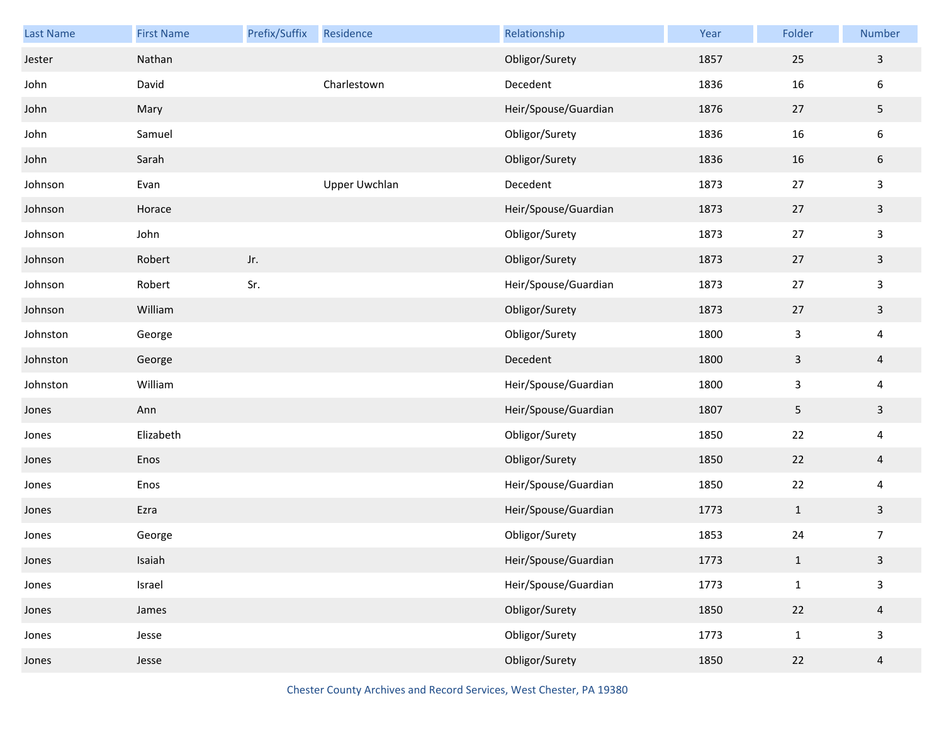| Last Name | <b>First Name</b> | Prefix/Suffix | Residence            | Relationship         | Year | Folder       | Number                  |
|-----------|-------------------|---------------|----------------------|----------------------|------|--------------|-------------------------|
| Jester    | Nathan            |               |                      | Obligor/Surety       | 1857 | 25           | $\mathbf{3}$            |
| John      | David             |               | Charlestown          | Decedent             | 1836 | 16           | 6                       |
| John      | Mary              |               |                      | Heir/Spouse/Guardian | 1876 | 27           | 5                       |
| John      | Samuel            |               |                      | Obligor/Surety       | 1836 | 16           | 6                       |
| John      | Sarah             |               |                      | Obligor/Surety       | 1836 | 16           | 6                       |
| Johnson   | Evan              |               | <b>Upper Uwchlan</b> | Decedent             | 1873 | 27           | 3                       |
| Johnson   | Horace            |               |                      | Heir/Spouse/Guardian | 1873 | 27           | $\mathbf{3}$            |
| Johnson   | John              |               |                      | Obligor/Surety       | 1873 | 27           | 3                       |
| Johnson   | Robert            | Jr.           |                      | Obligor/Surety       | 1873 | 27           | $\mathbf{3}$            |
| Johnson   | Robert            | Sr.           |                      | Heir/Spouse/Guardian | 1873 | 27           | 3                       |
| Johnson   | William           |               |                      | Obligor/Surety       | 1873 | 27           | $\mathbf{3}$            |
| Johnston  | George            |               |                      | Obligor/Surety       | 1800 | 3            | 4                       |
| Johnston  | George            |               |                      | Decedent             | 1800 | $\mathsf{3}$ | $\overline{a}$          |
| Johnston  | William           |               |                      | Heir/Spouse/Guardian | 1800 | 3            | 4                       |
| Jones     | Ann               |               |                      | Heir/Spouse/Guardian | 1807 | 5            | $\mathbf{3}$            |
| Jones     | Elizabeth         |               |                      | Obligor/Surety       | 1850 | 22           | 4                       |
| Jones     | Enos              |               |                      | Obligor/Surety       | 1850 | 22           | $\overline{a}$          |
| Jones     | Enos              |               |                      | Heir/Spouse/Guardian | 1850 | 22           | $\overline{\mathbf{4}}$ |
| Jones     | Ezra              |               |                      | Heir/Spouse/Guardian | 1773 | $\mathbf{1}$ | $\mathbf{3}$            |
| Jones     | George            |               |                      | Obligor/Surety       | 1853 | 24           | 7                       |
| Jones     | Isaiah            |               |                      | Heir/Spouse/Guardian | 1773 | $\mathbf{1}$ | $\mathbf{3}$            |
| Jones     | Israel            |               |                      | Heir/Spouse/Guardian | 1773 | $\mathbf{1}$ | $\mathbf{3}$            |
| Jones     | James             |               |                      | Obligor/Surety       | 1850 | 22           | $\overline{4}$          |
| Jones     | Jesse             |               |                      | Obligor/Surety       | 1773 | $\mathbf{1}$ | 3                       |
| Jones     | Jesse             |               |                      | Obligor/Surety       | 1850 | 22           | $\overline{a}$          |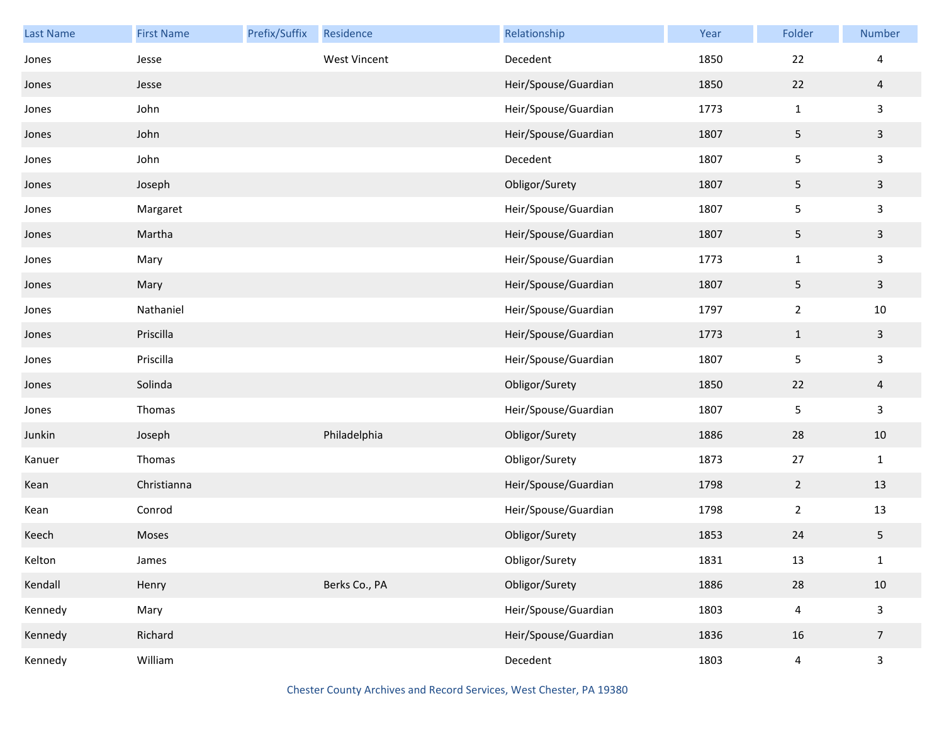| Last Name | <b>First Name</b> | Prefix/Suffix | Residence           | Relationship         | Year | Folder         | Number         |
|-----------|-------------------|---------------|---------------------|----------------------|------|----------------|----------------|
| Jones     | Jesse             |               | <b>West Vincent</b> | Decedent             | 1850 | 22             | 4              |
| Jones     | Jesse             |               |                     | Heir/Spouse/Guardian | 1850 | 22             | $\overline{a}$ |
| Jones     | John              |               |                     | Heir/Spouse/Guardian | 1773 | $1\,$          | $\mathbf{3}$   |
| Jones     | John              |               |                     | Heir/Spouse/Guardian | 1807 | 5              | $\mathbf{3}$   |
| Jones     | John              |               |                     | Decedent             | 1807 | 5              | $\mathbf{3}$   |
| Jones     | Joseph            |               |                     | Obligor/Surety       | 1807 | 5              | $\mathbf{3}$   |
| Jones     | Margaret          |               |                     | Heir/Spouse/Guardian | 1807 | 5              | $\mathbf{3}$   |
| Jones     | Martha            |               |                     | Heir/Spouse/Guardian | 1807 | 5              | $\mathbf{3}$   |
| Jones     | Mary              |               |                     | Heir/Spouse/Guardian | 1773 | $1\,$          | $\mathbf{3}$   |
| Jones     | Mary              |               |                     | Heir/Spouse/Guardian | 1807 | 5              | $\mathbf{3}$   |
| Jones     | Nathaniel         |               |                     | Heir/Spouse/Guardian | 1797 | $\overline{2}$ | $10\,$         |
| Jones     | Priscilla         |               |                     | Heir/Spouse/Guardian | 1773 | $\mathbf{1}$   | $\mathbf{3}$   |
| Jones     | Priscilla         |               |                     | Heir/Spouse/Guardian | 1807 | $\sqrt{5}$     | $\mathbf{3}$   |
| Jones     | Solinda           |               |                     | Obligor/Surety       | 1850 | 22             | $\overline{4}$ |
| Jones     | Thomas            |               |                     | Heir/Spouse/Guardian | 1807 | 5              | $\mathbf{3}$   |
| Junkin    | Joseph            |               | Philadelphia        | Obligor/Surety       | 1886 | 28             | 10             |
| Kanuer    | Thomas            |               |                     | Obligor/Surety       | 1873 | 27             | $\mathbf 1$    |
| Kean      | Christianna       |               |                     | Heir/Spouse/Guardian | 1798 | $\overline{2}$ | 13             |
| Kean      | Conrod            |               |                     | Heir/Spouse/Guardian | 1798 | $\overline{2}$ | 13             |
| Keech     | Moses             |               |                     | Obligor/Surety       | 1853 | 24             | 5              |
| Kelton    | James             |               |                     | Obligor/Surety       | 1831 | 13             | $\mathbf{1}$   |
| Kendall   | Henry             |               | Berks Co., PA       | Obligor/Surety       | 1886 | 28             | 10             |
| Kennedy   | Mary              |               |                     | Heir/Spouse/Guardian | 1803 | $\pmb{4}$      | $\mathbf{3}$   |
| Kennedy   | Richard           |               |                     | Heir/Spouse/Guardian | 1836 | 16             | $\overline{7}$ |
| Kennedy   | William           |               |                     | Decedent             | 1803 | $\pmb{4}$      | $\mathsf{3}$   |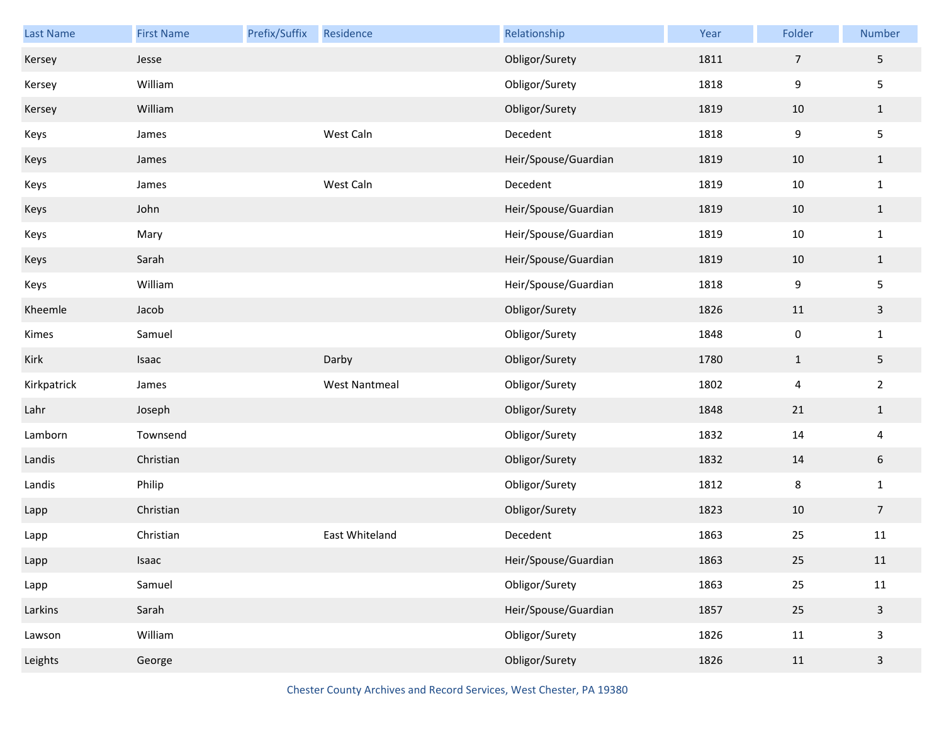| Last Name   | <b>First Name</b> | Prefix/Suffix | Residence            | Relationship         | Year | Folder         | Number         |
|-------------|-------------------|---------------|----------------------|----------------------|------|----------------|----------------|
| Kersey      | Jesse             |               |                      | Obligor/Surety       | 1811 | $\overline{7}$ | 5              |
| Kersey      | William           |               |                      | Obligor/Surety       | 1818 | 9              | 5              |
| Kersey      | William           |               |                      | Obligor/Surety       | 1819 | 10             | $\mathbf{1}$   |
| Keys        | James             |               | West Caln            | Decedent             | 1818 | 9              | 5              |
| Keys        | James             |               |                      | Heir/Spouse/Guardian | 1819 | 10             | $\mathbf{1}$   |
| Keys        | James             |               | West Caln            | Decedent             | 1819 | 10             | $\mathbf{1}$   |
| Keys        | John              |               |                      | Heir/Spouse/Guardian | 1819 | 10             | $\mathbf{1}$   |
| Keys        | Mary              |               |                      | Heir/Spouse/Guardian | 1819 | 10             | $\mathbf{1}$   |
| Keys        | Sarah             |               |                      | Heir/Spouse/Guardian | 1819 | 10             | $\mathbf{1}$   |
| Keys        | William           |               |                      | Heir/Spouse/Guardian | 1818 | 9              | 5              |
| Kheemle     | Jacob             |               |                      | Obligor/Surety       | 1826 | 11             | $\mathbf{3}$   |
| Kimes       | Samuel            |               |                      | Obligor/Surety       | 1848 | $\pmb{0}$      | $\mathbf{1}$   |
| Kirk        | Isaac             |               | Darby                | Obligor/Surety       | 1780 | $\mathbf{1}$   | 5              |
| Kirkpatrick | James             |               | <b>West Nantmeal</b> | Obligor/Surety       | 1802 | 4              | $\overline{2}$ |
| Lahr        | Joseph            |               |                      | Obligor/Surety       | 1848 | 21             | $\mathbf{1}$   |
| Lamborn     | Townsend          |               |                      | Obligor/Surety       | 1832 | 14             | 4              |
| Landis      | Christian         |               |                      | Obligor/Surety       | 1832 | 14             | $6\,$          |
| Landis      | Philip            |               |                      | Obligor/Surety       | 1812 | 8              | $\mathbf{1}$   |
| Lapp        | Christian         |               |                      | Obligor/Surety       | 1823 | 10             | $\overline{7}$ |
| Lapp        | Christian         |               | East Whiteland       | Decedent             | 1863 | 25             | 11             |
| Lapp        | Isaac             |               |                      | Heir/Spouse/Guardian | 1863 | 25             | $11\,$         |
| Lapp        | Samuel            |               |                      | Obligor/Surety       | 1863 | 25             | $11\,$         |
| Larkins     | Sarah             |               |                      | Heir/Spouse/Guardian | 1857 | 25             | $\mathsf{3}$   |
| Lawson      | William           |               |                      | Obligor/Surety       | 1826 | 11             | $\mathsf{3}$   |
| Leights     | George            |               |                      | Obligor/Surety       | 1826 | 11             | $\mathbf{3}$   |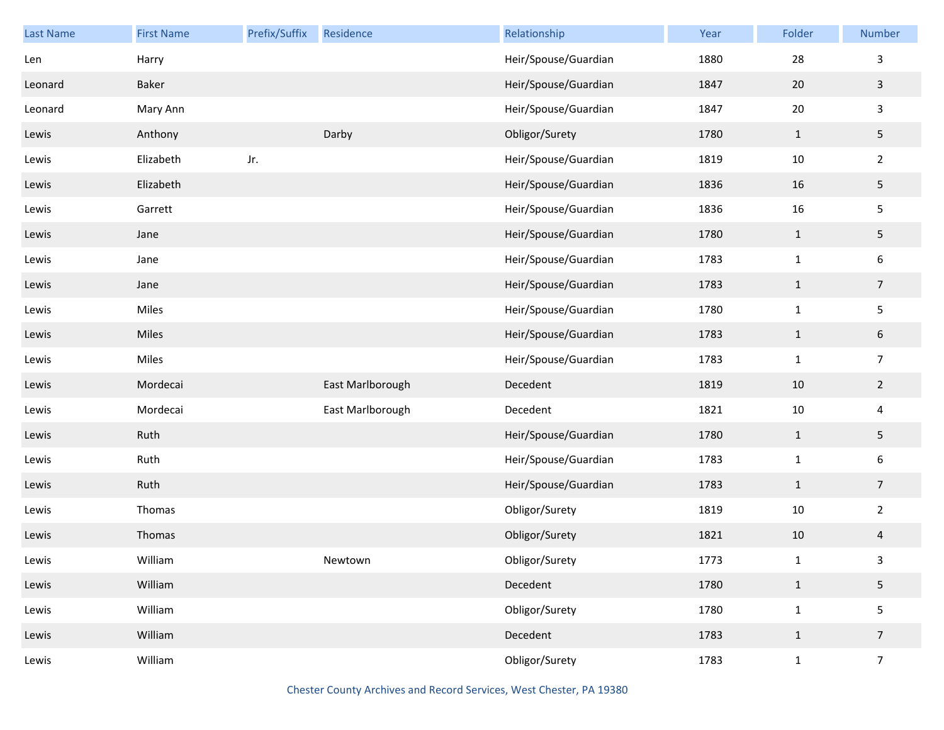| Last Name | <b>First Name</b> | Prefix/Suffix | Residence        | Relationship         | Year | Folder       | Number           |
|-----------|-------------------|---------------|------------------|----------------------|------|--------------|------------------|
| Len       | Harry             |               |                  | Heir/Spouse/Guardian | 1880 | 28           | 3                |
| Leonard   | Baker             |               |                  | Heir/Spouse/Guardian | 1847 | 20           | $\mathbf{3}$     |
| Leonard   | Mary Ann          |               |                  | Heir/Spouse/Guardian | 1847 | $20\,$       | $\mathbf{3}$     |
| Lewis     | Anthony           |               | Darby            | Obligor/Surety       | 1780 | $\mathbf{1}$ | 5                |
| Lewis     | Elizabeth         | Jr.           |                  | Heir/Spouse/Guardian | 1819 | $10\,$       | $\overline{2}$   |
| Lewis     | Elizabeth         |               |                  | Heir/Spouse/Guardian | 1836 | 16           | $5\phantom{.0}$  |
| Lewis     | Garrett           |               |                  | Heir/Spouse/Guardian | 1836 | 16           | $\mathsf S$      |
| Lewis     | Jane              |               |                  | Heir/Spouse/Guardian | 1780 | $\mathbf{1}$ | $5\phantom{.0}$  |
| Lewis     | Jane              |               |                  | Heir/Spouse/Guardian | 1783 | $\mathbf 1$  | $\boldsymbol{6}$ |
| Lewis     | Jane              |               |                  | Heir/Spouse/Guardian | 1783 | $\mathbf{1}$ | $\overline{7}$   |
| Lewis     | Miles             |               |                  | Heir/Spouse/Guardian | 1780 | $\mathbf 1$  | $\mathsf S$      |
| Lewis     | Miles             |               |                  | Heir/Spouse/Guardian | 1783 | $\mathbf{1}$ | $6\phantom{.}6$  |
| Lewis     | Miles             |               |                  | Heir/Spouse/Guardian | 1783 | $\mathbf 1$  | $\overline{7}$   |
| Lewis     | Mordecai          |               | East Marlborough | Decedent             | 1819 | $10\,$       | $\overline{2}$   |
| Lewis     | Mordecai          |               | East Marlborough | Decedent             | 1821 | $10\,$       | $\overline{4}$   |
| Lewis     | Ruth              |               |                  | Heir/Spouse/Guardian | 1780 | $\mathbf{1}$ | $5\phantom{.0}$  |
| Lewis     | Ruth              |               |                  | Heir/Spouse/Guardian | 1783 | $\mathbf 1$  | $\boldsymbol{6}$ |
| Lewis     | Ruth              |               |                  | Heir/Spouse/Guardian | 1783 | $\mathbf{1}$ | $\overline{7}$   |
| Lewis     | Thomas            |               |                  | Obligor/Surety       | 1819 | $10\,$       | $\overline{2}$   |
| Lewis     | Thomas            |               |                  | Obligor/Surety       | 1821 | 10           | $\overline{4}$   |
| Lewis     | William           |               | Newtown          | Obligor/Surety       | 1773 | $\mathbf{1}$ | $\mathbf{3}$     |
| Lewis     | William           |               |                  | Decedent             | 1780 | $\mathbf{1}$ | $5\phantom{.0}$  |
| Lewis     | William           |               |                  | Obligor/Surety       | 1780 | $\mathbf{1}$ | $\mathsf S$      |
| Lewis     | William           |               |                  | Decedent             | 1783 | $\mathbf{1}$ | $\overline{7}$   |
| Lewis     | William           |               |                  | Obligor/Surety       | 1783 | $\mathbf{1}$ | $\overline{7}$   |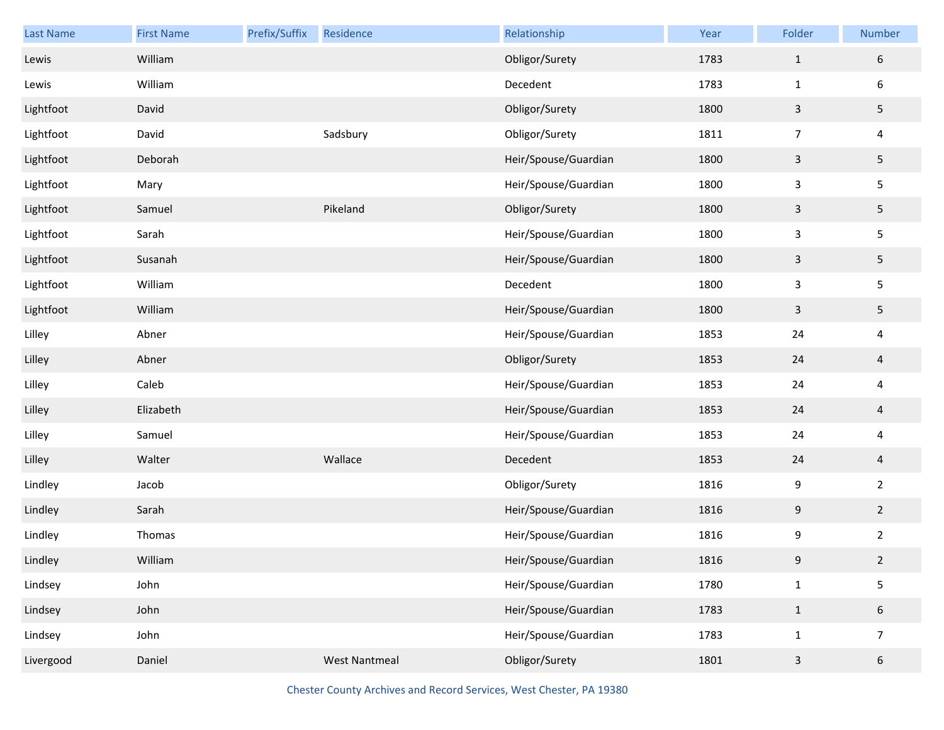| Last Name | <b>First Name</b> | Prefix/Suffix | Residence            | Relationship         | Year | Folder           | Number          |
|-----------|-------------------|---------------|----------------------|----------------------|------|------------------|-----------------|
| Lewis     | William           |               |                      | Obligor/Surety       | 1783 | $\mathbf{1}$     | 6               |
| Lewis     | William           |               |                      | Decedent             | 1783 | $\mathbf{1}$     | 6               |
| Lightfoot | David             |               |                      | Obligor/Surety       | 1800 | $\mathbf{3}$     | 5               |
| Lightfoot | David             |               | Sadsbury             | Obligor/Surety       | 1811 | $\overline{7}$   | 4               |
| Lightfoot | Deborah           |               |                      | Heir/Spouse/Guardian | 1800 | $\mathsf{3}$     | 5 <sub>1</sub>  |
| Lightfoot | Mary              |               |                      | Heir/Spouse/Guardian | 1800 | $\mathbf{3}$     | 5               |
| Lightfoot | Samuel            |               | Pikeland             | Obligor/Surety       | 1800 | $\mathbf{3}$     | 5 <sub>1</sub>  |
| Lightfoot | Sarah             |               |                      | Heir/Spouse/Guardian | 1800 | $\mathsf{3}$     | 5               |
| Lightfoot | Susanah           |               |                      | Heir/Spouse/Guardian | 1800 | $\mathbf{3}$     | 5 <sub>1</sub>  |
| Lightfoot | William           |               |                      | Decedent             | 1800 | $\mathsf{3}$     | 5               |
| Lightfoot | William           |               |                      | Heir/Spouse/Guardian | 1800 | $\mathbf{3}$     | 5               |
| Lilley    | Abner             |               |                      | Heir/Spouse/Guardian | 1853 | 24               | 4               |
| Lilley    | Abner             |               |                      | Obligor/Surety       | 1853 | 24               | $\overline{4}$  |
| Lilley    | Caleb             |               |                      | Heir/Spouse/Guardian | 1853 | 24               | 4               |
| Lilley    | Elizabeth         |               |                      | Heir/Spouse/Guardian | 1853 | 24               | $\overline{4}$  |
| Lilley    | Samuel            |               |                      | Heir/Spouse/Guardian | 1853 | 24               | 4               |
| Lilley    | Walter            |               | Wallace              | Decedent             | 1853 | 24               | $\overline{4}$  |
| Lindley   | Jacob             |               |                      | Obligor/Surety       | 1816 | 9                | $\overline{2}$  |
| Lindley   | Sarah             |               |                      | Heir/Spouse/Guardian | 1816 | $\boldsymbol{9}$ | $\overline{2}$  |
| Lindley   | Thomas            |               |                      | Heir/Spouse/Guardian | 1816 | 9                | $\overline{2}$  |
| Lindley   | William           |               |                      | Heir/Spouse/Guardian | 1816 | 9                | $\overline{2}$  |
| Lindsey   | John              |               |                      | Heir/Spouse/Guardian | 1780 | $\mathbf 1$      | 5               |
| Lindsey   | John              |               |                      | Heir/Spouse/Guardian | 1783 | $\mathbf{1}$     | $6\phantom{.}$  |
| Lindsey   | John              |               |                      | Heir/Spouse/Guardian | 1783 | $\mathbf{1}$     | $\overline{7}$  |
| Livergood | Daniel            |               | <b>West Nantmeal</b> | Obligor/Surety       | 1801 | $\mathsf{3}$     | $6\phantom{.0}$ |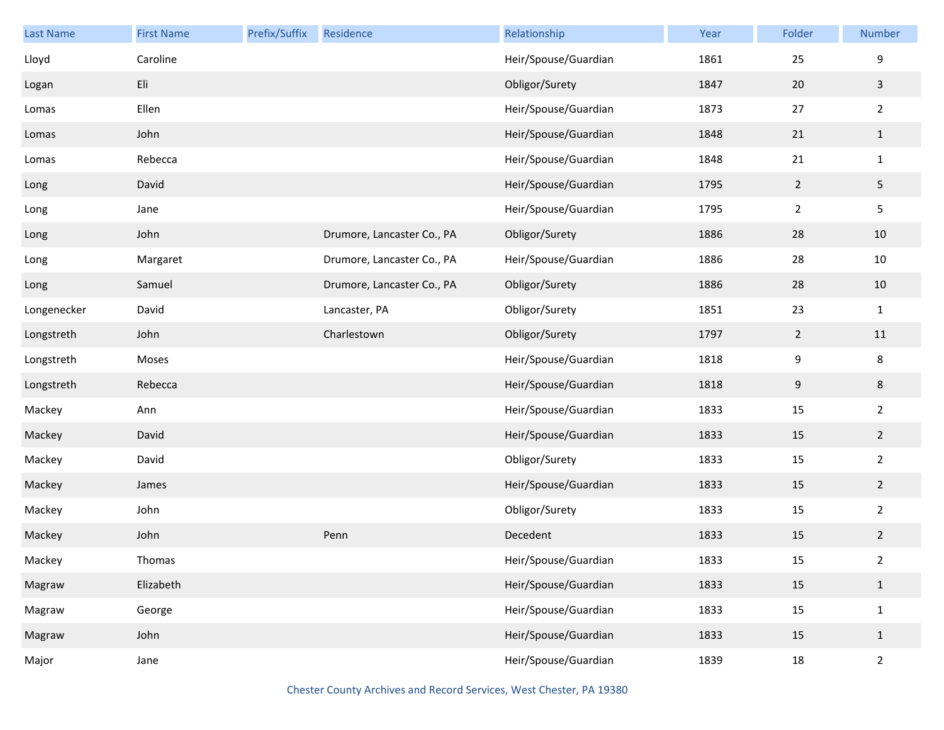| Last Name   | <b>First Name</b> | Prefix/Suffix | Residence                  | Relationship         | Year | Folder         | Number           |
|-------------|-------------------|---------------|----------------------------|----------------------|------|----------------|------------------|
| Lloyd       | Caroline          |               |                            | Heir/Spouse/Guardian | 1861 | 25             | $\boldsymbol{9}$ |
| Logan       | Eli               |               |                            | Obligor/Surety       | 1847 | 20             | $\overline{3}$   |
| Lomas       | Ellen             |               |                            | Heir/Spouse/Guardian | 1873 | 27             | $\overline{2}$   |
| Lomas       | John              |               |                            | Heir/Spouse/Guardian | 1848 | 21             | $\mathbf{1}$     |
| Lomas       | Rebecca           |               |                            | Heir/Spouse/Guardian | 1848 | 21             | $\mathbf 1$      |
| Long        | David             |               |                            | Heir/Spouse/Guardian | 1795 | $\overline{2}$ | $\overline{5}$   |
| Long        | Jane              |               |                            | Heir/Spouse/Guardian | 1795 | $\overline{2}$ | $\mathsf S$      |
| Long        | John              |               | Drumore, Lancaster Co., PA | Obligor/Surety       | 1886 | 28             | 10               |
| Long        | Margaret          |               | Drumore, Lancaster Co., PA | Heir/Spouse/Guardian | 1886 | 28             | $10\,$           |
| Long        | Samuel            |               | Drumore, Lancaster Co., PA | Obligor/Surety       | 1886 | 28             | 10               |
| Longenecker | David             |               | Lancaster, PA              | Obligor/Surety       | 1851 | 23             | $\mathbf{1}$     |
| Longstreth  | John              |               | Charlestown                | Obligor/Surety       | 1797 | $\overline{2}$ | 11               |
| Longstreth  | Moses             |               |                            | Heir/Spouse/Guardian | 1818 | 9              | $\bf 8$          |
| Longstreth  | Rebecca           |               |                            | Heir/Spouse/Guardian | 1818 | 9              | 8                |
| Mackey      | Ann               |               |                            | Heir/Spouse/Guardian | 1833 | 15             | $\overline{2}$   |
| Mackey      | David             |               |                            | Heir/Spouse/Guardian | 1833 | 15             | $\overline{2}$   |
| Mackey      | David             |               |                            | Obligor/Surety       | 1833 | 15             | $\overline{2}$   |
| Mackey      | James             |               |                            | Heir/Spouse/Guardian | 1833 | 15             | $\overline{2}$   |
| Mackey      | John              |               |                            | Obligor/Surety       | 1833 | 15             | $\overline{2}$   |
| Mackey      | John              |               | Penn                       | Decedent             | 1833 | 15             | $\overline{2}$   |
| Mackey      | Thomas            |               |                            | Heir/Spouse/Guardian | 1833 | 15             | $\overline{a}$   |
| Magraw      | Elizabeth         |               |                            | Heir/Spouse/Guardian | 1833 | 15             | $\mathbf{1}$     |
| Magraw      | George            |               |                            | Heir/Spouse/Guardian | 1833 | $15\,$         | $\mathbf 1$      |
| Magraw      | John              |               |                            | Heir/Spouse/Guardian | 1833 | 15             | $\mathbf{1}$     |
| Major       | Jane              |               |                            | Heir/Spouse/Guardian | 1839 | 18             | $\overline{2}$   |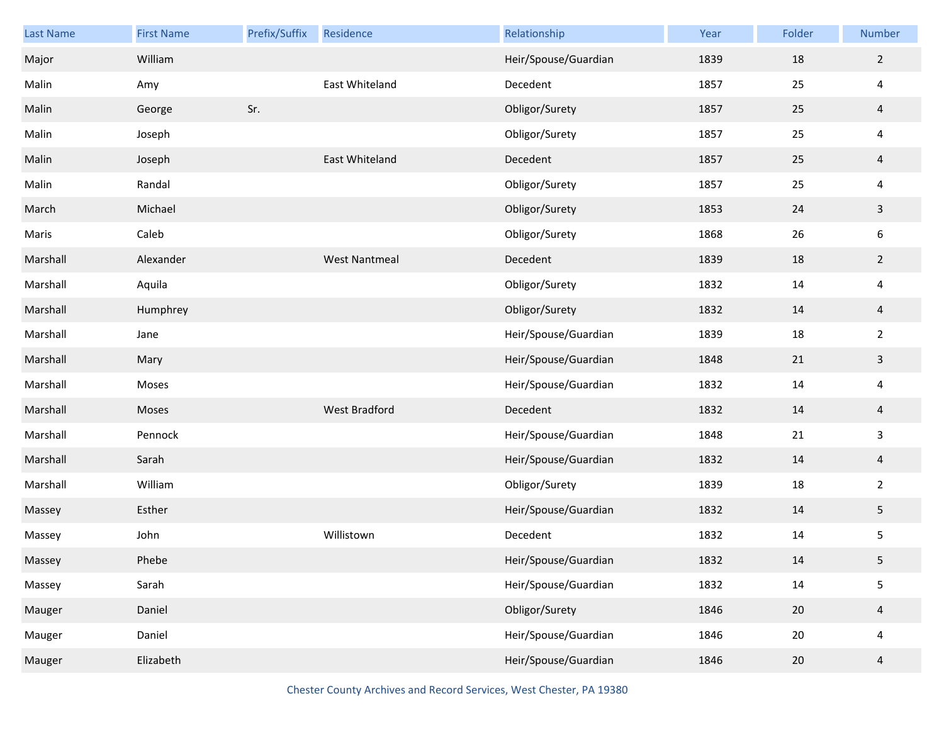| Last Name | <b>First Name</b> | Prefix/Suffix | Residence            | Relationship         | Year | Folder | Number                  |
|-----------|-------------------|---------------|----------------------|----------------------|------|--------|-------------------------|
| Major     | William           |               |                      | Heir/Spouse/Guardian | 1839 | 18     | $\overline{2}$          |
| Malin     | Amy               |               | East Whiteland       | Decedent             | 1857 | 25     | $\overline{4}$          |
| Malin     | George            | Sr.           |                      | Obligor/Surety       | 1857 | 25     | $\overline{4}$          |
| Malin     | Joseph            |               |                      | Obligor/Surety       | 1857 | 25     | $\overline{4}$          |
| Malin     | Joseph            |               | East Whiteland       | Decedent             | 1857 | 25     | $\overline{4}$          |
| Malin     | Randal            |               |                      | Obligor/Surety       | 1857 | 25     | $\overline{4}$          |
| March     | Michael           |               |                      | Obligor/Surety       | 1853 | 24     | $\mathbf{3}$            |
| Maris     | Caleb             |               |                      | Obligor/Surety       | 1868 | 26     | $\boldsymbol{6}$        |
| Marshall  | Alexander         |               | <b>West Nantmeal</b> | Decedent             | 1839 | 18     | $\overline{2}$          |
| Marshall  | Aquila            |               |                      | Obligor/Surety       | 1832 | 14     | $\overline{4}$          |
| Marshall  | Humphrey          |               |                      | Obligor/Surety       | 1832 | 14     | $\overline{4}$          |
| Marshall  | Jane              |               |                      | Heir/Spouse/Guardian | 1839 | 18     | $\overline{2}$          |
| Marshall  | Mary              |               |                      | Heir/Spouse/Guardian | 1848 | $21\,$ | $\mathbf{3}$            |
| Marshall  | Moses             |               |                      | Heir/Spouse/Guardian | 1832 | 14     | $\overline{\mathbf{4}}$ |
| Marshall  | Moses             |               | West Bradford        | Decedent             | 1832 | 14     | $\overline{4}$          |
| Marshall  | Pennock           |               |                      | Heir/Spouse/Guardian | 1848 | 21     | $\mathbf{3}$            |
| Marshall  | Sarah             |               |                      | Heir/Spouse/Guardian | 1832 | 14     | $\overline{4}$          |
| Marshall  | William           |               |                      | Obligor/Surety       | 1839 | 18     | $\overline{2}$          |
| Massey    | Esther            |               |                      | Heir/Spouse/Guardian | 1832 | 14     | $\overline{5}$          |
| Massey    | John              |               | Willistown           | Decedent             | 1832 | 14     | 5                       |
| Massey    | Phebe             |               |                      | Heir/Spouse/Guardian | 1832 | 14     | 5                       |
| Massey    | Sarah             |               |                      | Heir/Spouse/Guardian | 1832 | 14     | 5                       |
| Mauger    | Daniel            |               |                      | Obligor/Surety       | 1846 | 20     | $\overline{4}$          |
| Mauger    | Daniel            |               |                      | Heir/Spouse/Guardian | 1846 | 20     | $\overline{4}$          |
| Mauger    | Elizabeth         |               |                      | Heir/Spouse/Guardian | 1846 | 20     | $\overline{a}$          |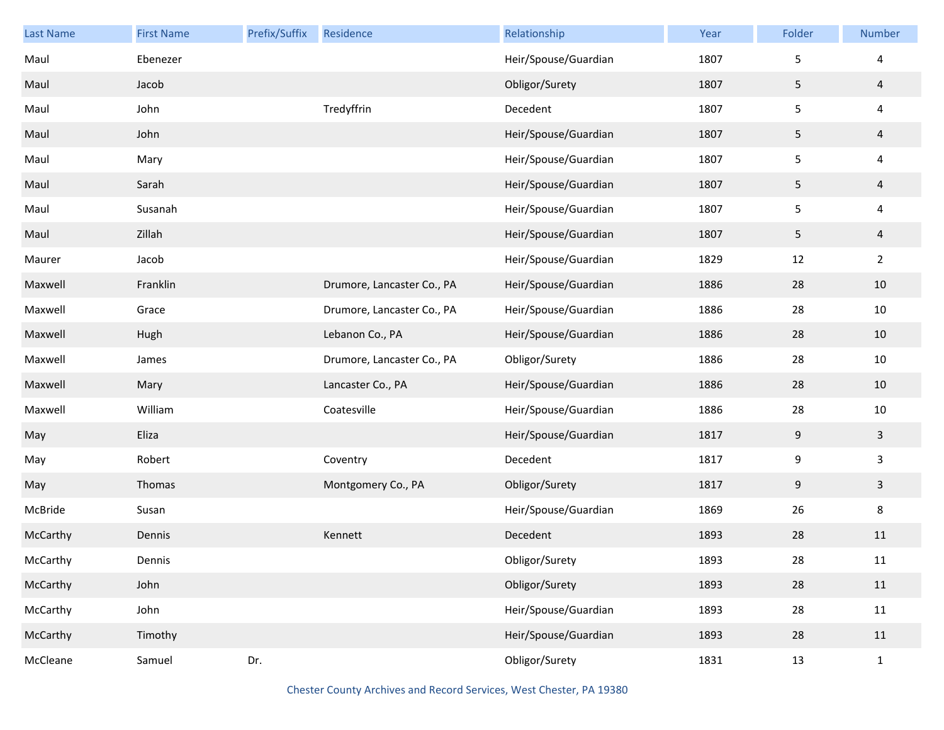| <b>Last Name</b> | <b>First Name</b> | Prefix/Suffix | Residence                  | Relationship         | Year | Folder           | Number                  |
|------------------|-------------------|---------------|----------------------------|----------------------|------|------------------|-------------------------|
| Maul             | Ebenezer          |               |                            | Heir/Spouse/Guardian | 1807 | 5                | 4                       |
| Maul             | Jacob             |               |                            | Obligor/Surety       | 1807 | 5                | $\overline{4}$          |
| Maul             | John              |               | Tredyffrin                 | Decedent             | 1807 | 5                | 4                       |
| Maul             | John              |               |                            | Heir/Spouse/Guardian | 1807 | 5                | $\overline{4}$          |
| Maul             | Mary              |               |                            | Heir/Spouse/Guardian | 1807 | 5                | 4                       |
| Maul             | Sarah             |               |                            | Heir/Spouse/Guardian | 1807 | 5                | $\overline{4}$          |
| Maul             | Susanah           |               |                            | Heir/Spouse/Guardian | 1807 | 5                | $\overline{\mathbf{4}}$ |
| Maul             | Zillah            |               |                            | Heir/Spouse/Guardian | 1807 | 5                | $\overline{4}$          |
| Maurer           | Jacob             |               |                            | Heir/Spouse/Guardian | 1829 | 12               | $\overline{2}$          |
| Maxwell          | Franklin          |               | Drumore, Lancaster Co., PA | Heir/Spouse/Guardian | 1886 | 28               | 10                      |
| Maxwell          | Grace             |               | Drumore, Lancaster Co., PA | Heir/Spouse/Guardian | 1886 | 28               | $10\,$                  |
| Maxwell          | Hugh              |               | Lebanon Co., PA            | Heir/Spouse/Guardian | 1886 | 28               | 10                      |
| Maxwell          | James             |               | Drumore, Lancaster Co., PA | Obligor/Surety       | 1886 | 28               | $10\,$                  |
| Maxwell          | Mary              |               | Lancaster Co., PA          | Heir/Spouse/Guardian | 1886 | 28               | 10                      |
| Maxwell          | William           |               | Coatesville                | Heir/Spouse/Guardian | 1886 | 28               | $10\,$                  |
| May              | Eliza             |               |                            | Heir/Spouse/Guardian | 1817 | 9                | $\overline{\mathbf{3}}$ |
| May              | Robert            |               | Coventry                   | Decedent             | 1817 | $\boldsymbol{9}$ | 3                       |
| May              | Thomas            |               | Montgomery Co., PA         | Obligor/Surety       | 1817 | 9                | $\overline{\mathbf{3}}$ |
| McBride          | Susan             |               |                            | Heir/Spouse/Guardian | 1869 | 26               | 8                       |
| McCarthy         | Dennis            |               | Kennett                    | Decedent             | 1893 | 28               | 11                      |
| McCarthy         | Dennis            |               |                            | Obligor/Surety       | 1893 | 28               | 11                      |
| McCarthy         | John              |               |                            | Obligor/Surety       | 1893 | 28               | $11\,$                  |
| McCarthy         | John              |               |                            | Heir/Spouse/Guardian | 1893 | 28               | 11                      |
| McCarthy         | Timothy           |               |                            | Heir/Spouse/Guardian | 1893 | 28               | 11                      |
| McCleane         | Samuel            | Dr.           |                            | Obligor/Surety       | 1831 | 13               | $\mathbf 1$             |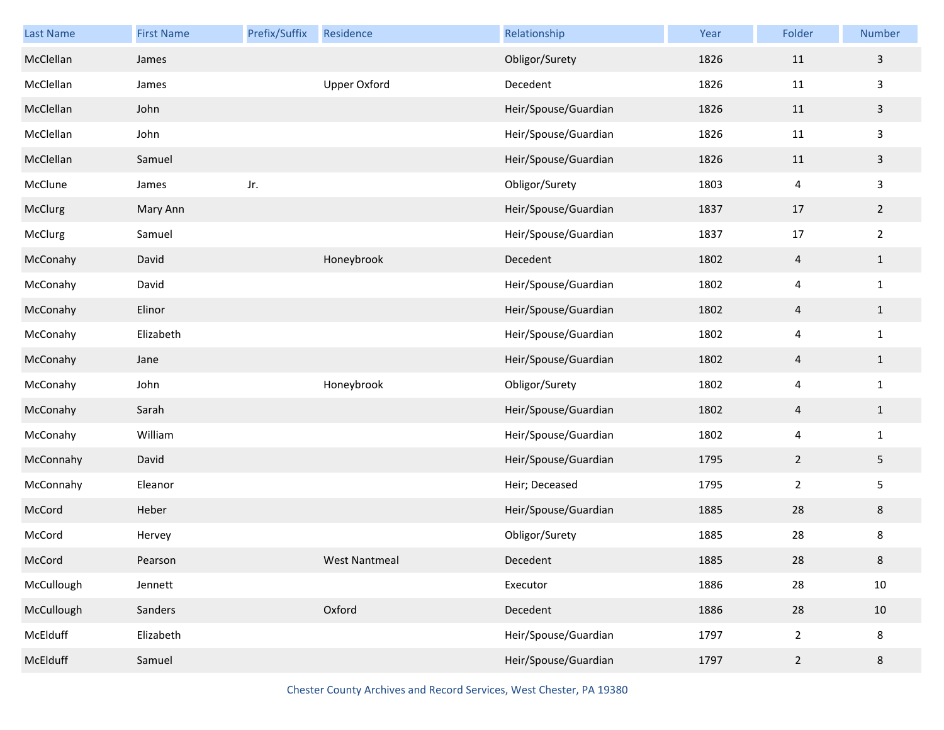| <b>Last Name</b> | <b>First Name</b> | Prefix/Suffix | Residence            | Relationship         | Year | Folder         | Number         |
|------------------|-------------------|---------------|----------------------|----------------------|------|----------------|----------------|
| McClellan        | James             |               |                      | Obligor/Surety       | 1826 | 11             | $\mathbf{3}$   |
| McClellan        | James             |               | Upper Oxford         | Decedent             | 1826 | 11             | $\mathbf{3}$   |
| McClellan        | John              |               |                      | Heir/Spouse/Guardian | 1826 | 11             | $\mathbf{3}$   |
| McClellan        | John              |               |                      | Heir/Spouse/Guardian | 1826 | 11             | $\mathbf{3}$   |
| McClellan        | Samuel            |               |                      | Heir/Spouse/Guardian | 1826 | 11             | $\mathbf{3}$   |
| McClune          | James             | Jr.           |                      | Obligor/Surety       | 1803 | 4              | $\mathbf{3}$   |
| McClurg          | Mary Ann          |               |                      | Heir/Spouse/Guardian | 1837 | 17             | $\overline{2}$ |
| McClurg          | Samuel            |               |                      | Heir/Spouse/Guardian | 1837 | 17             | $\overline{2}$ |
| McConahy         | David             |               | Honeybrook           | Decedent             | 1802 | $\overline{a}$ | $\mathbf{1}$   |
| McConahy         | David             |               |                      | Heir/Spouse/Guardian | 1802 | 4              | $\mathbf{1}$   |
| McConahy         | Elinor            |               |                      | Heir/Spouse/Guardian | 1802 | $\overline{4}$ | $\mathbf{1}$   |
| McConahy         | Elizabeth         |               |                      | Heir/Spouse/Guardian | 1802 | 4              | $\mathbf{1}$   |
| McConahy         | Jane              |               |                      | Heir/Spouse/Guardian | 1802 | $\overline{4}$ | $\mathbf{1}$   |
| McConahy         | John              |               | Honeybrook           | Obligor/Surety       | 1802 | 4              | $\mathbf{1}$   |
| McConahy         | Sarah             |               |                      | Heir/Spouse/Guardian | 1802 | $\overline{4}$ | $\mathbf{1}$   |
| McConahy         | William           |               |                      | Heir/Spouse/Guardian | 1802 | 4              | $\mathbf{1}$   |
| McConnahy        | David             |               |                      | Heir/Spouse/Guardian | 1795 | $\overline{2}$ | $\overline{5}$ |
| McConnahy        | Eleanor           |               |                      | Heir; Deceased       | 1795 | $\overline{2}$ | 5              |
| McCord           | Heber             |               |                      | Heir/Spouse/Guardian | 1885 | 28             | 8              |
| McCord           | Hervey            |               |                      | Obligor/Surety       | 1885 | 28             | 8              |
| McCord           | Pearson           |               | <b>West Nantmeal</b> | Decedent             | 1885 | 28             | 8              |
| McCullough       | Jennett           |               |                      | Executor             | 1886 | 28             | $10\,$         |
| McCullough       | Sanders           |               | Oxford               | Decedent             | 1886 | 28             | 10             |
| McElduff         | Elizabeth         |               |                      | Heir/Spouse/Guardian | 1797 | $\overline{2}$ | 8              |
| McElduff         | Samuel            |               |                      | Heir/Spouse/Guardian | 1797 | $\overline{2}$ | 8              |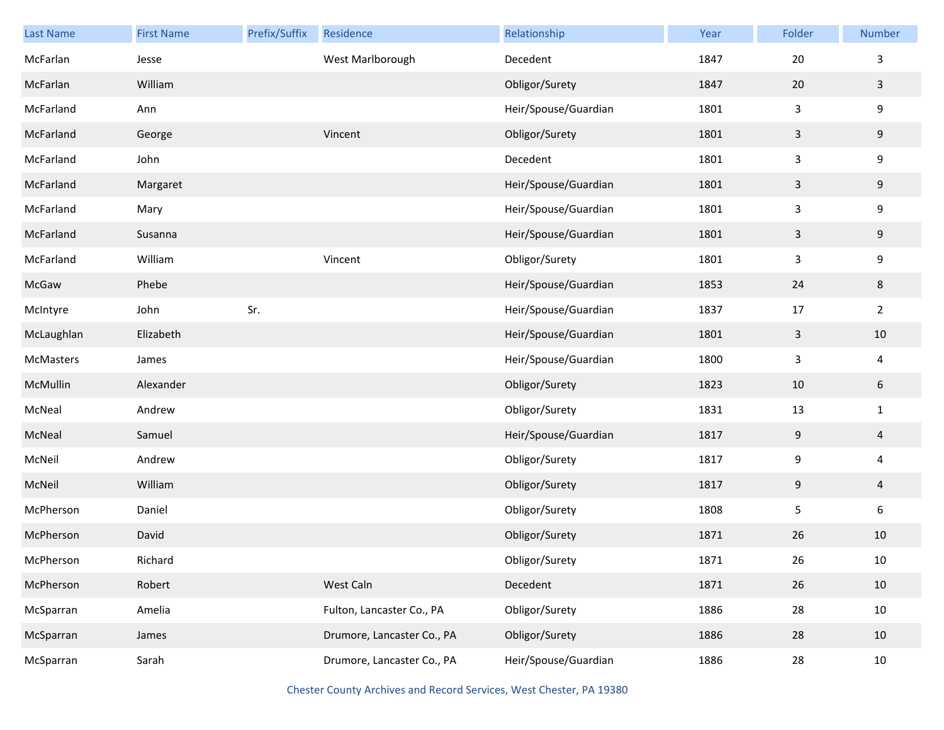| <b>Last Name</b> | <b>First Name</b> | Prefix/Suffix | Residence                  | Relationship         | Year | Folder           | Number                  |
|------------------|-------------------|---------------|----------------------------|----------------------|------|------------------|-------------------------|
| McFarlan         | Jesse             |               | West Marlborough           | Decedent             | 1847 | 20               | 3                       |
| McFarlan         | William           |               |                            | Obligor/Surety       | 1847 | 20               | $\mathbf{3}$            |
| McFarland        | Ann               |               |                            | Heir/Spouse/Guardian | 1801 | 3                | 9                       |
| McFarland        | George            |               | Vincent                    | Obligor/Surety       | 1801 | 3                | 9                       |
| McFarland        | John              |               |                            | Decedent             | 1801 | 3                | 9                       |
| McFarland        | Margaret          |               |                            | Heir/Spouse/Guardian | 1801 | $\mathsf{3}$     | 9                       |
| McFarland        | Mary              |               |                            | Heir/Spouse/Guardian | 1801 | 3                | 9                       |
| McFarland        | Susanna           |               |                            | Heir/Spouse/Guardian | 1801 | 3                | 9                       |
| McFarland        | William           |               | Vincent                    | Obligor/Surety       | 1801 | 3                | 9                       |
| McGaw            | Phebe             |               |                            | Heir/Spouse/Guardian | 1853 | 24               | 8                       |
| McIntyre         | John              | Sr.           |                            | Heir/Spouse/Guardian | 1837 | 17               | $\overline{2}$          |
| McLaughlan       | Elizabeth         |               |                            | Heir/Spouse/Guardian | 1801 | 3                | 10                      |
| McMasters        | James             |               |                            | Heir/Spouse/Guardian | 1800 | $\mathsf 3$      | $\overline{\mathbf{4}}$ |
| McMullin         | Alexander         |               |                            | Obligor/Surety       | 1823 | 10               | 6                       |
| McNeal           | Andrew            |               |                            | Obligor/Surety       | 1831 | 13               | $\mathbf{1}$            |
| McNeal           | Samuel            |               |                            | Heir/Spouse/Guardian | 1817 | $\boldsymbol{9}$ | $\overline{4}$          |
| McNeil           | Andrew            |               |                            | Obligor/Surety       | 1817 | 9                | 4                       |
| McNeil           | William           |               |                            | Obligor/Surety       | 1817 | $9\,$            | $\overline{a}$          |
| McPherson        | Daniel            |               |                            | Obligor/Surety       | 1808 | 5                | 6                       |
| McPherson        | David             |               |                            | Obligor/Surety       | 1871 | 26               | 10                      |
| McPherson        | Richard           |               |                            | Obligor/Surety       | 1871 | 26               | $10\,$                  |
| McPherson        | Robert            |               | West Caln                  | Decedent             | 1871 | 26               | 10                      |
| McSparran        | Amelia            |               | Fulton, Lancaster Co., PA  | Obligor/Surety       | 1886 | 28               | $10\,$                  |
| McSparran        | James             |               | Drumore, Lancaster Co., PA | Obligor/Surety       | 1886 | 28               | 10                      |
| McSparran        | Sarah             |               | Drumore, Lancaster Co., PA | Heir/Spouse/Guardian | 1886 | 28               | $10\,$                  |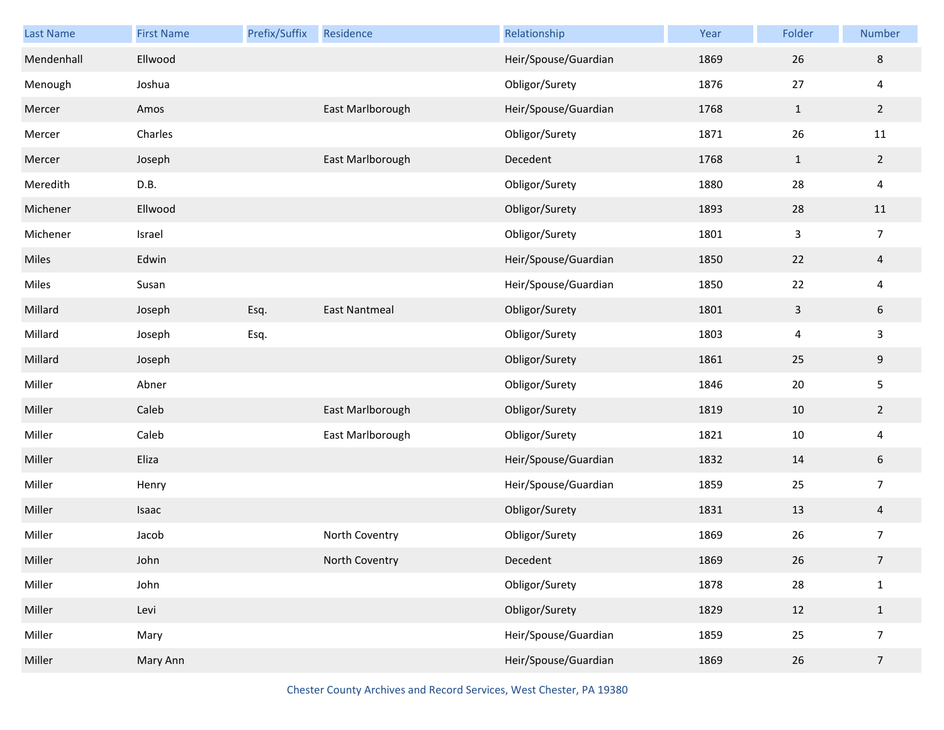| <b>Last Name</b> | <b>First Name</b> | Prefix/Suffix | Residence            | Relationship         | Year | Folder         | Number         |
|------------------|-------------------|---------------|----------------------|----------------------|------|----------------|----------------|
| Mendenhall       | Ellwood           |               |                      | Heir/Spouse/Guardian | 1869 | 26             | 8              |
| Menough          | Joshua            |               |                      | Obligor/Surety       | 1876 | 27             | 4              |
| Mercer           | Amos              |               | East Marlborough     | Heir/Spouse/Guardian | 1768 | $\mathbf{1}$   | $\overline{2}$ |
| Mercer           | Charles           |               |                      | Obligor/Surety       | 1871 | 26             | 11             |
| Mercer           | Joseph            |               | East Marlborough     | Decedent             | 1768 | $\mathbf{1}$   | $\overline{2}$ |
| Meredith         | D.B.              |               |                      | Obligor/Surety       | 1880 | 28             | 4              |
| Michener         | Ellwood           |               |                      | Obligor/Surety       | 1893 | 28             | 11             |
| Michener         | Israel            |               |                      | Obligor/Surety       | 1801 | $\mathsf{3}$   | $\overline{7}$ |
| Miles            | Edwin             |               |                      | Heir/Spouse/Guardian | 1850 | 22             | $\overline{4}$ |
| Miles            | Susan             |               |                      | Heir/Spouse/Guardian | 1850 | 22             | 4              |
| Millard          | Joseph            | Esq.          | <b>East Nantmeal</b> | Obligor/Surety       | 1801 | $\overline{3}$ | 6              |
| Millard          | Joseph            | Esq.          |                      | Obligor/Surety       | 1803 | 4              | 3              |
| Millard          | Joseph            |               |                      | Obligor/Surety       | 1861 | 25             | 9              |
| Miller           | Abner             |               |                      | Obligor/Surety       | 1846 | 20             | 5              |
| Miller           | Caleb             |               | East Marlborough     | Obligor/Surety       | 1819 | 10             | $\overline{2}$ |
| Miller           | Caleb             |               | East Marlborough     | Obligor/Surety       | 1821 | 10             | 4              |
| Miller           | Eliza             |               |                      | Heir/Spouse/Guardian | 1832 | 14             | $6\,$          |
| Miller           | Henry             |               |                      | Heir/Spouse/Guardian | 1859 | 25             | $\overline{7}$ |
| Miller           | Isaac             |               |                      | Obligor/Surety       | 1831 | 13             | $\overline{4}$ |
| Miller           | Jacob             |               | North Coventry       | Obligor/Surety       | 1869 | 26             | $\overline{7}$ |
| Miller           | John              |               | North Coventry       | Decedent             | 1869 | 26             | $\overline{7}$ |
| Miller           | John              |               |                      | Obligor/Surety       | 1878 | 28             | $\mathbf{1}$   |
| Miller           | Levi              |               |                      | Obligor/Surety       | 1829 | 12             | $\mathbf{1}$   |
| Miller           | Mary              |               |                      | Heir/Spouse/Guardian | 1859 | 25             | $\overline{7}$ |
| Miller           | Mary Ann          |               |                      | Heir/Spouse/Guardian | 1869 | 26             | $\overline{7}$ |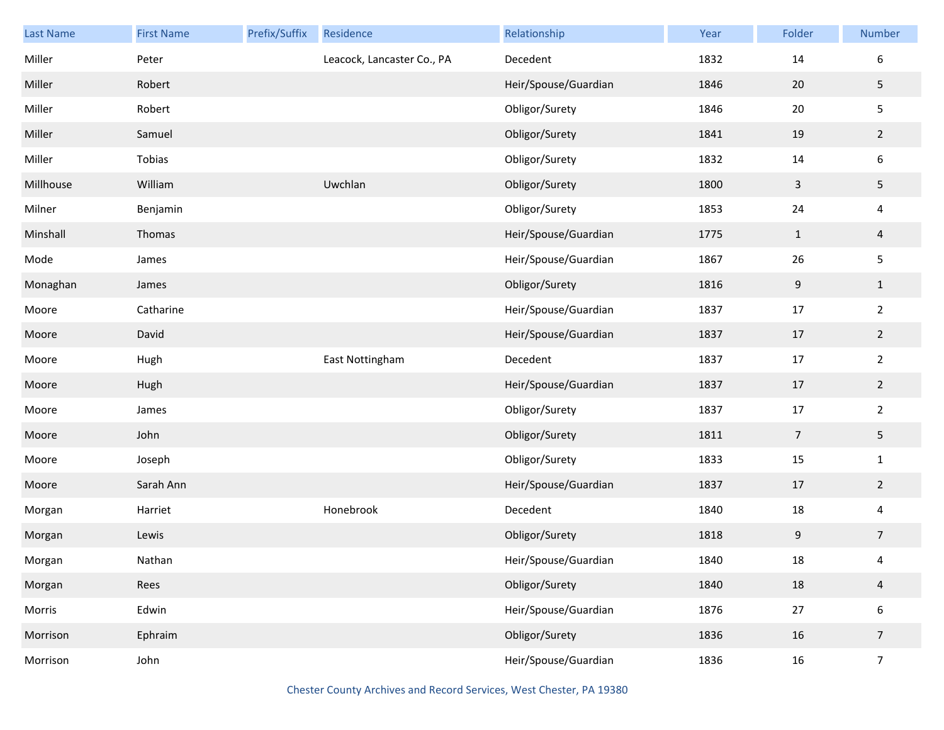| <b>Last Name</b> | <b>First Name</b> | Prefix/Suffix | Residence                  | Relationship         | Year | Folder           | Number           |
|------------------|-------------------|---------------|----------------------------|----------------------|------|------------------|------------------|
| Miller           | Peter             |               | Leacock, Lancaster Co., PA | Decedent             | 1832 | 14               | $\boldsymbol{6}$ |
| Miller           | Robert            |               |                            | Heir/Spouse/Guardian | 1846 | 20               | 5                |
| Miller           | Robert            |               |                            | Obligor/Surety       | 1846 | $20\,$           | $\mathsf S$      |
| Miller           | Samuel            |               |                            | Obligor/Surety       | 1841 | 19               | $\overline{2}$   |
| Miller           | Tobias            |               |                            | Obligor/Surety       | 1832 | 14               | $\boldsymbol{6}$ |
| Millhouse        | William           |               | Uwchlan                    | Obligor/Surety       | 1800 | $\mathsf{3}$     | 5                |
| Milner           | Benjamin          |               |                            | Obligor/Surety       | 1853 | 24               | $\overline{4}$   |
| Minshall         | Thomas            |               |                            | Heir/Spouse/Guardian | 1775 | $\mathbf{1}$     | $\overline{4}$   |
| Mode             | James             |               |                            | Heir/Spouse/Guardian | 1867 | 26               | $\mathsf S$      |
| Monaghan         | James             |               |                            | Obligor/Surety       | 1816 | $\boldsymbol{9}$ | $\mathbf{1}$     |
| Moore            | Catharine         |               |                            | Heir/Spouse/Guardian | 1837 | 17               | $\overline{2}$   |
| Moore            | David             |               |                            | Heir/Spouse/Guardian | 1837 | 17               | $\overline{2}$   |
| Moore            | Hugh              |               | East Nottingham            | Decedent             | 1837 | $17\,$           | $\overline{2}$   |
| Moore            | Hugh              |               |                            | Heir/Spouse/Guardian | 1837 | $17\,$           | $\overline{2}$   |
| Moore            | James             |               |                            | Obligor/Surety       | 1837 | $17\,$           | $\overline{2}$   |
| Moore            | John              |               |                            | Obligor/Surety       | 1811 | $\overline{7}$   | 5                |
| Moore            | Joseph            |               |                            | Obligor/Surety       | 1833 | 15               | $\mathbf{1}$     |
| Moore            | Sarah Ann         |               |                            | Heir/Spouse/Guardian | 1837 | $17$             | $\overline{2}$   |
| Morgan           | Harriet           |               | Honebrook                  | Decedent             | 1840 | 18               | $\overline{4}$   |
| Morgan           | Lewis             |               |                            | Obligor/Surety       | 1818 | 9                | $\overline{7}$   |
| Morgan           | Nathan            |               |                            | Heir/Spouse/Guardian | 1840 | $18\,$           | 4                |
| Morgan           | Rees              |               |                            | Obligor/Surety       | 1840 | $18\,$           | $\overline{4}$   |
| Morris           | Edwin             |               |                            | Heir/Spouse/Guardian | 1876 | $27\,$           | $\boldsymbol{6}$ |
| Morrison         | Ephraim           |               |                            | Obligor/Surety       | 1836 | 16               | $\overline{7}$   |
| Morrison         | John              |               |                            | Heir/Spouse/Guardian | 1836 | $16\,$           | $\boldsymbol{7}$ |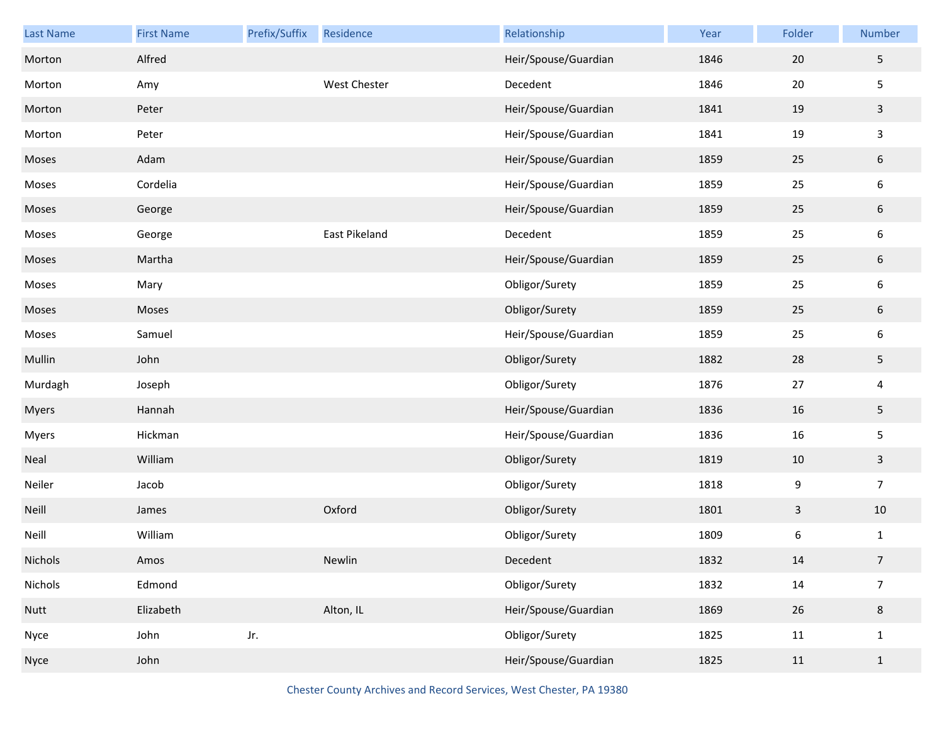| Last Name | <b>First Name</b> | Prefix/Suffix | Residence     | Relationship         | Year | Folder       | Number         |
|-----------|-------------------|---------------|---------------|----------------------|------|--------------|----------------|
| Morton    | Alfred            |               |               | Heir/Spouse/Guardian | 1846 | $20\,$       | 5              |
| Morton    | Amy               |               | West Chester  | Decedent             | 1846 | 20           | 5              |
| Morton    | Peter             |               |               | Heir/Spouse/Guardian | 1841 | 19           | $\mathbf{3}$   |
| Morton    | Peter             |               |               | Heir/Spouse/Guardian | 1841 | 19           | 3              |
| Moses     | Adam              |               |               | Heir/Spouse/Guardian | 1859 | 25           | $6\,$          |
| Moses     | Cordelia          |               |               | Heir/Spouse/Guardian | 1859 | 25           | 6              |
| Moses     | George            |               |               | Heir/Spouse/Guardian | 1859 | 25           | $6\,$          |
| Moses     | George            |               | East Pikeland | Decedent             | 1859 | 25           | 6              |
| Moses     | Martha            |               |               | Heir/Spouse/Guardian | 1859 | 25           | $6\,$          |
| Moses     | Mary              |               |               | Obligor/Surety       | 1859 | 25           | 6              |
| Moses     | Moses             |               |               | Obligor/Surety       | 1859 | 25           | $6\,$          |
| Moses     | Samuel            |               |               | Heir/Spouse/Guardian | 1859 | 25           | 6              |
| Mullin    | John              |               |               | Obligor/Surety       | 1882 | 28           | 5              |
| Murdagh   | Joseph            |               |               | Obligor/Surety       | 1876 | 27           | 4              |
| Myers     | Hannah            |               |               | Heir/Spouse/Guardian | 1836 | 16           | 5              |
| Myers     | Hickman           |               |               | Heir/Spouse/Guardian | 1836 | 16           | 5              |
| Neal      | William           |               |               | Obligor/Surety       | 1819 | 10           | $\mathbf{3}$   |
| Neiler    | Jacob             |               |               | Obligor/Surety       | 1818 | 9            | $\overline{7}$ |
| Neill     | James             |               | Oxford        | Obligor/Surety       | 1801 | $\mathbf{3}$ | $10\,$         |
| Neill     | William           |               |               | Obligor/Surety       | 1809 | 6            | $\mathbf{1}$   |
| Nichols   | Amos              |               | Newlin        | Decedent             | 1832 | 14           | $\overline{7}$ |
| Nichols   | Edmond            |               |               | Obligor/Surety       | 1832 | 14           | $\overline{7}$ |
| Nutt      | Elizabeth         |               | Alton, IL     | Heir/Spouse/Guardian | 1869 | 26           | $\bf 8$        |
| Nyce      | John              | Jr.           |               | Obligor/Surety       | 1825 | 11           | $\mathbf 1$    |
| Nyce      | John              |               |               | Heir/Spouse/Guardian | 1825 | 11           | $\mathbf{1}$   |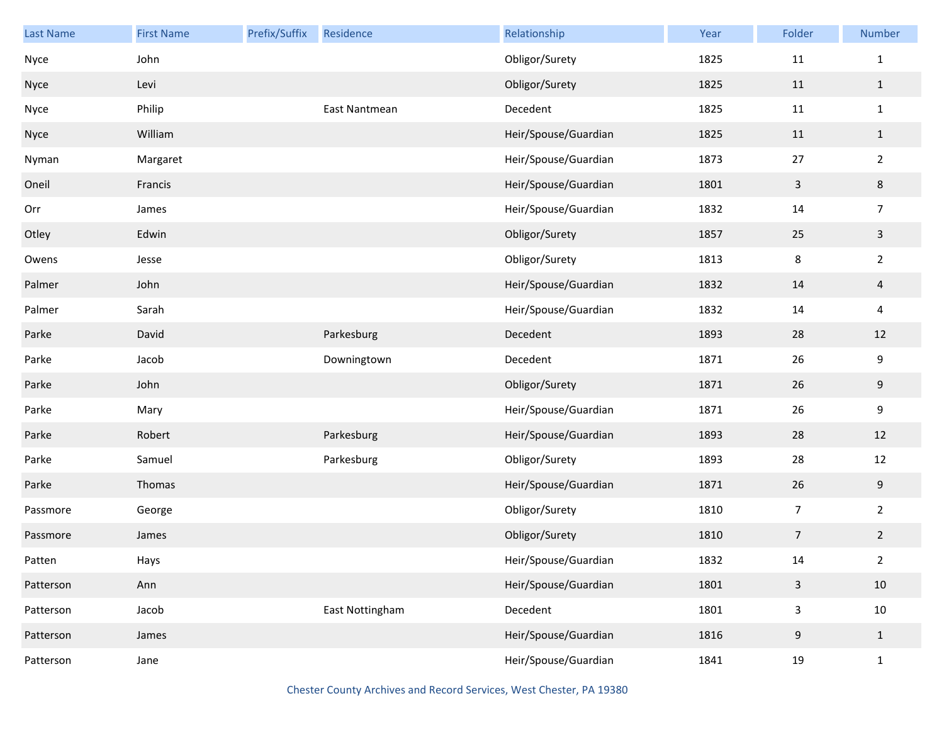| <b>Last Name</b> | <b>First Name</b> | Prefix/Suffix | Residence       | Relationship         | Year | Folder         | Number         |
|------------------|-------------------|---------------|-----------------|----------------------|------|----------------|----------------|
| Nyce             | John              |               |                 | Obligor/Surety       | 1825 | 11             | $\mathbf{1}$   |
| Nyce             | Levi              |               |                 | Obligor/Surety       | 1825 | 11             | $1\,$          |
| Nyce             | Philip            |               | East Nantmean   | Decedent             | 1825 | 11             | $\mathbf{1}$   |
| Nyce             | William           |               |                 | Heir/Spouse/Guardian | 1825 | 11             | $\mathbf{1}$   |
| Nyman            | Margaret          |               |                 | Heir/Spouse/Guardian | 1873 | 27             | $\overline{2}$ |
| Oneil            | Francis           |               |                 | Heir/Spouse/Guardian | 1801 | $\overline{3}$ | 8              |
| Orr              | James             |               |                 | Heir/Spouse/Guardian | 1832 | 14             | $\overline{7}$ |
| Otley            | Edwin             |               |                 | Obligor/Surety       | 1857 | 25             | $\mathbf{3}$   |
| Owens            | Jesse             |               |                 | Obligor/Surety       | 1813 | $\bf 8$        | $\overline{2}$ |
| Palmer           | John              |               |                 | Heir/Spouse/Guardian | 1832 | 14             | $\overline{4}$ |
| Palmer           | Sarah             |               |                 | Heir/Spouse/Guardian | 1832 | 14             | 4              |
| Parke            | David             |               | Parkesburg      | Decedent             | 1893 | 28             | 12             |
| Parke            | Jacob             |               | Downingtown     | Decedent             | 1871 | 26             | 9              |
| Parke            | John              |               |                 | Obligor/Surety       | 1871 | 26             | 9              |
| Parke            | Mary              |               |                 | Heir/Spouse/Guardian | 1871 | 26             | 9              |
| Parke            | Robert            |               | Parkesburg      | Heir/Spouse/Guardian | 1893 | 28             | 12             |
| Parke            | Samuel            |               | Parkesburg      | Obligor/Surety       | 1893 | 28             | 12             |
| Parke            | Thomas            |               |                 | Heir/Spouse/Guardian | 1871 | 26             | 9              |
| Passmore         | George            |               |                 | Obligor/Surety       | 1810 | $\overline{7}$ | $\overline{2}$ |
| Passmore         | James             |               |                 | Obligor/Surety       | 1810 | $\overline{7}$ | $\overline{2}$ |
| Patten           | Hays              |               |                 | Heir/Spouse/Guardian | 1832 | 14             | $\overline{2}$ |
| Patterson        | Ann               |               |                 | Heir/Spouse/Guardian | 1801 | $\mathsf{3}$   | 10             |
| Patterson        | Jacob             |               | East Nottingham | Decedent             | 1801 | $\mathbf{3}$   | $10\,$         |
| Patterson        | James             |               |                 | Heir/Spouse/Guardian | 1816 | 9              | $\mathbf{1}$   |
| Patterson        | Jane              |               |                 | Heir/Spouse/Guardian | 1841 | 19             | $\mathbf{1}$   |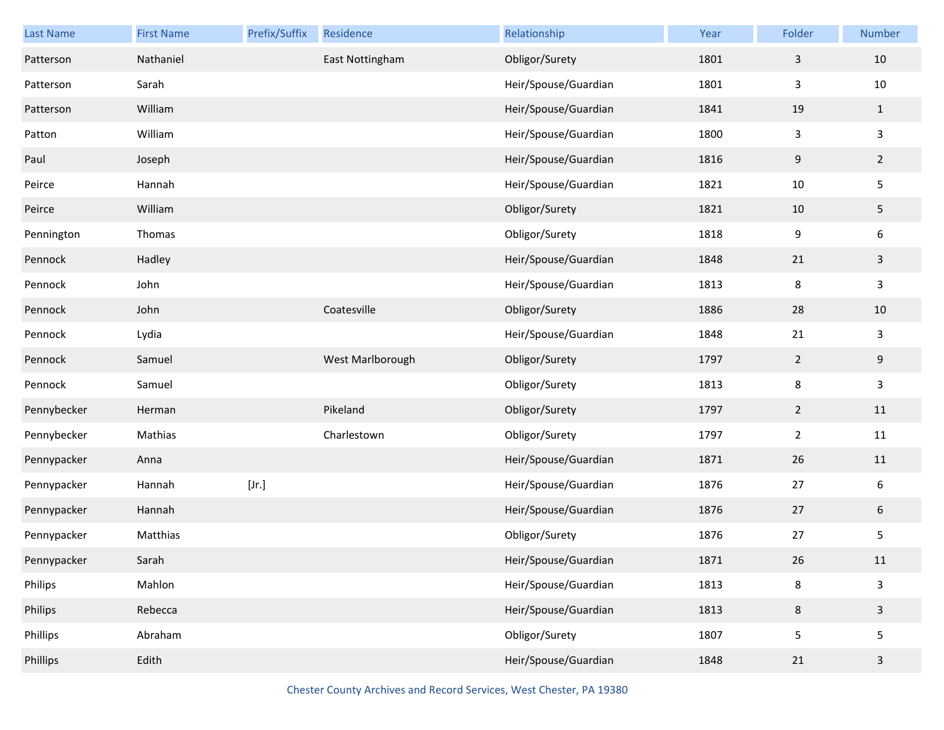| Last Name   | <b>First Name</b> | Prefix/Suffix | Residence        | Relationship         | Year | Folder         | Number           |
|-------------|-------------------|---------------|------------------|----------------------|------|----------------|------------------|
| Patterson   | Nathaniel         |               | East Nottingham  | Obligor/Surety       | 1801 | 3              | $10\,$           |
| Patterson   | Sarah             |               |                  | Heir/Spouse/Guardian | 1801 | 3              | 10               |
| Patterson   | William           |               |                  | Heir/Spouse/Guardian | 1841 | 19             | $\mathbf{1}$     |
| Patton      | William           |               |                  | Heir/Spouse/Guardian | 1800 | 3              | $\mathsf{3}$     |
| Paul        | Joseph            |               |                  | Heir/Spouse/Guardian | 1816 | 9              | $\overline{2}$   |
| Peirce      | Hannah            |               |                  | Heir/Spouse/Guardian | 1821 | $10\,$         | 5                |
| Peirce      | William           |               |                  | Obligor/Surety       | 1821 | 10             | 5                |
| Pennington  | Thomas            |               |                  | Obligor/Surety       | 1818 | 9              | $\boldsymbol{6}$ |
| Pennock     | Hadley            |               |                  | Heir/Spouse/Guardian | 1848 | 21             | $\mathbf{3}$     |
| Pennock     | John              |               |                  | Heir/Spouse/Guardian | 1813 | 8              | $\mathbf{3}$     |
| Pennock     | John              |               | Coatesville      | Obligor/Surety       | 1886 | 28             | $10\,$           |
| Pennock     | Lydia             |               |                  | Heir/Spouse/Guardian | 1848 | 21             | $\mathbf{3}$     |
| Pennock     | Samuel            |               | West Marlborough | Obligor/Surety       | 1797 | $\overline{2}$ | $\boldsymbol{9}$ |
| Pennock     | Samuel            |               |                  | Obligor/Surety       | 1813 | 8              | $\mathsf{3}$     |
| Pennybecker | Herman            |               | Pikeland         | Obligor/Surety       | 1797 | $\overline{2}$ | 11               |
| Pennybecker | Mathias           |               | Charlestown      | Obligor/Surety       | 1797 | $\overline{2}$ | 11               |
| Pennypacker | Anna              |               |                  | Heir/Spouse/Guardian | 1871 | 26             | $11\,$           |
| Pennypacker | Hannah            | [Jr.]         |                  | Heir/Spouse/Guardian | 1876 | 27             | 6                |
| Pennypacker | Hannah            |               |                  | Heir/Spouse/Guardian | 1876 | 27             | $\sqrt{6}$       |
| Pennypacker | Matthias          |               |                  | Obligor/Surety       | 1876 | 27             | 5                |
| Pennypacker | Sarah             |               |                  | Heir/Spouse/Guardian | 1871 | 26             | 11               |
| Philips     | Mahlon            |               |                  | Heir/Spouse/Guardian | 1813 | 8              | $\mathsf{3}$     |
| Philips     | Rebecca           |               |                  | Heir/Spouse/Guardian | 1813 | $\bf 8$        | $\mathsf{3}$     |
| Phillips    | Abraham           |               |                  | Obligor/Surety       | 1807 | 5              | 5                |
| Phillips    | Edith             |               |                  | Heir/Spouse/Guardian | 1848 | 21             | $\mathbf{3}$     |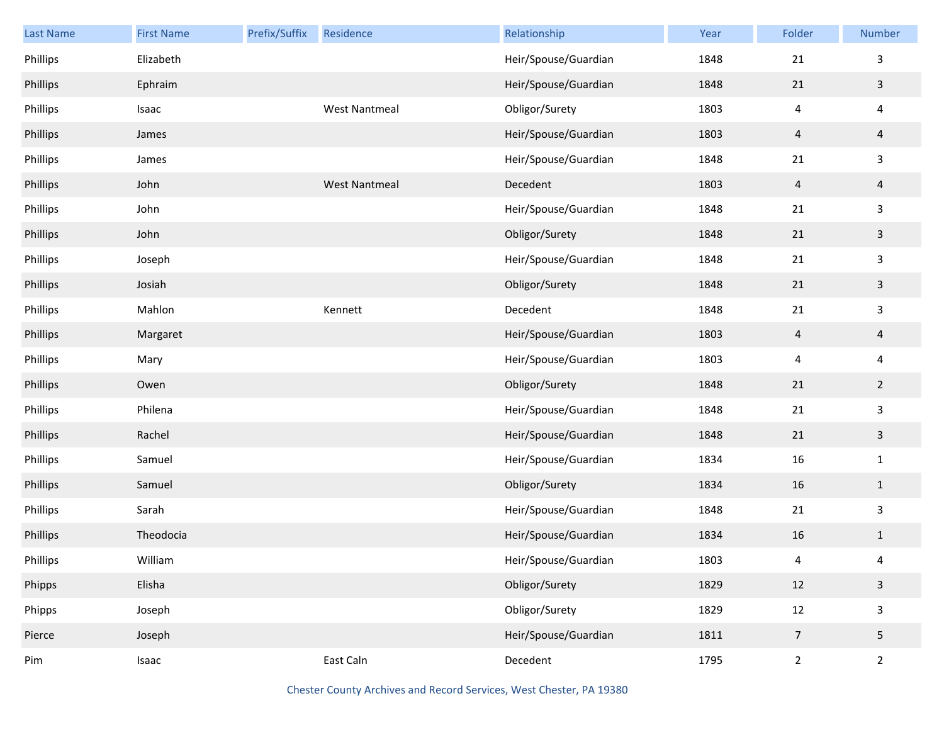| Last Name | <b>First Name</b> | Prefix/Suffix | Residence            | Relationship         | Year | Folder         | Number                  |
|-----------|-------------------|---------------|----------------------|----------------------|------|----------------|-------------------------|
| Phillips  | Elizabeth         |               |                      | Heir/Spouse/Guardian | 1848 | 21             | 3                       |
| Phillips  | Ephraim           |               |                      | Heir/Spouse/Guardian | 1848 | 21             | $\mathbf{3}$            |
| Phillips  | Isaac             |               | <b>West Nantmeal</b> | Obligor/Surety       | 1803 | 4              | $\overline{\mathbf{4}}$ |
| Phillips  | James             |               |                      | Heir/Spouse/Guardian | 1803 | $\overline{4}$ | $\overline{a}$          |
| Phillips  | James             |               |                      | Heir/Spouse/Guardian | 1848 | 21             | $\mathsf{3}$            |
| Phillips  | John              |               | <b>West Nantmeal</b> | Decedent             | 1803 | $\overline{4}$ | $\overline{a}$          |
| Phillips  | John              |               |                      | Heir/Spouse/Guardian | 1848 | 21             | $\mathsf{3}$            |
| Phillips  | John              |               |                      | Obligor/Surety       | 1848 | 21             | $\mathbf{3}$            |
| Phillips  | Joseph            |               |                      | Heir/Spouse/Guardian | 1848 | 21             | $\mathsf{3}$            |
| Phillips  | Josiah            |               |                      | Obligor/Surety       | 1848 | 21             | $\mathbf{3}$            |
| Phillips  | Mahlon            |               | Kennett              | Decedent             | 1848 | 21             | $\mathsf{3}$            |
| Phillips  | Margaret          |               |                      | Heir/Spouse/Guardian | 1803 | $\overline{4}$ | $\overline{a}$          |
| Phillips  | Mary              |               |                      | Heir/Spouse/Guardian | 1803 | 4              | $\overline{\mathbf{4}}$ |
| Phillips  | Owen              |               |                      | Obligor/Surety       | 1848 | 21             | $\overline{2}$          |
| Phillips  | Philena           |               |                      | Heir/Spouse/Guardian | 1848 | 21             | $\mathbf{3}$            |
| Phillips  | Rachel            |               |                      | Heir/Spouse/Guardian | 1848 | 21             | $\mathbf{3}$            |
| Phillips  | Samuel            |               |                      | Heir/Spouse/Guardian | 1834 | 16             | $\mathbf{1}$            |
| Phillips  | Samuel            |               |                      | Obligor/Surety       | 1834 | 16             | $\mathbf{1}$            |
| Phillips  | Sarah             |               |                      | Heir/Spouse/Guardian | 1848 | 21             | $\mathsf{3}$            |
| Phillips  | Theodocia         |               |                      | Heir/Spouse/Guardian | 1834 | 16             | $\mathbf{1}$            |
| Phillips  | William           |               |                      | Heir/Spouse/Guardian | 1803 | 4              | 4                       |
| Phipps    | Elisha            |               |                      | Obligor/Surety       | 1829 | 12             | $\mathbf{3}$            |
| Phipps    | Joseph            |               |                      | Obligor/Surety       | 1829 | 12             | $\mathbf{3}$            |
| Pierce    | Joseph            |               |                      | Heir/Spouse/Guardian | 1811 | $\overline{7}$ | $5\phantom{.0}$         |
| Pim       | Isaac             |               | East Caln            | Decedent             | 1795 | $\overline{2}$ | $\overline{2}$          |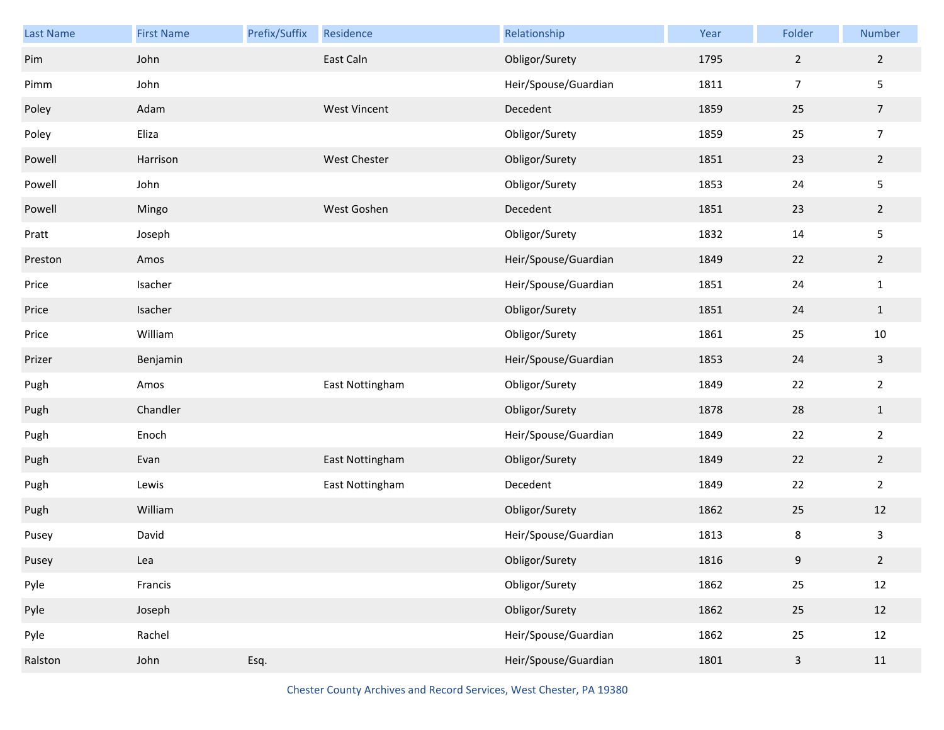| Last Name | <b>First Name</b> | Prefix/Suffix | Residence           | Relationship         | Year | Folder         | Number          |
|-----------|-------------------|---------------|---------------------|----------------------|------|----------------|-----------------|
| Pim       | John              |               | East Caln           | Obligor/Surety       | 1795 | $\overline{2}$ | $\overline{2}$  |
| Pimm      | John              |               |                     | Heir/Spouse/Guardian | 1811 | $\overline{7}$ | 5               |
| Poley     | Adam              |               | <b>West Vincent</b> | Decedent             | 1859 | 25             | $\overline{7}$  |
| Poley     | Eliza             |               |                     | Obligor/Surety       | 1859 | 25             | $\overline{7}$  |
| Powell    | Harrison          |               | West Chester        | Obligor/Surety       | 1851 | 23             | $\overline{2}$  |
| Powell    | John              |               |                     | Obligor/Surety       | 1853 | 24             | 5               |
| Powell    | Mingo             |               | West Goshen         | Decedent             | 1851 | 23             | $2\overline{ }$ |
| Pratt     | Joseph            |               |                     | Obligor/Surety       | 1832 | 14             | 5               |
| Preston   | Amos              |               |                     | Heir/Spouse/Guardian | 1849 | 22             | $\overline{2}$  |
| Price     | Isacher           |               |                     | Heir/Spouse/Guardian | 1851 | 24             | $\mathbf{1}$    |
| Price     | Isacher           |               |                     | Obligor/Surety       | 1851 | 24             | $\mathbf 1$     |
| Price     | William           |               |                     | Obligor/Surety       | 1861 | 25             | $10\,$          |
| Prizer    | Benjamin          |               |                     | Heir/Spouse/Guardian | 1853 | 24             | $\mathbf{3}$    |
| Pugh      | Amos              |               | East Nottingham     | Obligor/Surety       | 1849 | 22             | $\overline{2}$  |
| Pugh      | Chandler          |               |                     | Obligor/Surety       | 1878 | 28             | $\mathbf 1$     |
| Pugh      | Enoch             |               |                     | Heir/Spouse/Guardian | 1849 | 22             | $\overline{2}$  |
| Pugh      | Evan              |               | East Nottingham     | Obligor/Surety       | 1849 | 22             | $\overline{2}$  |
| Pugh      | Lewis             |               | East Nottingham     | Decedent             | 1849 | 22             | $\overline{2}$  |
| Pugh      | William           |               |                     | Obligor/Surety       | 1862 | 25             | 12              |
| Pusey     | David             |               |                     | Heir/Spouse/Guardian | 1813 | 8              | 3               |
| Pusey     | Lea               |               |                     | Obligor/Surety       | 1816 | 9              | $\overline{2}$  |
| Pyle      | Francis           |               |                     | Obligor/Surety       | 1862 | 25             | 12              |
| Pyle      | Joseph            |               |                     | Obligor/Surety       | 1862 | 25             | 12              |
| Pyle      | Rachel            |               |                     | Heir/Spouse/Guardian | 1862 | 25             | 12              |
| Ralston   | John              | Esq.          |                     | Heir/Spouse/Guardian | 1801 | $\mathbf{3}$   | $11\,$          |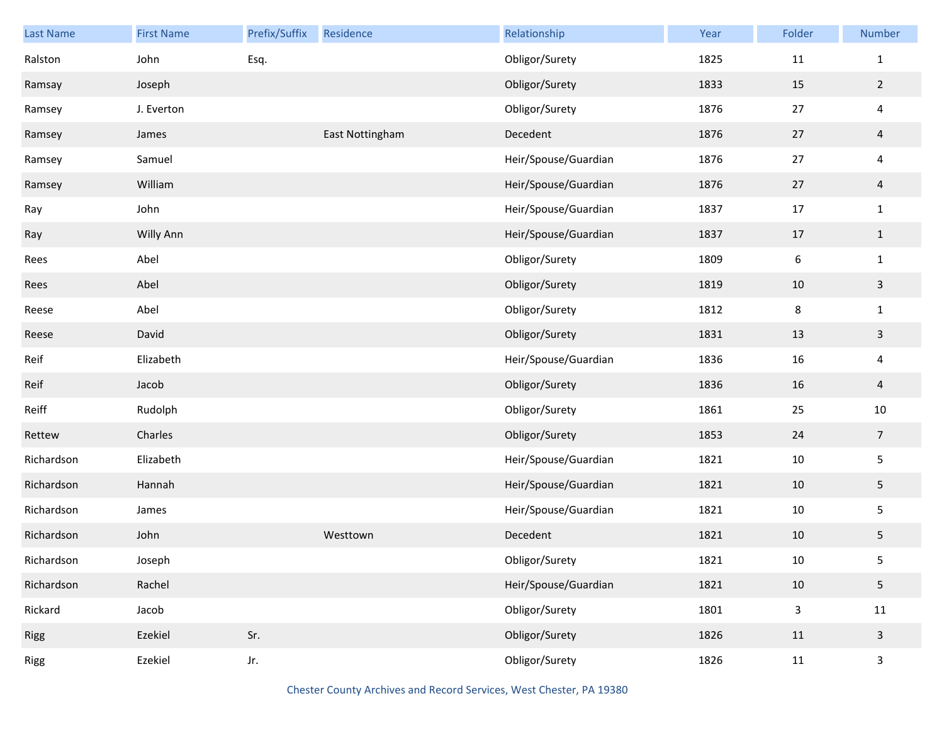| Last Name   | <b>First Name</b> | Prefix/Suffix | Residence       | Relationship         | Year | Folder           | Number         |
|-------------|-------------------|---------------|-----------------|----------------------|------|------------------|----------------|
| Ralston     | John              | Esq.          |                 | Obligor/Surety       | 1825 | 11               | $\mathbf{1}$   |
| Ramsay      | Joseph            |               |                 | Obligor/Surety       | 1833 | 15               | $\overline{2}$ |
| Ramsey      | J. Everton        |               |                 | Obligor/Surety       | 1876 | 27               | 4              |
| Ramsey      | James             |               | East Nottingham | Decedent             | 1876 | 27               | $\overline{4}$ |
| Ramsey      | Samuel            |               |                 | Heir/Spouse/Guardian | 1876 | 27               | 4              |
| Ramsey      | William           |               |                 | Heir/Spouse/Guardian | 1876 | 27               | $\overline{4}$ |
| Ray         | John              |               |                 | Heir/Spouse/Guardian | 1837 | 17               | $\mathbf{1}$   |
| Ray         | Willy Ann         |               |                 | Heir/Spouse/Guardian | 1837 | 17               | $\mathbf{1}$   |
| Rees        | Abel              |               |                 | Obligor/Surety       | 1809 | $\boldsymbol{6}$ | $\mathbf 1$    |
| Rees        | Abel              |               |                 | Obligor/Surety       | 1819 | 10               | $\mathbf{3}$   |
| Reese       | Abel              |               |                 | Obligor/Surety       | 1812 | $\bf 8$          | $\mathbf{1}$   |
| Reese       | David             |               |                 | Obligor/Surety       | 1831 | 13               | $\mathbf{3}$   |
| Reif        | Elizabeth         |               |                 | Heir/Spouse/Guardian | 1836 | 16               | 4              |
| Reif        | Jacob             |               |                 | Obligor/Surety       | 1836 | 16               | $\overline{4}$ |
| Reiff       | Rudolph           |               |                 | Obligor/Surety       | 1861 | 25               | $10\,$         |
| Rettew      | Charles           |               |                 | Obligor/Surety       | 1853 | 24               | $\overline{7}$ |
| Richardson  | Elizabeth         |               |                 | Heir/Spouse/Guardian | 1821 | 10               | 5              |
| Richardson  | Hannah            |               |                 | Heir/Spouse/Guardian | 1821 | 10               | 5              |
| Richardson  | James             |               |                 | Heir/Spouse/Guardian | 1821 | 10               | 5              |
| Richardson  | John              |               | Westtown        | Decedent             | 1821 | 10               | 5              |
| Richardson  | Joseph            |               |                 | Obligor/Surety       | 1821 | $10\,$           | 5              |
| Richardson  | Rachel            |               |                 | Heir/Spouse/Guardian | 1821 | 10               | 5              |
| Rickard     | Jacob             |               |                 | Obligor/Surety       | 1801 | $\mathbf{3}$     | 11             |
| <b>Rigg</b> | Ezekiel           | Sr.           |                 | Obligor/Surety       | 1826 | 11               | $\mathbf{3}$   |
| Rigg        | Ezekiel           | Jr.           |                 | Obligor/Surety       | 1826 | 11               | $\mathsf{3}$   |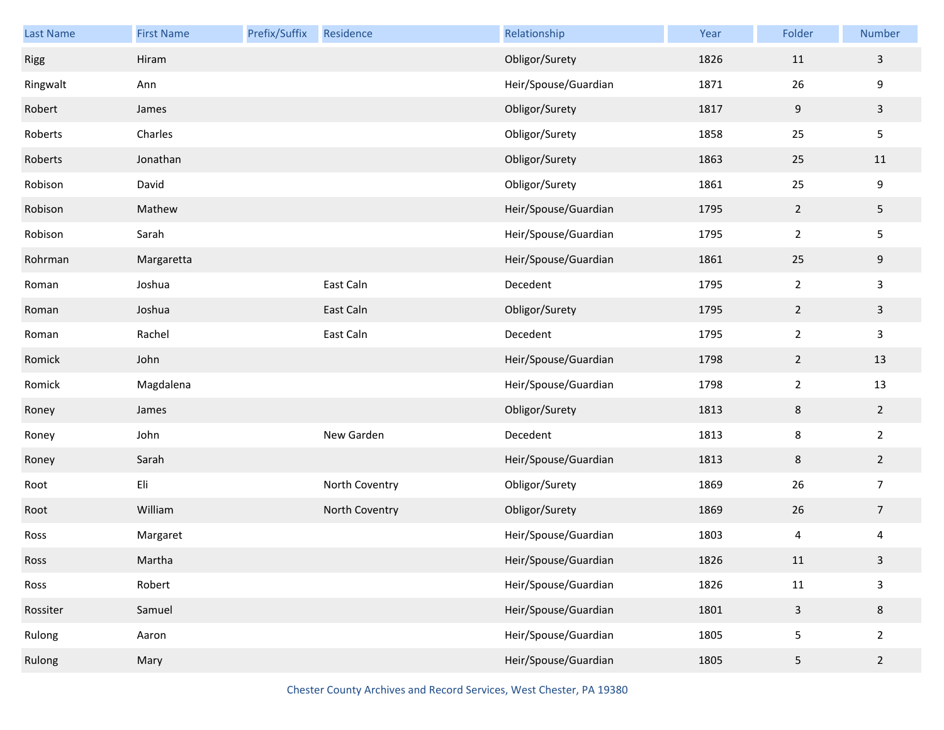| Last Name | <b>First Name</b> | Prefix/Suffix | Residence      | Relationship         | Year | Folder                   | Number         |
|-----------|-------------------|---------------|----------------|----------------------|------|--------------------------|----------------|
| Rigg      | Hiram             |               |                | Obligor/Surety       | 1826 | 11                       | $\mathbf{3}$   |
| Ringwalt  | Ann               |               |                | Heir/Spouse/Guardian | 1871 | 26                       | 9              |
| Robert    | James             |               |                | Obligor/Surety       | 1817 | $9\,$                    | $\mathbf{3}$   |
| Roberts   | Charles           |               |                | Obligor/Surety       | 1858 | 25                       | 5              |
| Roberts   | Jonathan          |               |                | Obligor/Surety       | 1863 | 25                       | 11             |
| Robison   | David             |               |                | Obligor/Surety       | 1861 | 25                       | 9              |
| Robison   | Mathew            |               |                | Heir/Spouse/Guardian | 1795 | $\overline{2}$           | 5              |
| Robison   | Sarah             |               |                | Heir/Spouse/Guardian | 1795 | $\overline{2}$           | 5              |
| Rohrman   | Margaretta        |               |                | Heir/Spouse/Guardian | 1861 | 25                       | 9              |
| Roman     | Joshua            |               | East Caln      | Decedent             | 1795 | $\overline{2}$           | 3              |
| Roman     | Joshua            |               | East Caln      | Obligor/Surety       | 1795 | $\overline{2}$           | $\mathbf{3}$   |
| Roman     | Rachel            |               | East Caln      | Decedent             | 1795 | $\overline{2}$           | 3              |
| Romick    | John              |               |                | Heir/Spouse/Guardian | 1798 | $\overline{2}$           | 13             |
| Romick    | Magdalena         |               |                | Heir/Spouse/Guardian | 1798 | $\overline{2}$           | 13             |
| Roney     | James             |               |                | Obligor/Surety       | 1813 | $\,8\,$                  | $\overline{2}$ |
| Roney     | John              |               | New Garden     | Decedent             | 1813 | 8                        | $\overline{2}$ |
| Roney     | Sarah             |               |                | Heir/Spouse/Guardian | 1813 | $\,8\,$                  | $\overline{2}$ |
| Root      | Eli               |               | North Coventry | Obligor/Surety       | 1869 | 26                       | $\overline{7}$ |
| Root      | William           |               | North Coventry | Obligor/Surety       | 1869 | 26                       | $\overline{7}$ |
| Ross      | Margaret          |               |                | Heir/Spouse/Guardian | 1803 | $\overline{\mathcal{A}}$ | $\overline{4}$ |
| Ross      | Martha            |               |                | Heir/Spouse/Guardian | 1826 | $11\,$                   | 3              |
| Ross      | Robert            |               |                | Heir/Spouse/Guardian | 1826 | $11\,$                   | $\mathsf{3}$   |
| Rossiter  | Samuel            |               |                | Heir/Spouse/Guardian | 1801 | $\mathbf{3}$             | 8              |
| Rulong    | Aaron             |               |                | Heir/Spouse/Guardian | 1805 | 5                        | $\overline{2}$ |
| Rulong    | Mary              |               |                | Heir/Spouse/Guardian | 1805 | $\sqrt{5}$               | $\overline{2}$ |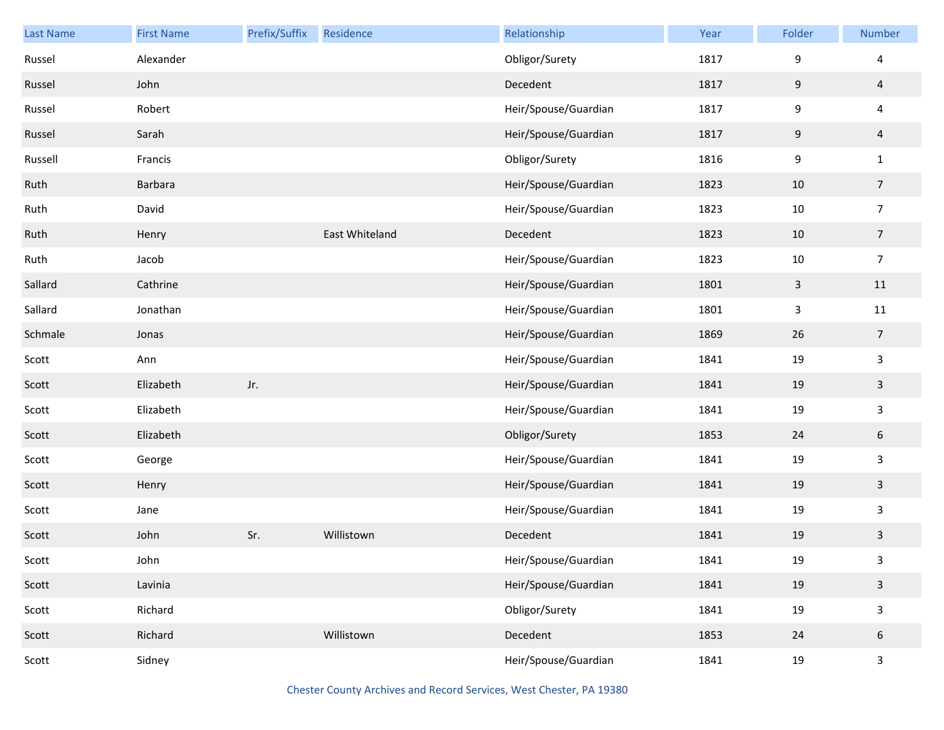| <b>Last Name</b> | <b>First Name</b> | Prefix/Suffix | Residence      | Relationship         | Year | Folder           | Number                  |
|------------------|-------------------|---------------|----------------|----------------------|------|------------------|-------------------------|
| Russel           | Alexander         |               |                | Obligor/Surety       | 1817 | 9                | 4                       |
| Russel           | John              |               |                | Decedent             | 1817 | $9\,$            | $\overline{4}$          |
| Russel           | Robert            |               |                | Heir/Spouse/Guardian | 1817 | 9                | $\overline{\mathbf{4}}$ |
| Russel           | Sarah             |               |                | Heir/Spouse/Guardian | 1817 | $9\,$            | $\overline{a}$          |
| Russell          | Francis           |               |                | Obligor/Surety       | 1816 | $\boldsymbol{9}$ | $\mathbf{1}$            |
| Ruth             | Barbara           |               |                | Heir/Spouse/Guardian | 1823 | 10               | $\overline{7}$          |
| Ruth             | David             |               |                | Heir/Spouse/Guardian | 1823 | $10\,$           | $\overline{7}$          |
| Ruth             | Henry             |               | East Whiteland | Decedent             | 1823 | 10               | $\overline{7}$          |
| Ruth             | Jacob             |               |                | Heir/Spouse/Guardian | 1823 | 10               | $\overline{7}$          |
| Sallard          | Cathrine          |               |                | Heir/Spouse/Guardian | 1801 | $\mathsf 3$      | 11                      |
| Sallard          | Jonathan          |               |                | Heir/Spouse/Guardian | 1801 | 3                | 11                      |
| Schmale          | Jonas             |               |                | Heir/Spouse/Guardian | 1869 | 26               | $\overline{7}$          |
| Scott            | Ann               |               |                | Heir/Spouse/Guardian | 1841 | 19               | $\mathbf{3}$            |
| Scott            | Elizabeth         | Jr.           |                | Heir/Spouse/Guardian | 1841 | 19               | $\mathbf{3}$            |
| Scott            | Elizabeth         |               |                | Heir/Spouse/Guardian | 1841 | 19               | $\mathbf{3}$            |
| Scott            | Elizabeth         |               |                | Obligor/Surety       | 1853 | 24               | 6                       |
| Scott            | George            |               |                | Heir/Spouse/Guardian | 1841 | 19               | $\mathbf{3}$            |
| Scott            | Henry             |               |                | Heir/Spouse/Guardian | 1841 | 19               | $\mathbf{3}$            |
| Scott            | Jane              |               |                | Heir/Spouse/Guardian | 1841 | 19               | $\mathbf{3}$            |
| Scott            | John              | Sr.           | Willistown     | Decedent             | 1841 | 19               | $\mathbf{3}$            |
| Scott            | John              |               |                | Heir/Spouse/Guardian | 1841 | 19               | $\mathbf{3}$            |
| Scott            | Lavinia           |               |                | Heir/Spouse/Guardian | 1841 | 19               | $\mathbf{3}$            |
| Scott            | Richard           |               |                | Obligor/Surety       | 1841 | 19               | $\mathbf{3}$            |
| Scott            | Richard           |               | Willistown     | Decedent             | 1853 | 24               | $6\,$                   |
| Scott            | Sidney            |               |                | Heir/Spouse/Guardian | 1841 | 19               | $\mathsf{3}$            |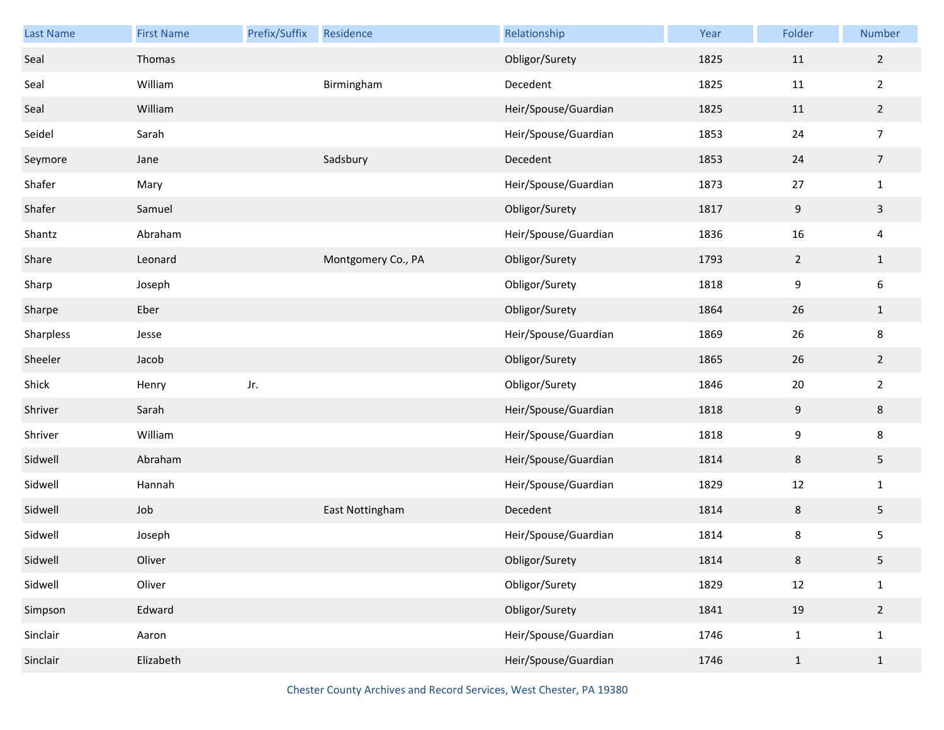| Last Name | <b>First Name</b> | Prefix/Suffix | Residence          | Relationship         | Year | Folder         | Number         |
|-----------|-------------------|---------------|--------------------|----------------------|------|----------------|----------------|
| Seal      | Thomas            |               |                    | Obligor/Surety       | 1825 | 11             | $\overline{2}$ |
| Seal      | William           |               | Birmingham         | Decedent             | 1825 | $11\,$         | $\overline{2}$ |
| Seal      | William           |               |                    | Heir/Spouse/Guardian | 1825 | $11\,$         | $\overline{2}$ |
| Seidel    | Sarah             |               |                    | Heir/Spouse/Guardian | 1853 | 24             | $\overline{7}$ |
| Seymore   | Jane              |               | Sadsbury           | Decedent             | 1853 | 24             | $\overline{7}$ |
| Shafer    | Mary              |               |                    | Heir/Spouse/Guardian | 1873 | 27             | $\mathbf{1}$   |
| Shafer    | Samuel            |               |                    | Obligor/Surety       | 1817 | 9              | $\mathbf{3}$   |
| Shantz    | Abraham           |               |                    | Heir/Spouse/Guardian | 1836 | 16             | $\overline{4}$ |
| Share     | Leonard           |               | Montgomery Co., PA | Obligor/Surety       | 1793 | $\overline{2}$ | $\mathbf{1}$   |
| Sharp     | Joseph            |               |                    | Obligor/Surety       | 1818 | 9              | 6              |
| Sharpe    | Eber              |               |                    | Obligor/Surety       | 1864 | 26             | $\mathbf{1}$   |
| Sharpless | Jesse             |               |                    | Heir/Spouse/Guardian | 1869 | 26             | 8              |
| Sheeler   | Jacob             |               |                    | Obligor/Surety       | 1865 | 26             | $\overline{2}$ |
| Shick     | Henry             | Jr.           |                    | Obligor/Surety       | 1846 | 20             | $\overline{2}$ |
| Shriver   | Sarah             |               |                    | Heir/Spouse/Guardian | 1818 | 9              | $\bf 8$        |
| Shriver   | William           |               |                    | Heir/Spouse/Guardian | 1818 | 9              | 8              |
| Sidwell   | Abraham           |               |                    | Heir/Spouse/Guardian | 1814 | $\,8\,$        | $\overline{5}$ |
| Sidwell   | Hannah            |               |                    | Heir/Spouse/Guardian | 1829 | $12\,$         | $\mathbf{1}$   |
| Sidwell   | Job               |               | East Nottingham    | Decedent             | 1814 | $\,$ 8 $\,$    | $\sqrt{5}$     |
| Sidwell   | Joseph            |               |                    | Heir/Spouse/Guardian | 1814 | 8              | 5              |
| Sidwell   | Oliver            |               |                    | Obligor/Surety       | 1814 | 8              | 5              |
| Sidwell   | Oliver            |               |                    | Obligor/Surety       | 1829 | $12\,$         | $\mathbf{1}$   |
| Simpson   | Edward            |               |                    | Obligor/Surety       | 1841 | 19             | $\overline{2}$ |
| Sinclair  | Aaron             |               |                    | Heir/Spouse/Guardian | 1746 | $\mathbf{1}$   | $\mathbf{1}$   |
| Sinclair  | Elizabeth         |               |                    | Heir/Spouse/Guardian | 1746 | $\mathbf{1}$   | $1\,$          |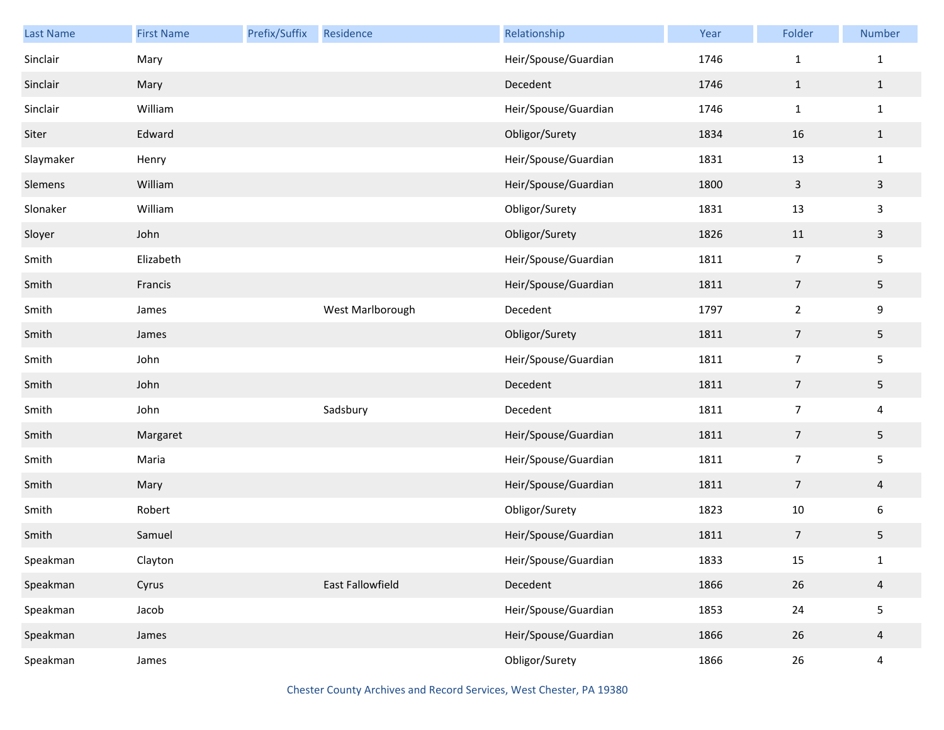| <b>Last Name</b> | <b>First Name</b> | Prefix/Suffix | Residence        | Relationship         | Year | Folder         | Number         |
|------------------|-------------------|---------------|------------------|----------------------|------|----------------|----------------|
| Sinclair         | Mary              |               |                  | Heir/Spouse/Guardian | 1746 | $\mathbf{1}$   | $\mathbf{1}$   |
| Sinclair         | Mary              |               |                  | Decedent             | 1746 | $\mathbf{1}$   | $\mathbf{1}$   |
| Sinclair         | William           |               |                  | Heir/Spouse/Guardian | 1746 | $\mathbf{1}$   | $\mathbf{1}$   |
| Siter            | Edward            |               |                  | Obligor/Surety       | 1834 | 16             | $\mathbf{1}$   |
| Slaymaker        | Henry             |               |                  | Heir/Spouse/Guardian | 1831 | 13             | $\mathbf{1}$   |
| Slemens          | William           |               |                  | Heir/Spouse/Guardian | 1800 | $\overline{3}$ | $\mathbf{3}$   |
| Slonaker         | William           |               |                  | Obligor/Surety       | 1831 | 13             | 3              |
| Sloyer           | John              |               |                  | Obligor/Surety       | 1826 | 11             | $\mathbf{3}$   |
| Smith            | Elizabeth         |               |                  | Heir/Spouse/Guardian | 1811 | $\overline{7}$ | 5              |
| Smith            | Francis           |               |                  | Heir/Spouse/Guardian | 1811 | $\overline{7}$ | 5              |
| Smith            | James             |               | West Marlborough | Decedent             | 1797 | $\overline{2}$ | 9              |
| Smith            | James             |               |                  | Obligor/Surety       | 1811 | $\overline{7}$ | 5              |
| Smith            | John              |               |                  | Heir/Spouse/Guardian | 1811 | $\overline{7}$ | 5              |
| Smith            | John              |               |                  | Decedent             | 1811 | $\overline{7}$ | 5              |
| Smith            | John              |               | Sadsbury         | Decedent             | 1811 | $\overline{7}$ | 4              |
| Smith            | Margaret          |               |                  | Heir/Spouse/Guardian | 1811 | $\overline{7}$ | 5              |
| Smith            | Maria             |               |                  | Heir/Spouse/Guardian | 1811 | $\overline{7}$ | 5              |
| Smith            | Mary              |               |                  | Heir/Spouse/Guardian | 1811 | $\overline{7}$ | $\overline{4}$ |
| Smith            | Robert            |               |                  | Obligor/Surety       | 1823 | 10             | 6              |
| Smith            | Samuel            |               |                  | Heir/Spouse/Guardian | 1811 | 7              | 5              |
| Speakman         | Clayton           |               |                  | Heir/Spouse/Guardian | 1833 | 15             | $\mathbf{1}$   |
| Speakman         | Cyrus             |               | East Fallowfield | Decedent             | 1866 | 26             | $\overline{4}$ |
| Speakman         | Jacob             |               |                  | Heir/Spouse/Guardian | 1853 | 24             | 5              |
| Speakman         | James             |               |                  | Heir/Spouse/Guardian | 1866 | 26             | $\overline{4}$ |
| Speakman         | James             |               |                  | Obligor/Surety       | 1866 | 26             | 4              |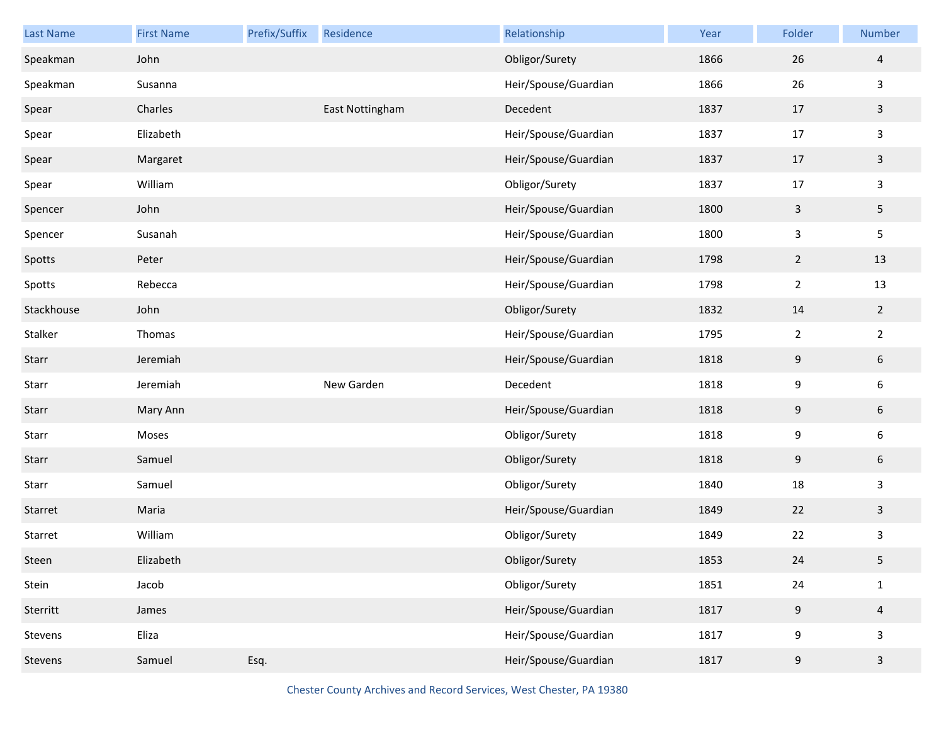| <b>Last Name</b> | <b>First Name</b> | Prefix/Suffix | Residence       | Relationship         | Year | Folder         | <b>Number</b>           |
|------------------|-------------------|---------------|-----------------|----------------------|------|----------------|-------------------------|
| Speakman         | John              |               |                 | Obligor/Surety       | 1866 | 26             | $\overline{4}$          |
| Speakman         | Susanna           |               |                 | Heir/Spouse/Guardian | 1866 | 26             | 3                       |
| Spear            | Charles           |               | East Nottingham | Decedent             | 1837 | 17             | 3                       |
| Spear            | Elizabeth         |               |                 | Heir/Spouse/Guardian | 1837 | 17             | 3                       |
| Spear            | Margaret          |               |                 | Heir/Spouse/Guardian | 1837 | 17             | $\overline{\mathbf{3}}$ |
| Spear            | William           |               |                 | Obligor/Surety       | 1837 | 17             | 3                       |
| Spencer          | John              |               |                 | Heir/Spouse/Guardian | 1800 | $\mathbf{3}$   | 5                       |
| Spencer          | Susanah           |               |                 | Heir/Spouse/Guardian | 1800 | 3              | 5                       |
| Spotts           | Peter             |               |                 | Heir/Spouse/Guardian | 1798 | $\overline{2}$ | 13                      |
| Spotts           | Rebecca           |               |                 | Heir/Spouse/Guardian | 1798 | $\overline{2}$ | 13                      |
| Stackhouse       | John              |               |                 | Obligor/Surety       | 1832 | 14             | $\overline{2}$          |
| Stalker          | Thomas            |               |                 | Heir/Spouse/Guardian | 1795 | $\overline{2}$ | $\overline{2}$          |
| Starr            | Jeremiah          |               |                 | Heir/Spouse/Guardian | 1818 | $9\,$          | 6                       |
| Starr            | Jeremiah          |               | New Garden      | Decedent             | 1818 | 9              | 6                       |
| Starr            | Mary Ann          |               |                 | Heir/Spouse/Guardian | 1818 | 9              | 6                       |
| Starr            | Moses             |               |                 | Obligor/Surety       | 1818 | 9              | 6                       |
| Starr            | Samuel            |               |                 | Obligor/Surety       | 1818 | $9\,$          | 6                       |
| Starr            | Samuel            |               |                 | Obligor/Surety       | 1840 | 18             | $\mathbf{3}$            |
| Starret          | Maria             |               |                 | Heir/Spouse/Guardian | 1849 | 22             | 3                       |
| Starret          | William           |               |                 | Obligor/Surety       | 1849 | 22             | 3                       |
| Steen            | Elizabeth         |               |                 | Obligor/Surety       | 1853 | 24             | 5                       |
| Stein            | Jacob             |               |                 | Obligor/Surety       | 1851 | 24             | $\mathbf{1}$            |
| Sterritt         | James             |               |                 | Heir/Spouse/Guardian | 1817 | $9\,$          | $\overline{4}$          |
| Stevens          | Eliza             |               |                 | Heir/Spouse/Guardian | 1817 | 9              | $\mathbf{3}$            |
| Stevens          | Samuel            | Esq.          |                 | Heir/Spouse/Guardian | 1817 | $9\,$          | $\mathbf{3}$            |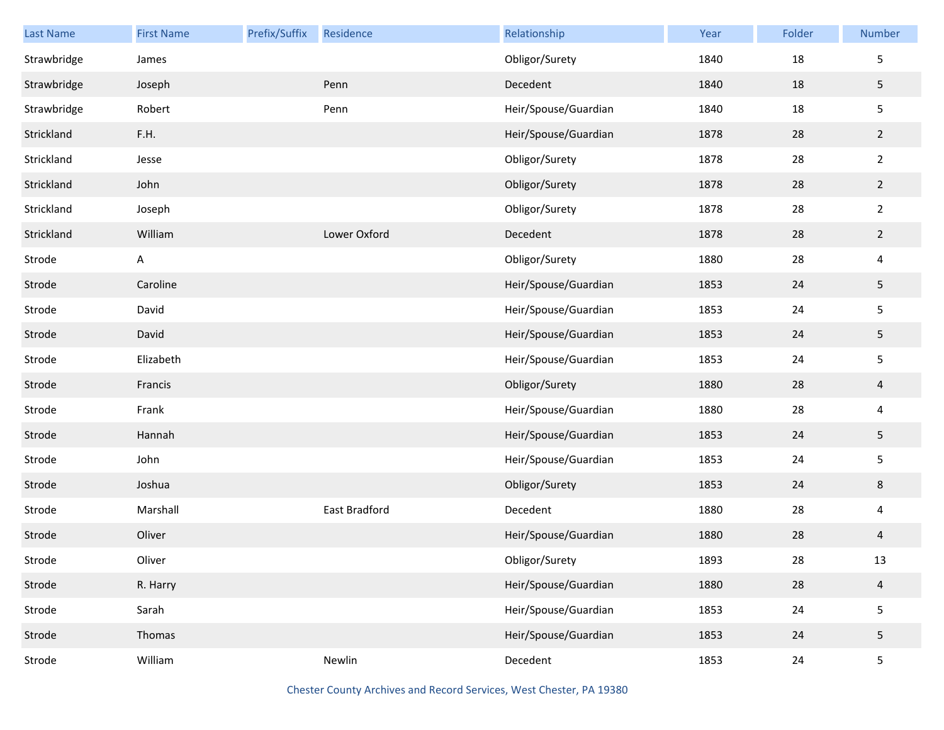| <b>Last Name</b> | <b>First Name</b> | Prefix/Suffix | Residence     | Relationship         | Year | Folder | Number                  |
|------------------|-------------------|---------------|---------------|----------------------|------|--------|-------------------------|
| Strawbridge      | James             |               |               | Obligor/Surety       | 1840 | 18     | 5                       |
| Strawbridge      | Joseph            |               | Penn          | Decedent             | 1840 | 18     | $\overline{5}$          |
| Strawbridge      | Robert            |               | Penn          | Heir/Spouse/Guardian | 1840 | 18     | $\sf 5$                 |
| Strickland       | F.H.              |               |               | Heir/Spouse/Guardian | 1878 | 28     | $\overline{2}$          |
| Strickland       | Jesse             |               |               | Obligor/Surety       | 1878 | 28     | $\overline{2}$          |
| Strickland       | John              |               |               | Obligor/Surety       | 1878 | 28     | $\overline{2}$          |
| Strickland       | Joseph            |               |               | Obligor/Surety       | 1878 | 28     | $\overline{2}$          |
| Strickland       | William           |               | Lower Oxford  | Decedent             | 1878 | 28     | $\overline{2}$          |
| Strode           | A                 |               |               | Obligor/Surety       | 1880 | 28     | $\overline{\mathbf{4}}$ |
| Strode           | Caroline          |               |               | Heir/Spouse/Guardian | 1853 | 24     | $\overline{5}$          |
| Strode           | David             |               |               | Heir/Spouse/Guardian | 1853 | 24     | $\sf 5$                 |
| Strode           | David             |               |               | Heir/Spouse/Guardian | 1853 | 24     | $\overline{5}$          |
| Strode           | Elizabeth         |               |               | Heir/Spouse/Guardian | 1853 | 24     | $\sf 5$                 |
| Strode           | Francis           |               |               | Obligor/Surety       | 1880 | 28     | $\overline{a}$          |
| Strode           | Frank             |               |               | Heir/Spouse/Guardian | 1880 | 28     | $\overline{\mathbf{4}}$ |
| Strode           | Hannah            |               |               | Heir/Spouse/Guardian | 1853 | 24     | $\overline{5}$          |
| Strode           | John              |               |               | Heir/Spouse/Guardian | 1853 | 24     | $\sqrt{5}$              |
| Strode           | Joshua            |               |               | Obligor/Surety       | 1853 | 24     | $\,8$                   |
| Strode           | Marshall          |               | East Bradford | Decedent             | 1880 | 28     | $\overline{4}$          |
| Strode           | Oliver            |               |               | Heir/Spouse/Guardian | 1880 | 28     | 4                       |
| Strode           | Oliver            |               |               | Obligor/Surety       | 1893 | 28     | 13                      |
| Strode           | R. Harry          |               |               | Heir/Spouse/Guardian | 1880 | 28     | $\overline{4}$          |
| Strode           | Sarah             |               |               | Heir/Spouse/Guardian | 1853 | 24     | $\mathsf S$             |
| Strode           | Thomas            |               |               | Heir/Spouse/Guardian | 1853 | 24     | $\sqrt{5}$              |
| Strode           | William           |               | Newlin        | Decedent             | 1853 | 24     | $\sqrt{5}$              |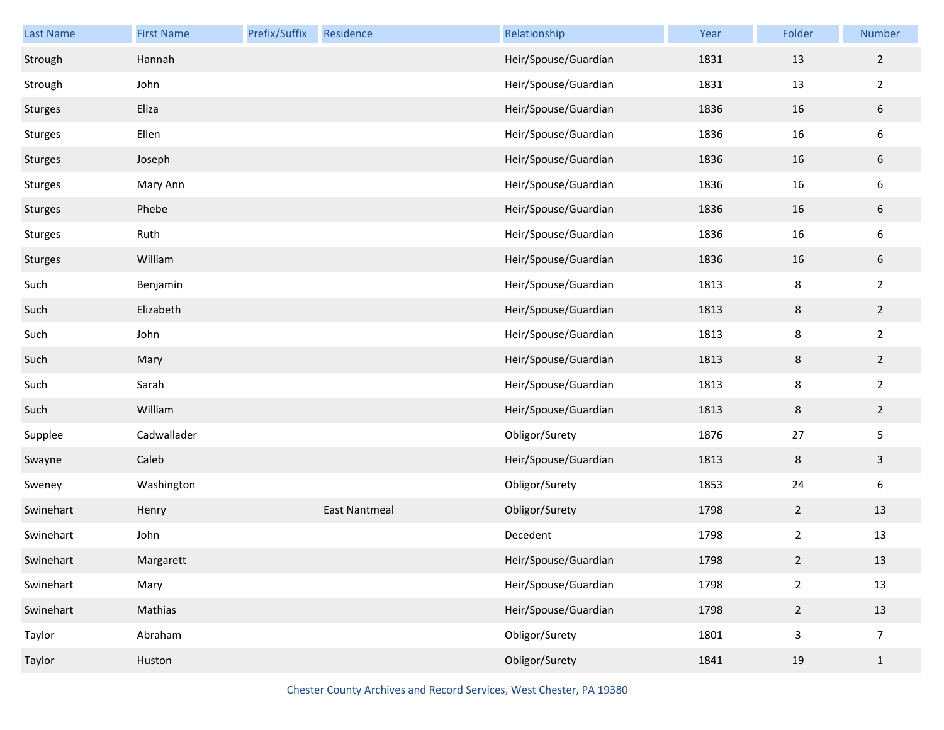| Last Name      | <b>First Name</b> | Prefix/Suffix | Residence            | Relationship         | Year | Folder         | Number           |
|----------------|-------------------|---------------|----------------------|----------------------|------|----------------|------------------|
| Strough        | Hannah            |               |                      | Heir/Spouse/Guardian | 1831 | 13             | $\overline{2}$   |
| Strough        | John              |               |                      | Heir/Spouse/Guardian | 1831 | 13             | $\overline{2}$   |
| <b>Sturges</b> | Eliza             |               |                      | Heir/Spouse/Guardian | 1836 | 16             | $6\phantom{.}6$  |
| <b>Sturges</b> | Ellen             |               |                      | Heir/Spouse/Guardian | 1836 | 16             | 6                |
| <b>Sturges</b> | Joseph            |               |                      | Heir/Spouse/Guardian | 1836 | 16             | $\boldsymbol{6}$ |
| <b>Sturges</b> | Mary Ann          |               |                      | Heir/Spouse/Guardian | 1836 | 16             | 6                |
| <b>Sturges</b> | Phebe             |               |                      | Heir/Spouse/Guardian | 1836 | 16             | $\boldsymbol{6}$ |
| Sturges        | Ruth              |               |                      | Heir/Spouse/Guardian | 1836 | 16             | 6                |
| Sturges        | William           |               |                      | Heir/Spouse/Guardian | 1836 | 16             | $\sqrt{6}$       |
| Such           | Benjamin          |               |                      | Heir/Spouse/Guardian | 1813 | 8              | $\overline{2}$   |
| Such           | Elizabeth         |               |                      | Heir/Spouse/Guardian | 1813 | $\,8\,$        | $\overline{2}$   |
| Such           | John              |               |                      | Heir/Spouse/Guardian | 1813 | 8              | $\overline{2}$   |
| Such           | Mary              |               |                      | Heir/Spouse/Guardian | 1813 | $\,$ 8 $\,$    | $\overline{2}$   |
| Such           | Sarah             |               |                      | Heir/Spouse/Guardian | 1813 | 8              | $\overline{2}$   |
| Such           | William           |               |                      | Heir/Spouse/Guardian | 1813 | 8              | $\overline{2}$   |
| Supplee        | Cadwallader       |               |                      | Obligor/Surety       | 1876 | 27             | 5                |
| Swayne         | Caleb             |               |                      | Heir/Spouse/Guardian | 1813 | 8              | $\mathbf{3}$     |
| Sweney         | Washington        |               |                      | Obligor/Surety       | 1853 | 24             | 6                |
| Swinehart      | Henry             |               | <b>East Nantmeal</b> | Obligor/Surety       | 1798 | $\overline{2}$ | 13               |
| Swinehart      | John              |               |                      | Decedent             | 1798 | $\overline{2}$ | 13               |
| Swinehart      | Margarett         |               |                      | Heir/Spouse/Guardian | 1798 | $\overline{2}$ | 13               |
| Swinehart      | Mary              |               |                      | Heir/Spouse/Guardian | 1798 | $\overline{2}$ | $13\,$           |
| Swinehart      | Mathias           |               |                      | Heir/Spouse/Guardian | 1798 | $\overline{2}$ | 13               |
| Taylor         | Abraham           |               |                      | Obligor/Surety       | 1801 | 3              | $\overline{7}$   |
| Taylor         | Huston            |               |                      | Obligor/Surety       | 1841 | 19             | $\mathbf{1}$     |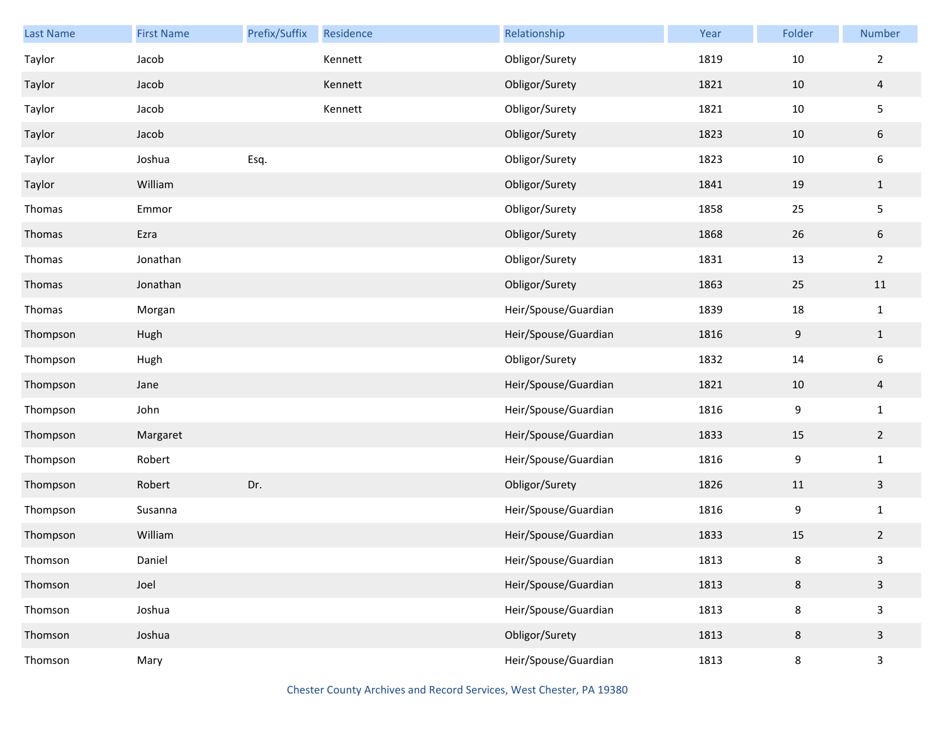| <b>Last Name</b> | <b>First Name</b> | Prefix/Suffix | Residence | Relationship         | Year | Folder  | Number           |
|------------------|-------------------|---------------|-----------|----------------------|------|---------|------------------|
| Taylor           | Jacob             |               | Kennett   | Obligor/Surety       | 1819 | $10\,$  | $\overline{2}$   |
| Taylor           | Jacob             |               | Kennett   | Obligor/Surety       | 1821 | 10      | $\overline{4}$   |
| Taylor           | Jacob             |               | Kennett   | Obligor/Surety       | 1821 | 10      | $\overline{5}$   |
| Taylor           | Jacob             |               |           | Obligor/Surety       | 1823 | 10      | $\sqrt{6}$       |
| Taylor           | Joshua            | Esq.          |           | Obligor/Surety       | 1823 | 10      | $\boldsymbol{6}$ |
| Taylor           | William           |               |           | Obligor/Surety       | 1841 | 19      | $1\,$            |
| Thomas           | Emmor             |               |           | Obligor/Surety       | 1858 | 25      | $\mathsf S$      |
| Thomas           | Ezra              |               |           | Obligor/Surety       | 1868 | 26      | $\sqrt{6}$       |
| Thomas           | Jonathan          |               |           | Obligor/Surety       | 1831 | 13      | $\overline{2}$   |
| Thomas           | Jonathan          |               |           | Obligor/Surety       | 1863 | 25      | $11\,$           |
| Thomas           | Morgan            |               |           | Heir/Spouse/Guardian | 1839 | 18      | $\mathbf 1$      |
| Thompson         | Hugh              |               |           | Heir/Spouse/Guardian | 1816 | 9       | $\mathbf{1}$     |
| Thompson         | Hugh              |               |           | Obligor/Surety       | 1832 | 14      | $\boldsymbol{6}$ |
| Thompson         | Jane              |               |           | Heir/Spouse/Guardian | 1821 | 10      | $\overline{4}$   |
| Thompson         | John              |               |           | Heir/Spouse/Guardian | 1816 | 9       | $\mathbf 1$      |
| Thompson         | Margaret          |               |           | Heir/Spouse/Guardian | 1833 | 15      | $\overline{2}$   |
| Thompson         | Robert            |               |           | Heir/Spouse/Guardian | 1816 | 9       | $\mathbf 1$      |
| Thompson         | Robert            | Dr.           |           | Obligor/Surety       | 1826 | $11\,$  | $\mathbf{3}$     |
| Thompson         | Susanna           |               |           | Heir/Spouse/Guardian | 1816 | 9       | $\mathbf 1$      |
| Thompson         | William           |               |           | Heir/Spouse/Guardian | 1833 | 15      | $\overline{2}$   |
| Thomson          | Daniel            |               |           | Heir/Spouse/Guardian | 1813 | 8       | 3                |
| Thomson          | Joel              |               |           | Heir/Spouse/Guardian | 1813 | 8       | $\mathbf{3}$     |
| Thomson          | Joshua            |               |           | Heir/Spouse/Guardian | 1813 | 8       | $\mathbf{3}$     |
| Thomson          | Joshua            |               |           | Obligor/Surety       | 1813 | $\,8\,$ | $\mathbf{3}$     |
| Thomson          | Mary              |               |           | Heir/Spouse/Guardian | 1813 | 8       | $\mathsf{3}$     |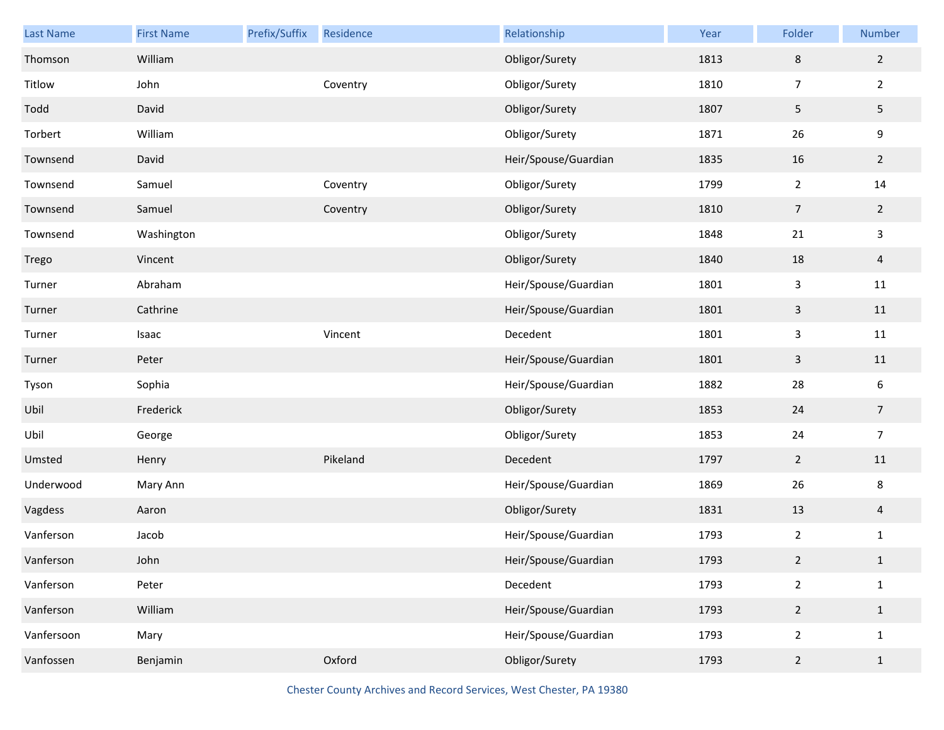| <b>Last Name</b> | <b>First Name</b> | Prefix/Suffix | Residence | Relationship         | Year | Folder         | Number          |
|------------------|-------------------|---------------|-----------|----------------------|------|----------------|-----------------|
| Thomson          | William           |               |           | Obligor/Surety       | 1813 | $\,8\,$        | $\overline{2}$  |
| Titlow           | John              |               | Coventry  | Obligor/Surety       | 1810 | $\overline{7}$ | $\overline{2}$  |
| Todd             | David             |               |           | Obligor/Surety       | 1807 | 5              | $5\phantom{.0}$ |
| Torbert          | William           |               |           | Obligor/Surety       | 1871 | 26             | 9               |
| Townsend         | David             |               |           | Heir/Spouse/Guardian | 1835 | 16             | $\overline{2}$  |
| Townsend         | Samuel            |               | Coventry  | Obligor/Surety       | 1799 | $\overline{2}$ | 14              |
| Townsend         | Samuel            |               | Coventry  | Obligor/Surety       | 1810 | $\overline{7}$ | $2^{\circ}$     |
| Townsend         | Washington        |               |           | Obligor/Surety       | 1848 | 21             | $\mathbf{3}$    |
| Trego            | Vincent           |               |           | Obligor/Surety       | 1840 | 18             | $\overline{4}$  |
| Turner           | Abraham           |               |           | Heir/Spouse/Guardian | 1801 | $\mathbf{3}$   | 11              |
| Turner           | Cathrine          |               |           | Heir/Spouse/Guardian | 1801 | $\mathsf{3}$   | 11              |
| Turner           | Isaac             |               | Vincent   | Decedent             | 1801 | $\mathbf{3}$   | 11              |
| Turner           | Peter             |               |           | Heir/Spouse/Guardian | 1801 | $\mathsf{3}$   | $11\,$          |
| Tyson            | Sophia            |               |           | Heir/Spouse/Guardian | 1882 | 28             | 6               |
| Ubil             | Frederick         |               |           | Obligor/Surety       | 1853 | 24             | $\overline{7}$  |
| Ubil             | George            |               |           | Obligor/Surety       | 1853 | 24             | $\overline{7}$  |
| Umsted           | Henry             |               | Pikeland  | Decedent             | 1797 | $\overline{2}$ | $11\,$          |
| Underwood        | Mary Ann          |               |           | Heir/Spouse/Guardian | 1869 | 26             | 8               |
| Vagdess          | Aaron             |               |           | Obligor/Surety       | 1831 | 13             | $\overline{4}$  |
| Vanferson        | Jacob             |               |           | Heir/Spouse/Guardian | 1793 | $\overline{2}$ | $\mathbf{1}$    |
| Vanferson        | John              |               |           | Heir/Spouse/Guardian | 1793 | 2 <sup>1</sup> | $\mathbf{1}$    |
| Vanferson        | Peter             |               |           | Decedent             | 1793 | $\overline{2}$ | $\mathbf{1}$    |
| Vanferson        | William           |               |           | Heir/Spouse/Guardian | 1793 | $\overline{2}$ | $\mathbf{1}$    |
| Vanfersoon       | Mary              |               |           | Heir/Spouse/Guardian | 1793 | $\overline{2}$ | $\mathbf{1}$    |
| Vanfossen        | Benjamin          |               | Oxford    | Obligor/Surety       | 1793 | $\overline{2}$ | $\mathbf{1}$    |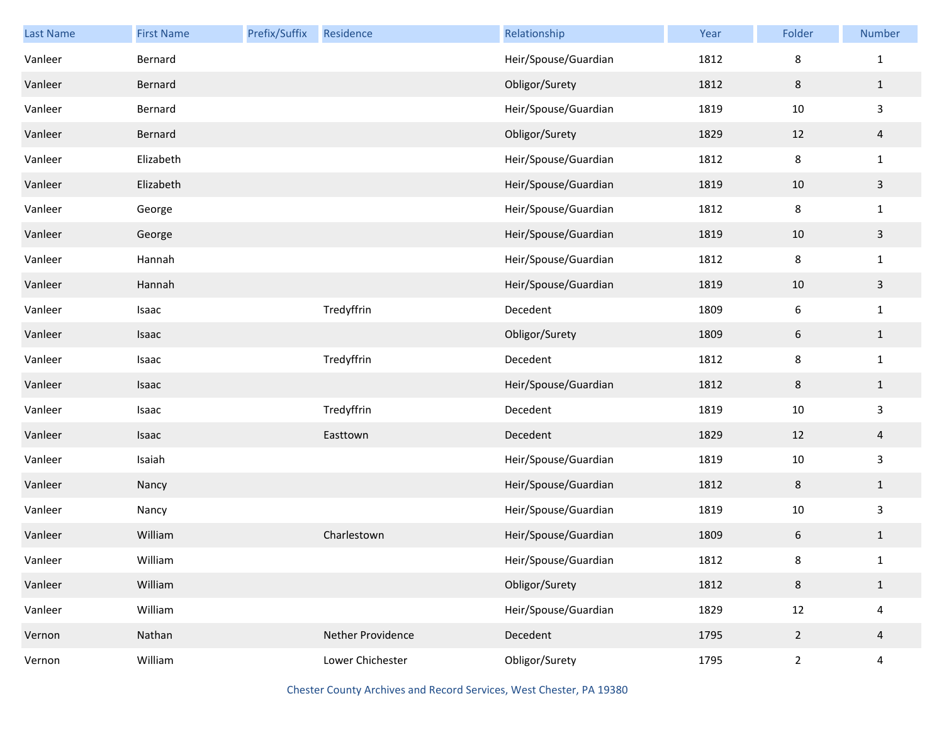| <b>Last Name</b> | <b>First Name</b> | Prefix/Suffix | Residence         | Relationship         | Year | Folder           | Number                  |
|------------------|-------------------|---------------|-------------------|----------------------|------|------------------|-------------------------|
| Vanleer          | Bernard           |               |                   | Heir/Spouse/Guardian | 1812 | 8                | $\mathbf{1}$            |
| Vanleer          | Bernard           |               |                   | Obligor/Surety       | 1812 | $\,8\,$          | $\mathbf{1}$            |
| Vanleer          | Bernard           |               |                   | Heir/Spouse/Guardian | 1819 | $10\,$           | $\mathbf{3}$            |
| Vanleer          | Bernard           |               |                   | Obligor/Surety       | 1829 | 12               | $\overline{4}$          |
| Vanleer          | Elizabeth         |               |                   | Heir/Spouse/Guardian | 1812 | $\,8\,$          | $\mathbf{1}$            |
| Vanleer          | Elizabeth         |               |                   | Heir/Spouse/Guardian | 1819 | 10               | $\mathbf{3}$            |
| Vanleer          | George            |               |                   | Heir/Spouse/Guardian | 1812 | 8                | $\mathbf 1$             |
| Vanleer          | George            |               |                   | Heir/Spouse/Guardian | 1819 | 10               | $\mathbf{3}$            |
| Vanleer          | Hannah            |               |                   | Heir/Spouse/Guardian | 1812 | $\,8\,$          | $\mathbf 1$             |
| Vanleer          | Hannah            |               |                   | Heir/Spouse/Guardian | 1819 | 10               | $\mathbf{3}$            |
| Vanleer          | Isaac             |               | Tredyffrin        | Decedent             | 1809 | $\boldsymbol{6}$ | $\mathbf 1$             |
| Vanleer          | Isaac             |               |                   | Obligor/Surety       | 1809 | 6                | $\mathbf{1}$            |
| Vanleer          | Isaac             |               | Tredyffrin        | Decedent             | 1812 | $\,8\,$          | $\mathbf{1}$            |
| Vanleer          | Isaac             |               |                   | Heir/Spouse/Guardian | 1812 | $\,8\,$          | $\mathbf{1}$            |
| Vanleer          | Isaac             |               | Tredyffrin        | Decedent             | 1819 | $10\,$           | $\mathbf{3}$            |
| Vanleer          | Isaac             |               | Easttown          | Decedent             | 1829 | 12               | $\overline{a}$          |
| Vanleer          | Isaiah            |               |                   | Heir/Spouse/Guardian | 1819 | $10\,$           | $\mathbf{3}$            |
| Vanleer          | Nancy             |               |                   | Heir/Spouse/Guardian | 1812 | $\,8\,$          | $\mathbf{1}$            |
| Vanleer          | Nancy             |               |                   | Heir/Spouse/Guardian | 1819 | $10\,$           | $\mathbf{3}$            |
| Vanleer          | William           |               | Charlestown       | Heir/Spouse/Guardian | 1809 | 6                | $\mathbf{1}$            |
| Vanleer          | William           |               |                   | Heir/Spouse/Guardian | 1812 | 8                | $\mathbf{1}$            |
| Vanleer          | William           |               |                   | Obligor/Surety       | 1812 | $\,8\,$          | $\mathbf{1}$            |
| Vanleer          | William           |               |                   | Heir/Spouse/Guardian | 1829 | $12\,$           | $\overline{\mathbf{4}}$ |
| Vernon           | Nathan            |               | Nether Providence | Decedent             | 1795 | $\overline{2}$   | $\overline{4}$          |
| Vernon           | William           |               | Lower Chichester  | Obligor/Surety       | 1795 | $\overline{2}$   | $\overline{\mathbf{4}}$ |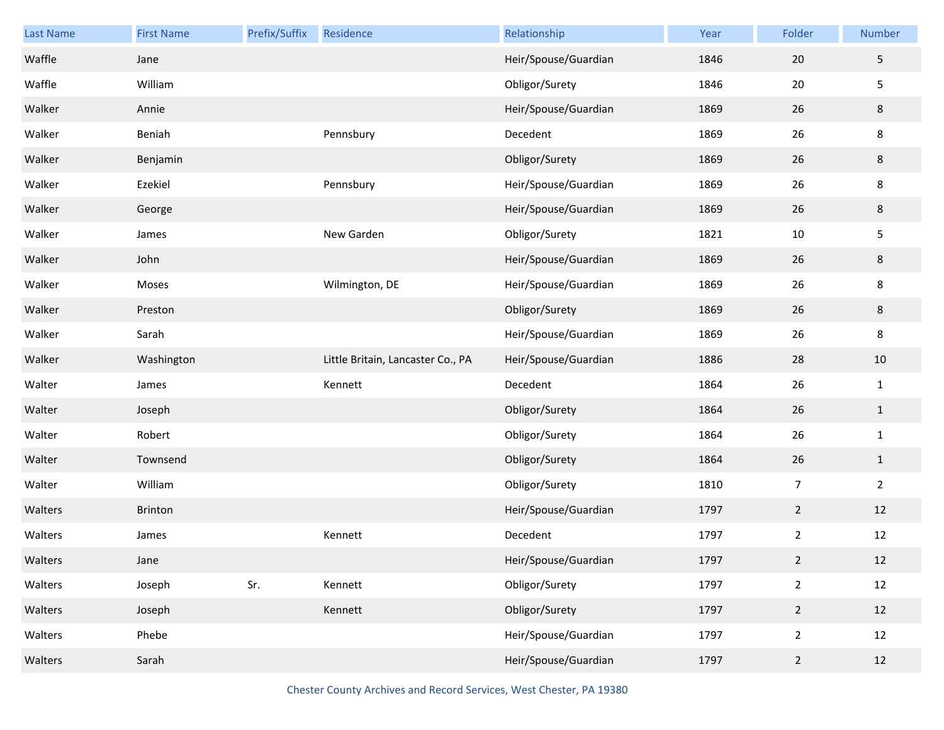| Last Name | <b>First Name</b> | Prefix/Suffix | Residence                         | Relationship         | Year | Folder         | Number         |
|-----------|-------------------|---------------|-----------------------------------|----------------------|------|----------------|----------------|
| Waffle    | Jane              |               |                                   | Heir/Spouse/Guardian | 1846 | 20             | $\overline{5}$ |
| Waffle    | William           |               |                                   | Obligor/Surety       | 1846 | 20             | 5              |
| Walker    | Annie             |               |                                   | Heir/Spouse/Guardian | 1869 | 26             | $\bf 8$        |
| Walker    | Beniah            |               | Pennsbury                         | Decedent             | 1869 | 26             | $\bf 8$        |
| Walker    | Benjamin          |               |                                   | Obligor/Surety       | 1869 | 26             | $\bf 8$        |
| Walker    | Ezekiel           |               | Pennsbury                         | Heir/Spouse/Guardian | 1869 | 26             | $\bf 8$        |
| Walker    | George            |               |                                   | Heir/Spouse/Guardian | 1869 | 26             | $\bf 8$        |
| Walker    | James             |               | New Garden                        | Obligor/Surety       | 1821 | $10\,$         | 5              |
| Walker    | John              |               |                                   | Heir/Spouse/Guardian | 1869 | 26             | $\bf 8$        |
| Walker    | Moses             |               | Wilmington, DE                    | Heir/Spouse/Guardian | 1869 | 26             | 8              |
| Walker    | Preston           |               |                                   | Obligor/Surety       | 1869 | 26             | $\bf 8$        |
| Walker    | Sarah             |               |                                   | Heir/Spouse/Guardian | 1869 | 26             | 8              |
| Walker    | Washington        |               | Little Britain, Lancaster Co., PA | Heir/Spouse/Guardian | 1886 | 28             | $10\,$         |
| Walter    | James             |               | Kennett                           | Decedent             | 1864 | 26             | $\mathbf{1}$   |
| Walter    | Joseph            |               |                                   | Obligor/Surety       | 1864 | 26             | $1\,$          |
| Walter    | Robert            |               |                                   | Obligor/Surety       | 1864 | 26             | $\mathbf{1}$   |
| Walter    | Townsend          |               |                                   | Obligor/Surety       | 1864 | 26             | $\mathbf{1}$   |
| Walter    | William           |               |                                   | Obligor/Surety       | 1810 | $\overline{7}$ | $\overline{2}$ |
| Walters   | Brinton           |               |                                   | Heir/Spouse/Guardian | 1797 | $\overline{2}$ | 12             |
| Walters   | James             |               | Kennett                           | Decedent             | 1797 | $\overline{2}$ | 12             |
| Walters   | Jane              |               |                                   | Heir/Spouse/Guardian | 1797 | $\overline{2}$ | 12             |
| Walters   | Joseph            | Sr.           | Kennett                           | Obligor/Surety       | 1797 | $\overline{2}$ | $12\,$         |
| Walters   | Joseph            |               | Kennett                           | Obligor/Surety       | 1797 | $\overline{2}$ | 12             |
| Walters   | Phebe             |               |                                   | Heir/Spouse/Guardian | 1797 | $\overline{2}$ | 12             |
| Walters   | Sarah             |               |                                   | Heir/Spouse/Guardian | 1797 | $\overline{2}$ | 12             |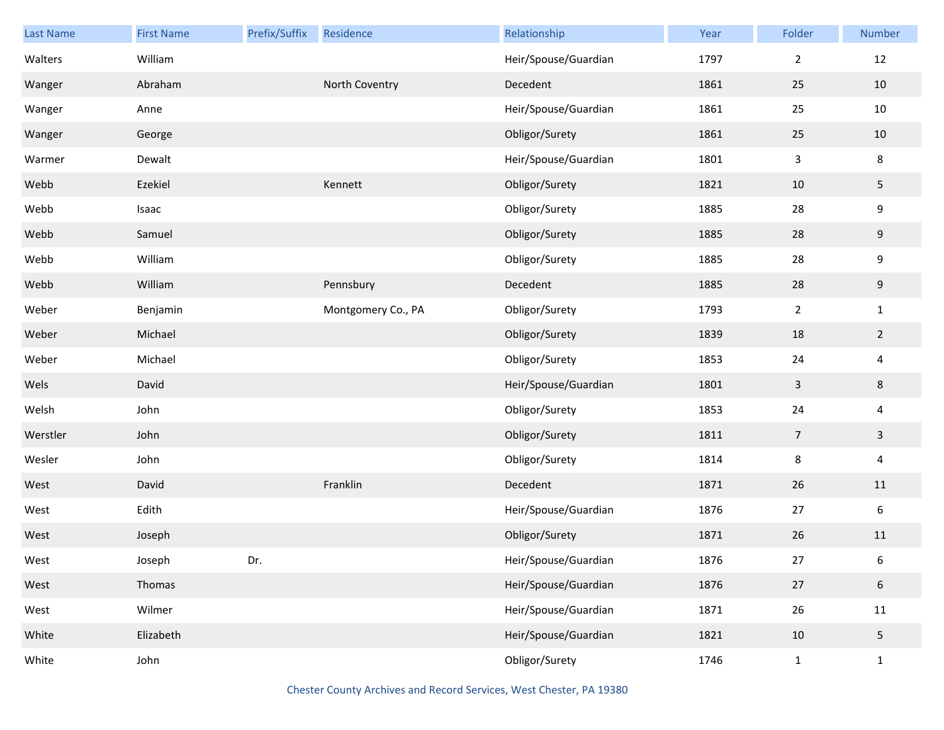| Last Name | <b>First Name</b> | Prefix/Suffix | Residence          | Relationship         | Year | Folder         | Number                  |
|-----------|-------------------|---------------|--------------------|----------------------|------|----------------|-------------------------|
| Walters   | William           |               |                    | Heir/Spouse/Guardian | 1797 | $\overline{2}$ | 12                      |
| Wanger    | Abraham           |               | North Coventry     | Decedent             | 1861 | 25             | $10\,$                  |
| Wanger    | Anne              |               |                    | Heir/Spouse/Guardian | 1861 | 25             | 10                      |
| Wanger    | George            |               |                    | Obligor/Surety       | 1861 | 25             | 10                      |
| Warmer    | Dewalt            |               |                    | Heir/Spouse/Guardian | 1801 | 3              | $\bf 8$                 |
| Webb      | Ezekiel           |               | Kennett            | Obligor/Surety       | 1821 | $10\,$         | $5\phantom{.0}$         |
| Webb      | Isaac             |               |                    | Obligor/Surety       | 1885 | 28             | 9                       |
| Webb      | Samuel            |               |                    | Obligor/Surety       | 1885 | 28             | 9                       |
| Webb      | William           |               |                    | Obligor/Surety       | 1885 | 28             | $\boldsymbol{9}$        |
| Webb      | William           |               | Pennsbury          | Decedent             | 1885 | 28             | 9                       |
| Weber     | Benjamin          |               | Montgomery Co., PA | Obligor/Surety       | 1793 | $\overline{2}$ | $\mathbf{1}$            |
| Weber     | Michael           |               |                    | Obligor/Surety       | 1839 | 18             | $\overline{2}$          |
| Weber     | Michael           |               |                    | Obligor/Surety       | 1853 | 24             | $\overline{\mathbf{4}}$ |
| Wels      | David             |               |                    | Heir/Spouse/Guardian | 1801 | 3              | 8                       |
| Welsh     | John              |               |                    | Obligor/Surety       | 1853 | 24             | $\overline{\mathbf{4}}$ |
| Werstler  | John              |               |                    | Obligor/Surety       | 1811 | 7              | $\mathbf{3}$            |
| Wesler    | John              |               |                    | Obligor/Surety       | 1814 | 8              | $\overline{\mathbf{4}}$ |
| West      | David             |               | Franklin           | Decedent             | 1871 | 26             | 11                      |
| West      | Edith             |               |                    | Heir/Spouse/Guardian | 1876 | 27             | $\boldsymbol{6}$        |
| West      | Joseph            |               |                    | Obligor/Surety       | 1871 | 26             | 11                      |
| West      | Joseph            | Dr.           |                    | Heir/Spouse/Guardian | 1876 | 27             | 6                       |
| West      | Thomas            |               |                    | Heir/Spouse/Guardian | 1876 | $27$           | $\sqrt{6}$              |
| West      | Wilmer            |               |                    | Heir/Spouse/Guardian | 1871 | 26             | 11                      |
| White     | Elizabeth         |               |                    | Heir/Spouse/Guardian | 1821 | 10             | $5\phantom{.0}$         |
| White     | John              |               |                    | Obligor/Surety       | 1746 | $\mathbf{1}$   | $\mathbf{1}$            |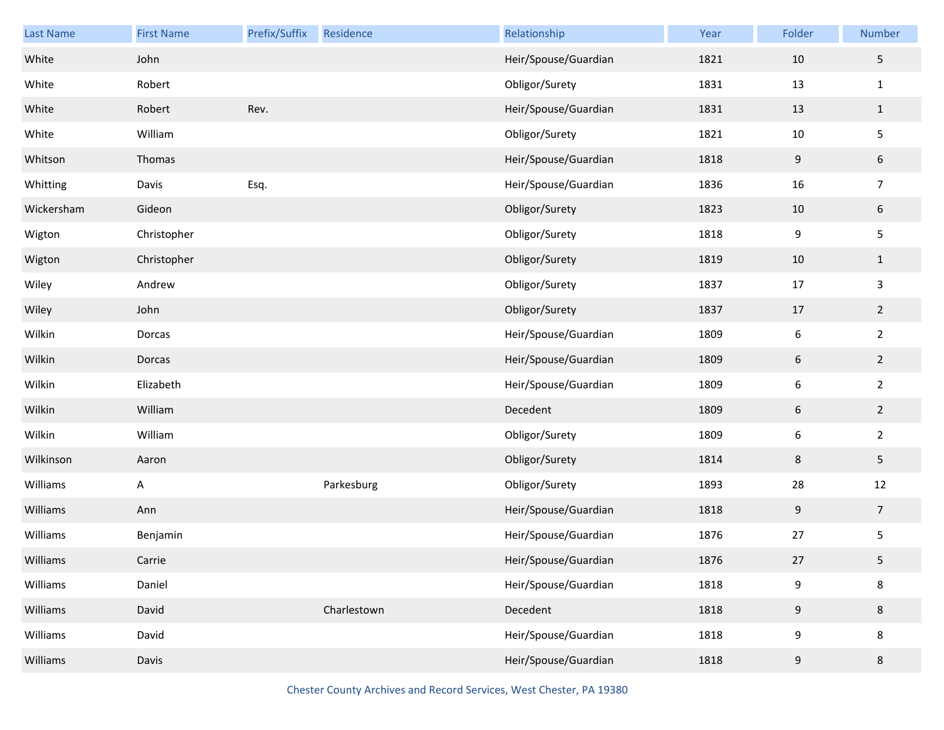| Last Name  | <b>First Name</b> | Prefix/Suffix | Residence   | Relationship         | Year | Folder           | Number         |
|------------|-------------------|---------------|-------------|----------------------|------|------------------|----------------|
| White      | John              |               |             | Heir/Spouse/Guardian | 1821 | 10               | 5              |
| White      | Robert            |               |             | Obligor/Surety       | 1831 | 13               | $\mathbf{1}$   |
| White      | Robert            | Rev.          |             | Heir/Spouse/Guardian | 1831 | 13               | $\mathbf{1}$   |
| White      | William           |               |             | Obligor/Surety       | 1821 | 10               | 5              |
| Whitson    | Thomas            |               |             | Heir/Spouse/Guardian | 1818 | $\boldsymbol{9}$ | $6\,$          |
| Whitting   | Davis             | Esq.          |             | Heir/Spouse/Guardian | 1836 | 16               | $\overline{7}$ |
| Wickersham | Gideon            |               |             | Obligor/Surety       | 1823 | 10               | $6\,$          |
| Wigton     | Christopher       |               |             | Obligor/Surety       | 1818 | 9                | 5              |
| Wigton     | Christopher       |               |             | Obligor/Surety       | 1819 | 10               | $\mathbf{1}$   |
| Wiley      | Andrew            |               |             | Obligor/Surety       | 1837 | 17               | 3              |
| Wiley      | John              |               |             | Obligor/Surety       | 1837 | 17               | $\overline{2}$ |
| Wilkin     | Dorcas            |               |             | Heir/Spouse/Guardian | 1809 | $\sqrt{6}$       | $\overline{2}$ |
| Wilkin     | Dorcas            |               |             | Heir/Spouse/Guardian | 1809 | $\boldsymbol{6}$ | $\overline{2}$ |
| Wilkin     | Elizabeth         |               |             | Heir/Spouse/Guardian | 1809 | $\boldsymbol{6}$ | $\overline{2}$ |
| Wilkin     | William           |               |             | Decedent             | 1809 | $\boldsymbol{6}$ | $\overline{2}$ |
| Wilkin     | William           |               |             | Obligor/Surety       | 1809 | $\sqrt{6}$       | $\overline{2}$ |
| Wilkinson  | Aaron             |               |             | Obligor/Surety       | 1814 | $\,8\,$          | 5              |
| Williams   | A                 |               | Parkesburg  | Obligor/Surety       | 1893 | 28               | 12             |
| Williams   | Ann               |               |             | Heir/Spouse/Guardian | 1818 | $9\,$            | $\overline{7}$ |
| Williams   | Benjamin          |               |             | Heir/Spouse/Guardian | 1876 | 27               | 5              |
| Williams   | Carrie            |               |             | Heir/Spouse/Guardian | 1876 | 27               | 5              |
| Williams   | Daniel            |               |             | Heir/Spouse/Guardian | 1818 | $\boldsymbol{9}$ | 8              |
| Williams   | David             |               | Charlestown | Decedent             | 1818 | $9\,$            | 8              |
| Williams   | David             |               |             | Heir/Spouse/Guardian | 1818 | 9                | 8              |
| Williams   | Davis             |               |             | Heir/Spouse/Guardian | 1818 | $9\,$            | 8              |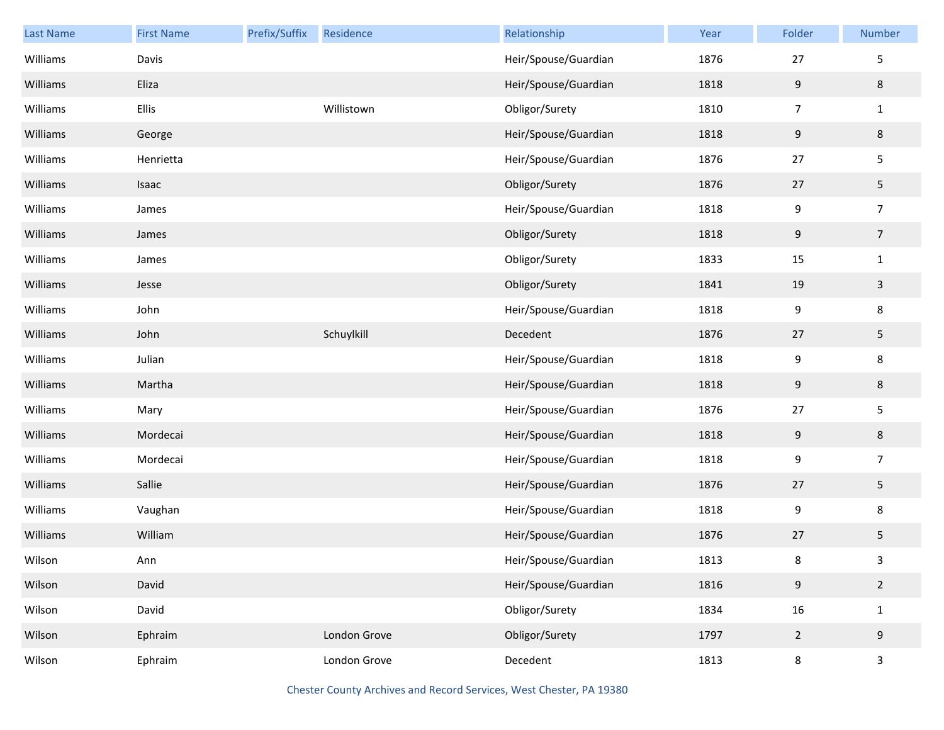| <b>Last Name</b> | <b>First Name</b> | Prefix/Suffix | Residence    | Relationship         | Year | Folder           | Number         |
|------------------|-------------------|---------------|--------------|----------------------|------|------------------|----------------|
| Williams         | Davis             |               |              | Heir/Spouse/Guardian | 1876 | 27               | 5              |
| Williams         | Eliza             |               |              | Heir/Spouse/Guardian | 1818 | 9                | 8              |
| Williams         | Ellis             |               | Willistown   | Obligor/Surety       | 1810 | $\overline{7}$   | $\mathbf{1}$   |
| Williams         | George            |               |              | Heir/Spouse/Guardian | 1818 | 9                | 8              |
| Williams         | Henrietta         |               |              | Heir/Spouse/Guardian | 1876 | 27               | 5              |
| Williams         | Isaac             |               |              | Obligor/Surety       | 1876 | 27               | 5              |
| Williams         | James             |               |              | Heir/Spouse/Guardian | 1818 | 9                | $\overline{7}$ |
| Williams         | James             |               |              | Obligor/Surety       | 1818 | 9                | $\overline{7}$ |
| Williams         | James             |               |              | Obligor/Surety       | 1833 | 15               | $\mathbf 1$    |
| Williams         | Jesse             |               |              | Obligor/Surety       | 1841 | 19               | $\mathbf{3}$   |
| Williams         | John              |               |              | Heir/Spouse/Guardian | 1818 | 9                | 8              |
| Williams         | John              |               | Schuylkill   | Decedent             | 1876 | 27               | 5              |
| Williams         | Julian            |               |              | Heir/Spouse/Guardian | 1818 | $\boldsymbol{9}$ | 8              |
| Williams         | Martha            |               |              | Heir/Spouse/Guardian | 1818 | 9                | 8              |
| Williams         | Mary              |               |              | Heir/Spouse/Guardian | 1876 | 27               | 5              |
| Williams         | Mordecai          |               |              | Heir/Spouse/Guardian | 1818 | 9                | 8              |
| Williams         | Mordecai          |               |              | Heir/Spouse/Guardian | 1818 | 9                | $\overline{7}$ |
| Williams         | Sallie            |               |              | Heir/Spouse/Guardian | 1876 | 27               | 5              |
| Williams         | Vaughan           |               |              | Heir/Spouse/Guardian | 1818 | 9                | 8              |
| Williams         | William           |               |              | Heir/Spouse/Guardian | 1876 | 27               | 5              |
| Wilson           | Ann               |               |              | Heir/Spouse/Guardian | 1813 | 8                | 3              |
| Wilson           | David             |               |              | Heir/Spouse/Guardian | 1816 | $9\,$            | $\overline{2}$ |
| Wilson           | David             |               |              | Obligor/Surety       | 1834 | 16               | $\mathbf{1}$   |
| Wilson           | Ephraim           |               | London Grove | Obligor/Surety       | 1797 | $\overline{2}$   | 9              |
| Wilson           | Ephraim           |               | London Grove | Decedent             | 1813 | $\,8\,$          | 3              |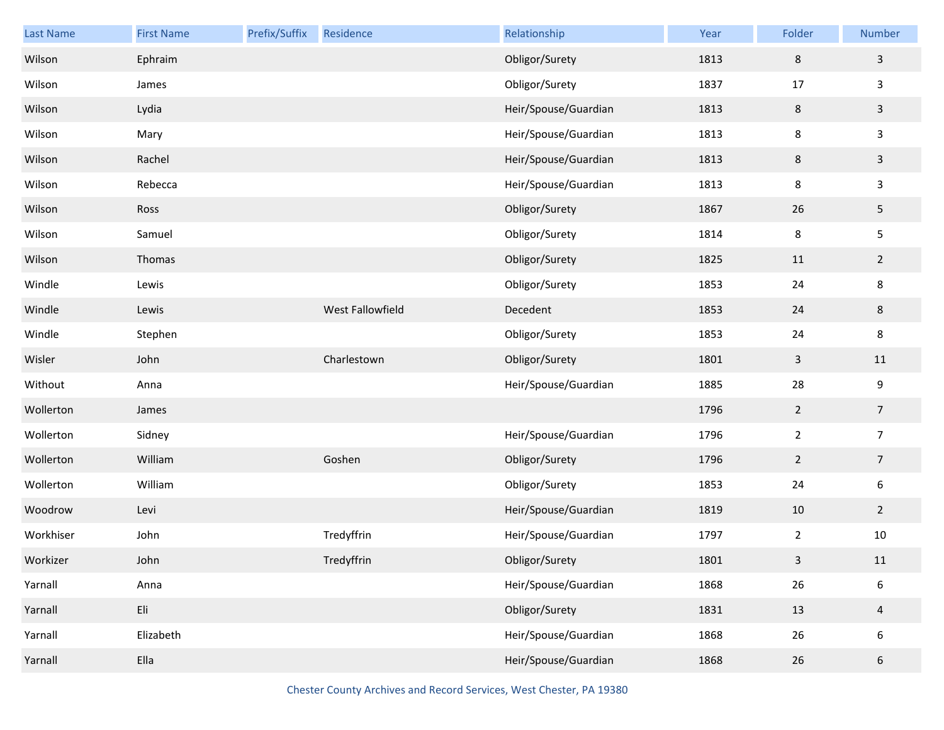| Last Name | <b>First Name</b> | Prefix/Suffix | Residence        | Relationship         | Year | Folder         | Number         |
|-----------|-------------------|---------------|------------------|----------------------|------|----------------|----------------|
| Wilson    | Ephraim           |               |                  | Obligor/Surety       | 1813 | $\,8\,$        | $\mathbf{3}$   |
| Wilson    | James             |               |                  | Obligor/Surety       | 1837 | 17             | 3              |
| Wilson    | Lydia             |               |                  | Heir/Spouse/Guardian | 1813 | $\,8\,$        | $\mathbf{3}$   |
| Wilson    | Mary              |               |                  | Heir/Spouse/Guardian | 1813 | 8              | 3              |
| Wilson    | Rachel            |               |                  | Heir/Spouse/Guardian | 1813 | $\,8\,$        | $\mathsf{3}$   |
| Wilson    | Rebecca           |               |                  | Heir/Spouse/Guardian | 1813 | 8              | 3              |
| Wilson    | Ross              |               |                  | Obligor/Surety       | 1867 | 26             | 5              |
| Wilson    | Samuel            |               |                  | Obligor/Surety       | 1814 | 8              | 5              |
| Wilson    | Thomas            |               |                  | Obligor/Surety       | 1825 | 11             | $\overline{2}$ |
| Windle    | Lewis             |               |                  | Obligor/Surety       | 1853 | 24             | 8              |
| Windle    | Lewis             |               | West Fallowfield | Decedent             | 1853 | 24             | 8              |
| Windle    | Stephen           |               |                  | Obligor/Surety       | 1853 | 24             | 8              |
| Wisler    | John              |               | Charlestown      | Obligor/Surety       | 1801 | $\mathsf{3}$   | 11             |
| Without   | Anna              |               |                  | Heir/Spouse/Guardian | 1885 | 28             | 9              |
| Wollerton | James             |               |                  |                      | 1796 | $\overline{2}$ | $\overline{7}$ |
| Wollerton | Sidney            |               |                  | Heir/Spouse/Guardian | 1796 | $\overline{2}$ | $\overline{7}$ |
| Wollerton | William           |               | Goshen           | Obligor/Surety       | 1796 | $\overline{2}$ | $\overline{7}$ |
| Wollerton | William           |               |                  | Obligor/Surety       | 1853 | 24             | 6              |
| Woodrow   | Levi              |               |                  | Heir/Spouse/Guardian | 1819 | 10             | $\overline{2}$ |
| Workhiser | John              |               | Tredyffrin       | Heir/Spouse/Guardian | 1797 | $\overline{2}$ | 10             |
| Workizer  | John              |               | Tredyffrin       | Obligor/Surety       | 1801 | 3              | 11             |
| Yarnall   | Anna              |               |                  | Heir/Spouse/Guardian | 1868 | 26             | 6              |
| Yarnall   | Eli               |               |                  | Obligor/Surety       | 1831 | 13             | $\overline{a}$ |
| Yarnall   | Elizabeth         |               |                  | Heir/Spouse/Guardian | 1868 | 26             | 6              |
| Yarnall   | Ella              |               |                  | Heir/Spouse/Guardian | 1868 | 26             | 6              |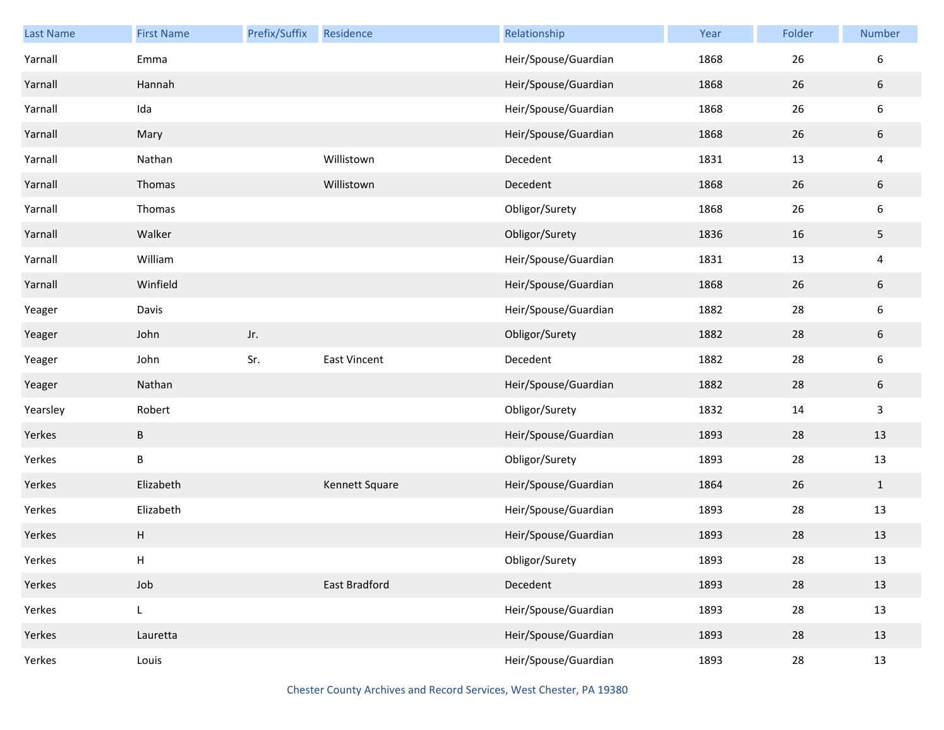| Last Name | <b>First Name</b> | Prefix/Suffix | Residence            | Relationship         | Year | Folder | Number                  |
|-----------|-------------------|---------------|----------------------|----------------------|------|--------|-------------------------|
| Yarnall   | Emma              |               |                      | Heir/Spouse/Guardian | 1868 | 26     | 6                       |
| Yarnall   | Hannah            |               |                      | Heir/Spouse/Guardian | 1868 | 26     | $\sqrt{6}$              |
| Yarnall   | Ida               |               |                      | Heir/Spouse/Guardian | 1868 | 26     | $\boldsymbol{6}$        |
| Yarnall   | Mary              |               |                      | Heir/Spouse/Guardian | 1868 | 26     | $\sqrt{6}$              |
| Yarnall   | Nathan            |               | Willistown           | Decedent             | 1831 | 13     | $\overline{\mathbf{4}}$ |
| Yarnall   | Thomas            |               | Willistown           | Decedent             | 1868 | 26     | $\sqrt{6}$              |
| Yarnall   | Thomas            |               |                      | Obligor/Surety       | 1868 | 26     | $\boldsymbol{6}$        |
| Yarnall   | Walker            |               |                      | Obligor/Surety       | 1836 | 16     | 5                       |
| Yarnall   | William           |               |                      | Heir/Spouse/Guardian | 1831 | 13     | $\overline{\mathbf{4}}$ |
| Yarnall   | Winfield          |               |                      | Heir/Spouse/Guardian | 1868 | 26     | $\sqrt{6}$              |
| Yeager    | Davis             |               |                      | Heir/Spouse/Guardian | 1882 | 28     | $\boldsymbol{6}$        |
| Yeager    | John              | Jr.           |                      | Obligor/Surety       | 1882 | 28     | $\sqrt{6}$              |
| Yeager    | John              | Sr.           | East Vincent         | Decedent             | 1882 | 28     | $\boldsymbol{6}$        |
| Yeager    | Nathan            |               |                      | Heir/Spouse/Guardian | 1882 | 28     | $\sqrt{6}$              |
| Yearsley  | Robert            |               |                      | Obligor/Surety       | 1832 | 14     | $\mathsf{3}$            |
| Yerkes    | B                 |               |                      | Heir/Spouse/Guardian | 1893 | 28     | 13                      |
| Yerkes    | B                 |               |                      | Obligor/Surety       | 1893 | 28     | 13                      |
| Yerkes    | Elizabeth         |               | Kennett Square       | Heir/Spouse/Guardian | 1864 | 26     | $\mathbf{1}$            |
| Yerkes    | Elizabeth         |               |                      | Heir/Spouse/Guardian | 1893 | 28     | 13                      |
| Yerkes    | H                 |               |                      | Heir/Spouse/Guardian | 1893 | 28     | 13                      |
| Yerkes    | Н                 |               |                      | Obligor/Surety       | 1893 | 28     | $13\,$                  |
| Yerkes    | Job               |               | <b>East Bradford</b> | Decedent             | 1893 | 28     | 13                      |
| Yerkes    | L                 |               |                      | Heir/Spouse/Guardian | 1893 | 28     | 13                      |
| Yerkes    | Lauretta          |               |                      | Heir/Spouse/Guardian | 1893 | 28     | 13                      |
| Yerkes    | Louis             |               |                      | Heir/Spouse/Guardian | 1893 | 28     | 13                      |